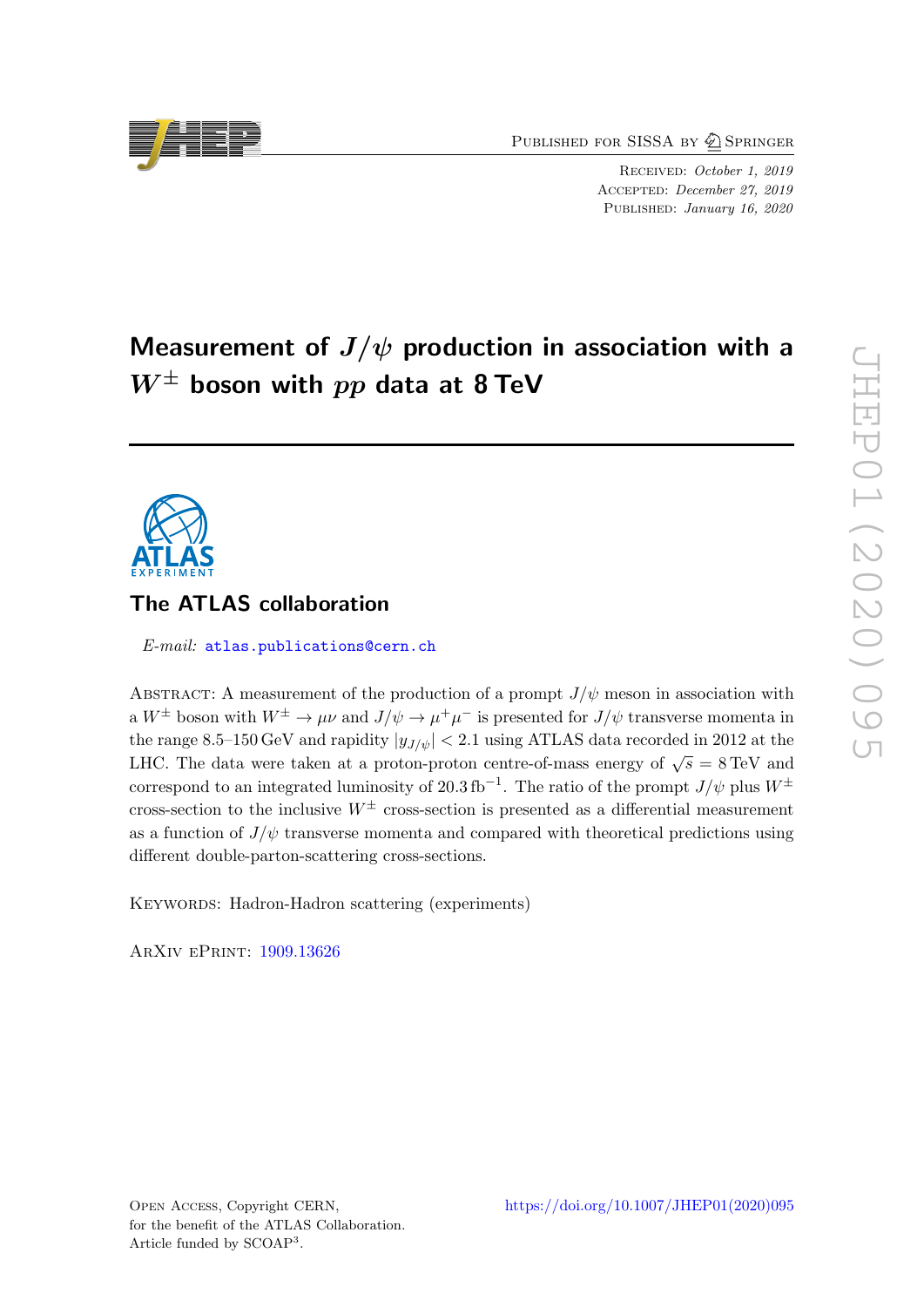PUBLISHED FOR SISSA BY 2 SPRINGER

RECEIVED: October 1, 2019 Accepted: December 27, 2019 PUBLISHED: January 16, 2020

# Measurement of  $J/\psi$  production in association with a  $W^{\pm}$  boson with  $pp$  data at 8 TeV

# The ATLAS collaboration

E-mail: [atlas.publications@cern.ch](mailto:atlas.publications@cern.ch)

ABSTRACT: A measurement of the production of a prompt  $J/\psi$  meson in association with a  $W^{\pm}$  boson with  $W^{\pm} \to \mu\nu$  and  $J/\psi \to \mu^{+}\mu^{-}$  is presented for  $J/\psi$  transverse momenta in the range 8.5–150 GeV and rapidity  $|y_{J/\psi}| < 2.1$  using ATLAS data recorded in 2012 at the LHC. The data were taken at a proton-proton centre-of-mass energy of  $\sqrt{s} = 8 \text{ TeV}$  and correspond to an integrated luminosity of 20.3 fb<sup>-1</sup>. The ratio of the prompt  $J/\psi$  plus  $W^{\pm}$ cross-section to the inclusive  $W^{\pm}$  cross-section is presented as a differential measurement as a function of  $J/\psi$  transverse momenta and compared with theoretical predictions using different double-parton-scattering cross-sections.

KEYWORDS: Hadron-Hadron scattering (experiments)

ArXiv ePrint: [1909.13626](https://arxiv.org/abs/1909.13626)

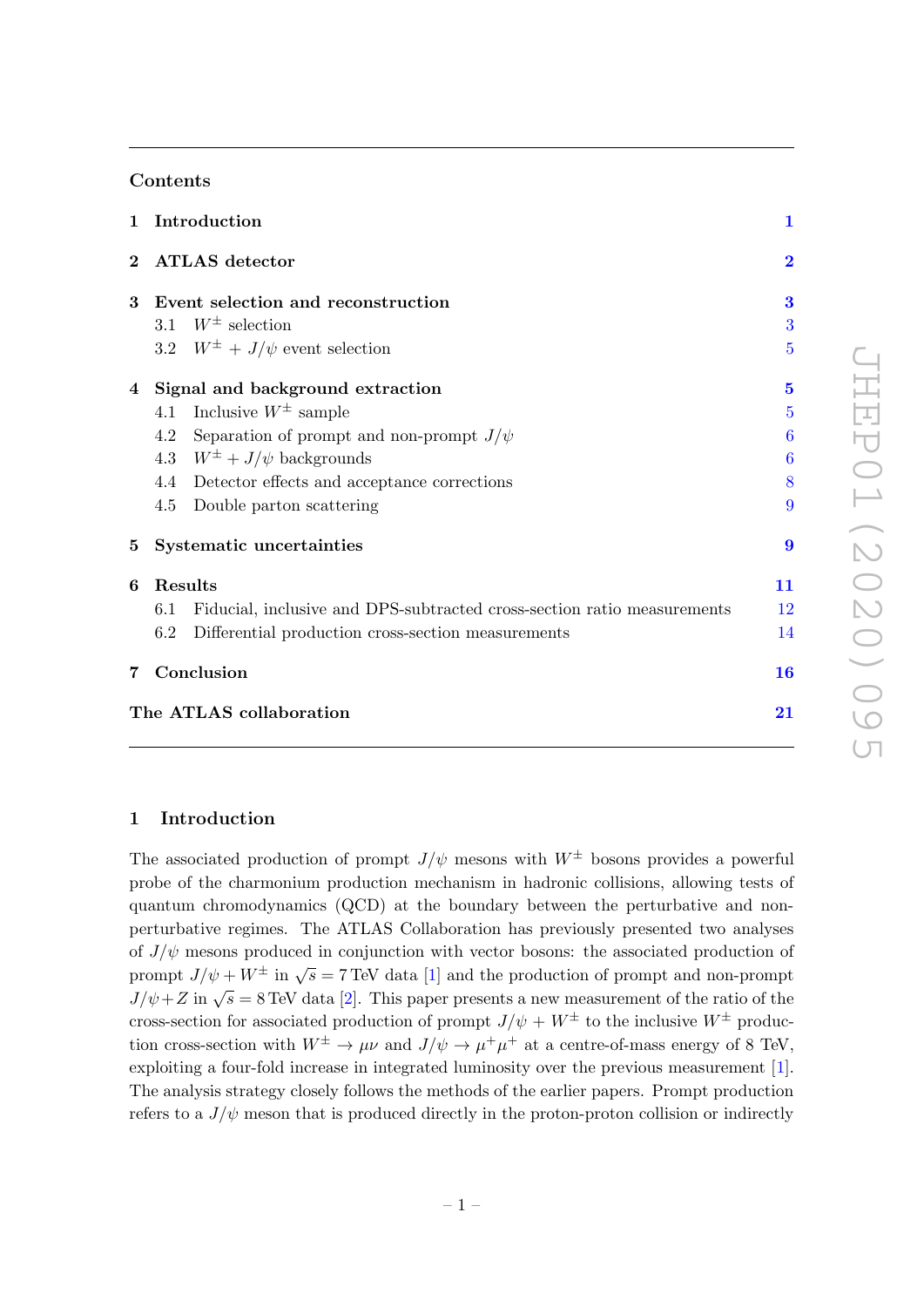# Contents

| $\mathbf{1}$                  | Introduction                                                                   | $\mathbf{1}$     |  |  |  |
|-------------------------------|--------------------------------------------------------------------------------|------------------|--|--|--|
| $\overline{2}$                | <b>ATLAS</b> detector                                                          | $\overline{2}$   |  |  |  |
| $\bf{3}$                      | Event selection and reconstruction                                             | 3                |  |  |  |
|                               | 3.1 $W^{\pm}$ selection                                                        | 3                |  |  |  |
|                               | 3.2 $W^{\pm}$ + $J/\psi$ event selection                                       | 5                |  |  |  |
|                               | 4 Signal and background extraction                                             | $\overline{5}$   |  |  |  |
|                               | Inclusive $W^{\pm}$ sample<br>4.1                                              | 5                |  |  |  |
|                               | Separation of prompt and non-prompt $J/\psi$<br>4.2                            | 6                |  |  |  |
|                               | 4.3 $W^{\pm} + J/\psi$ backgrounds                                             | 6                |  |  |  |
|                               | 4.4 Detector effects and acceptance corrections                                | 8                |  |  |  |
|                               | Double parton scattering<br>4.5                                                | 9                |  |  |  |
| $5\overline{)}$               | Systematic uncertainties                                                       | $\boldsymbol{9}$ |  |  |  |
| 6                             | Results                                                                        | 11               |  |  |  |
|                               | Fiducial, inclusive and DPS-subtracted cross-section ratio measurements<br>6.1 | 12               |  |  |  |
|                               | 6.2<br>Differential production cross-section measurements                      | 14               |  |  |  |
| 7                             | Conclusion                                                                     | 16               |  |  |  |
| The ATLAS collaboration<br>21 |                                                                                |                  |  |  |  |

# <span id="page-1-0"></span>1 Introduction

The associated production of prompt  $J/\psi$  mesons with  $W^{\pm}$  bosons provides a powerful probe of the charmonium production mechanism in hadronic collisions, allowing tests of quantum chromodynamics (QCD) at the boundary between the perturbative and nonperturbative regimes. The ATLAS Collaboration has previously presented two analyses of  $J/\psi$  mesons produced in conjunction with vector bosons: the associated production of prompt  $J/\psi + W^{\pm}$  in  $\sqrt{s} = 7$  TeV data [\[1\]](#page-17-0) and the production of prompt and non-prompt  $J/\psi + Z$  in  $\sqrt{s} = 8$  TeV data [\[2\]](#page-17-1). This paper presents a new measurement of the ratio of the ratio of the cross-section for associated production of prompt  $J/\psi + W^{\pm}$  to the inclusive  $W^{\pm}$  production cross-section with  $W^{\pm} \to \mu \nu$  and  $J/\psi \to \mu^+ \mu^+$  at a centre-of-mass energy of 8 TeV, exploiting a four-fold increase in integrated luminosity over the previous measurement [\[1\]](#page-17-0). The analysis strategy closely follows the methods of the earlier papers. Prompt production refers to a  $J/\psi$  meson that is produced directly in the proton-proton collision or indirectly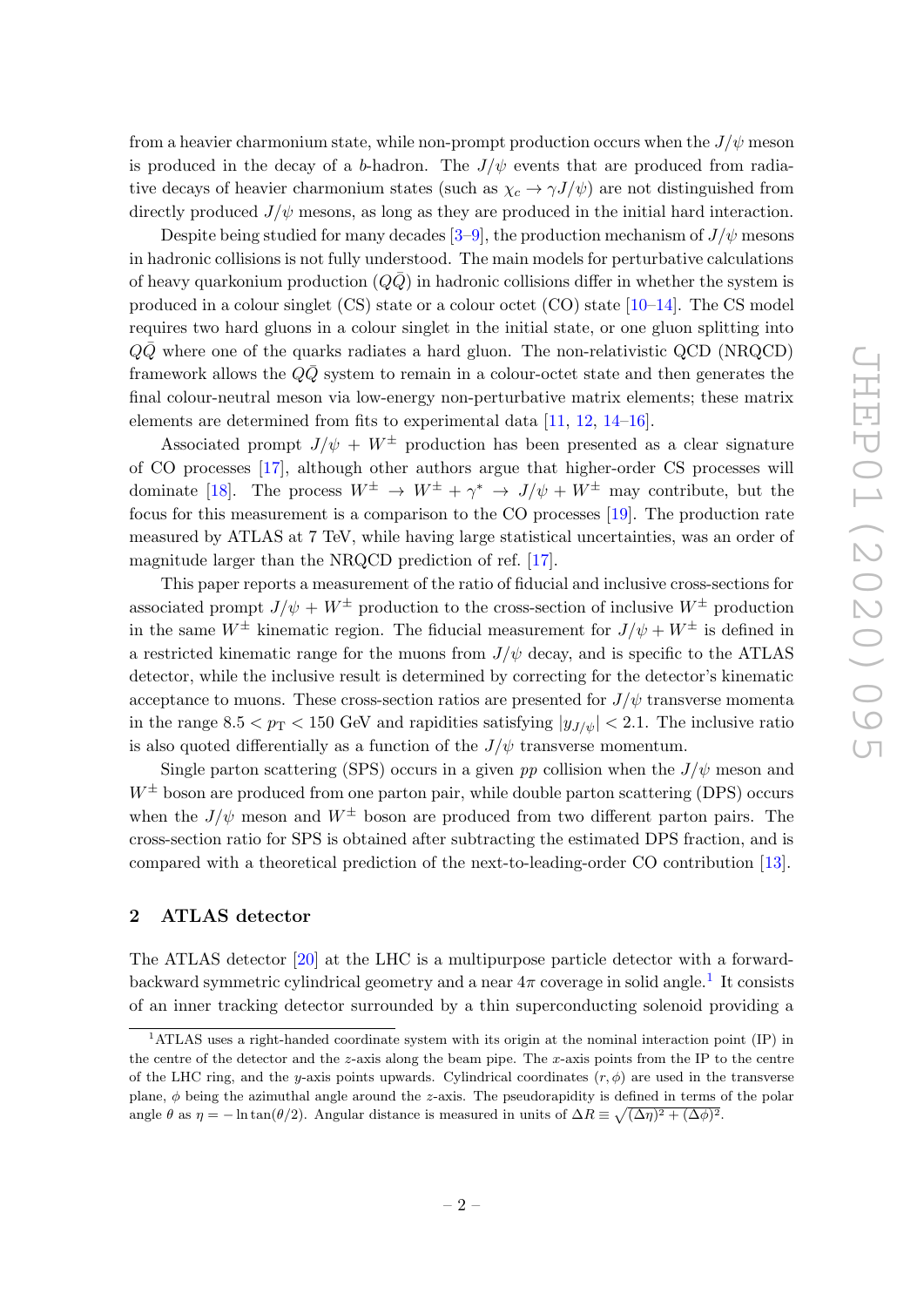from a heavier charmonium state, while non-prompt production occurs when the  $J/\psi$  meson is produced in the decay of a b-hadron. The  $J/\psi$  events that are produced from radiative decays of heavier charmonium states (such as  $\chi_c \to \gamma J/\psi$ ) are not distinguished from directly produced  $J/\psi$  mesons, as long as they are produced in the initial hard interaction.

Despite being studied for many decades  $[3-9]$  $[3-9]$ , the production mechanism of  $J/\psi$  mesons in hadronic collisions is not fully understood. The main models for perturbative calculations of heavy quarkonium production  $(Q\overline{Q})$  in hadronic collisions differ in whether the system is produced in a colour singlet  $(CS)$  state or a colour octet  $(CO)$  state  $[10-14]$  $[10-14]$ . The CS model requires two hard gluons in a colour singlet in the initial state, or one gluon splitting into  $Q\bar{Q}$  where one of the quarks radiates a hard gluon. The non-relativistic QCD (NRQCD) framework allows the  $QQ$  system to remain in a colour-octet state and then generates the final colour-neutral meson via low-energy non-perturbative matrix elements; these matrix elements are determined from fits to experimental data [\[11,](#page-17-5) [12,](#page-17-6) [14–](#page-18-0)[16\]](#page-18-1).

Associated prompt  $J/\psi + W^{\pm}$  production has been presented as a clear signature of CO processes [\[17\]](#page-18-2), although other authors argue that higher-order CS processes will dominate [\[18\]](#page-18-3). The process  $W^{\pm} \to W^{\pm} + \gamma^* \to J/\psi + W^{\pm}$  may contribute, but the focus for this measurement is a comparison to the CO processes [\[19\]](#page-18-4). The production rate measured by ATLAS at 7 TeV, while having large statistical uncertainties, was an order of magnitude larger than the NRQCD prediction of ref. [\[17\]](#page-18-2).

This paper reports a measurement of the ratio of fiducial and inclusive cross-sections for associated prompt  $J/\psi + W^{\pm}$  production to the cross-section of inclusive  $W^{\pm}$  production in the same  $W^{\pm}$  kinematic region. The fiducial measurement for  $J/\psi + W^{\pm}$  is defined in a restricted kinematic range for the muons from  $J/\psi$  decay, and is specific to the ATLAS detector, while the inclusive result is determined by correcting for the detector's kinematic acceptance to muons. These cross-section ratios are presented for  $J/\psi$  transverse momenta in the range  $8.5 < p_T < 150$  GeV and rapidities satisfying  $|y_{J/\psi}| < 2.1$ . The inclusive ratio is also quoted differentially as a function of the  $J/\psi$  transverse momentum.

Single parton scattering (SPS) occurs in a given pp collision when the  $J/\psi$  meson and  $W^{\pm}$  boson are produced from one parton pair, while double parton scattering (DPS) occurs when the  $J/\psi$  meson and  $W^{\pm}$  boson are produced from two different parton pairs. The cross-section ratio for SPS is obtained after subtracting the estimated DPS fraction, and is compared with a theoretical prediction of the next-to-leading-order CO contribution [\[13\]](#page-18-5).

## <span id="page-2-0"></span>2 ATLAS detector

The ATLAS detector [\[20\]](#page-18-6) at the LHC is a multipurpose particle detector with a forwardbackward symmetric cylindrical geometry and a near  $4\pi$  coverage in solid angle.<sup>[1](#page-2-1)</sup> It consists of an inner tracking detector surrounded by a thin superconducting solenoid providing a

<span id="page-2-1"></span><sup>1</sup>ATLAS uses a right-handed coordinate system with its origin at the nominal interaction point (IP) in the centre of the detector and the  $z$ -axis along the beam pipe. The  $x$ -axis points from the IP to the centre of the LHC ring, and the y-axis points upwards. Cylindrical coordinates  $(r, \phi)$  are used in the transverse plane,  $\phi$  being the azimuthal angle around the z-axis. The pseudorapidity is defined in terms of the polar angle  $\theta$  as  $\eta = -\ln \tan(\theta/2)$ . Angular distance is measured in units of  $\Delta R \equiv \sqrt{(\Delta \eta)^2 + (\Delta \phi)^2}$ .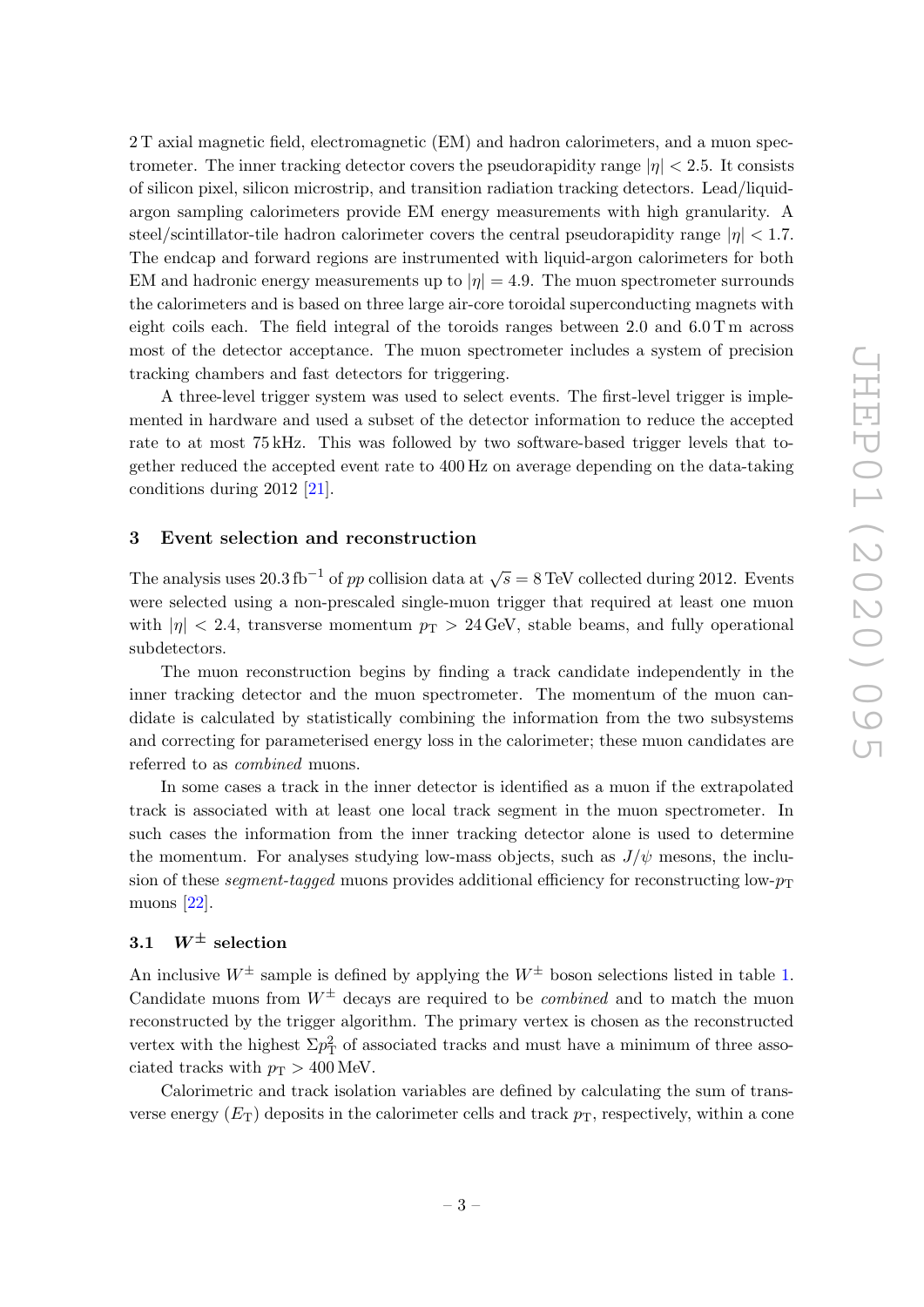2 T axial magnetic field, electromagnetic (EM) and hadron calorimeters, and a muon spectrometer. The inner tracking detector covers the pseudorapidity range  $|\eta| < 2.5$ . It consists of silicon pixel, silicon microstrip, and transition radiation tracking detectors. Lead/liquidargon sampling calorimeters provide EM energy measurements with high granularity. A steel/scintillator-tile hadron calorimeter covers the central pseudorapidity range  $|\eta| < 1.7$ . The endcap and forward regions are instrumented with liquid-argon calorimeters for both EM and hadronic energy measurements up to  $|\eta| = 4.9$ . The muon spectrometer surrounds the calorimeters and is based on three large air-core toroidal superconducting magnets with eight coils each. The field integral of the toroids ranges between 2.0 and  $6.0 \text{ Tm}$  across most of the detector acceptance. The muon spectrometer includes a system of precision tracking chambers and fast detectors for triggering.

A three-level trigger system was used to select events. The first-level trigger is implemented in hardware and used a subset of the detector information to reduce the accepted rate to at most 75 kHz. This was followed by two software-based trigger levels that together reduced the accepted event rate to 400 Hz on average depending on the data-taking conditions during 2012 [\[21\]](#page-18-7).

#### <span id="page-3-0"></span>3 Event selection and reconstruction

The analysis uses 20.3 fb<sup>-1</sup> of pp collision data at  $\sqrt{s} = 8$  TeV collected during 2012. Events were selected using a non-prescaled single-muon trigger that required at least one muon with  $|\eta| < 2.4$ , transverse momentum  $p_T > 24$  GeV, stable beams, and fully operational subdetectors.

The muon reconstruction begins by finding a track candidate independently in the inner tracking detector and the muon spectrometer. The momentum of the muon candidate is calculated by statistically combining the information from the two subsystems and correcting for parameterised energy loss in the calorimeter; these muon candidates are referred to as combined muons.

In some cases a track in the inner detector is identified as a muon if the extrapolated track is associated with at least one local track segment in the muon spectrometer. In such cases the information from the inner tracking detector alone is used to determine the momentum. For analyses studying low-mass objects, such as  $J/\psi$  mesons, the inclusion of these *segment-tagged* muons provides additional efficiency for reconstructing low- $p_T$ muons [\[22\]](#page-18-8).

# <span id="page-3-1"></span>3.1  $W^{\pm}$  selection

An inclusive  $W^{\pm}$  sample is defined by applying the  $W^{\pm}$  boson selections listed in table [1.](#page-4-0) Candidate muons from  $W^{\pm}$  decays are required to be *combined* and to match the muon reconstructed by the trigger algorithm. The primary vertex is chosen as the reconstructed vertex with the highest  $\Sigma p_{\rm T}^2$  of associated tracks and must have a minimum of three associated tracks with  $p_T > 400$  MeV.

Calorimetric and track isolation variables are defined by calculating the sum of transverse energy  $(E_T)$  deposits in the calorimeter cells and track  $p_T$ , respectively, within a cone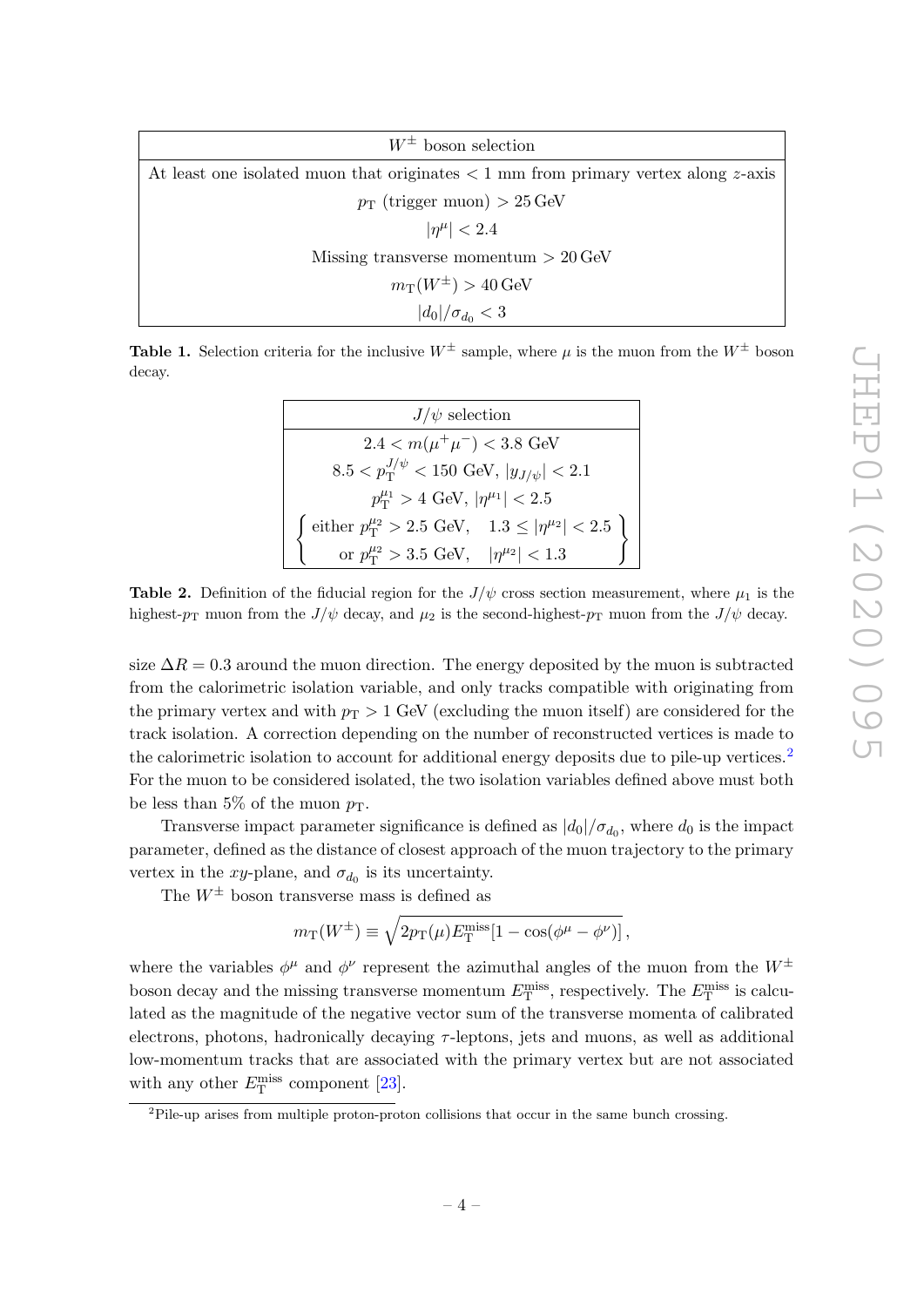<span id="page-4-0"></span>

| $W^{\pm}$ boson selection                                                              |  |  |  |  |
|----------------------------------------------------------------------------------------|--|--|--|--|
| At least one isolated muon that originates $\lt 1$ mm from primary vertex along z-axis |  |  |  |  |
| $p_T$ (trigger muon) > 25 GeV                                                          |  |  |  |  |
| $ \eta^{\mu}  < 2.4$                                                                   |  |  |  |  |
| Missing transverse momentum $> 20 \,\text{GeV}$                                        |  |  |  |  |
| $m_T(W^{\pm}) > 40$ GeV                                                                |  |  |  |  |
| $ d_0 /\sigma_{d_0} < 3$                                                               |  |  |  |  |

<span id="page-4-2"></span>**Table 1.** Selection criteria for the inclusive  $W^{\pm}$  sample, where u is the muon from the  $W^{\pm}$  boson decay.

> $J/\psi$  selection  $2.4 < m(\mu^+\mu^-) < 3.8$  GeV  $8.5 < p_\text{T}^{J/\psi} < 150 \text{ GeV}, \, |y_{J/\psi}| < 2.1$  $p_{\rm T}^{\mu_1} > 4$  GeV,  $|\eta^{\mu_1}| < 2.5$ f either  $p_T^{\mu_2} > 2.5$  GeV,  $1.3 \le |\eta^{\mu_2}| < 2.5$ or  $p_{\rm T}^{\mu_2} > 3.5$  GeV,  $|\eta^{\mu_2}| < 1.3$

**Table 2.** Definition of the fiducial region for the  $J/\psi$  cross section measurement, where  $\mu_1$  is the highest- $p_T$  muon from the  $J/\psi$  decay, and  $\mu_2$  is the second-highest- $p_T$  muon from the  $J/\psi$  decay.

size  $\Delta R = 0.3$  around the muon direction. The energy deposited by the muon is subtracted from the calorimetric isolation variable, and only tracks compatible with originating from the primary vertex and with  $p_T > 1$  GeV (excluding the muon itself) are considered for the track isolation. A correction depending on the number of reconstructed vertices is made to the calorimetric isolation to account for additional energy deposits due to pile-up vertices.<sup>[2](#page-4-1)</sup> For the muon to be considered isolated, the two isolation variables defined above must both be less than 5% of the muon  $p_T$ .

Transverse impact parameter significance is defined as  $|d_0|/\sigma_{d_0}$ , where  $d_0$  is the impact parameter, defined as the distance of closest approach of the muon trajectory to the primary vertex in the xy-plane, and  $\sigma_{d_0}$  is its uncertainty.

The  $W^{\pm}$  boson transverse mass is defined as

$$
m_{\rm T}(W^{\pm}) \equiv \sqrt{2p_{\rm T}(\mu)E_{\rm T}^{\rm miss}[1-\cos(\phi^{\mu}-\phi^{\nu})]},
$$

where the variables  $\phi^{\mu}$  and  $\phi^{\nu}$  represent the azimuthal angles of the muon from the  $W^{\pm}$ boson decay and the missing transverse momentum  $E_{\rm T}^{\rm miss}$ , respectively. The  $E_{\rm T}^{\rm miss}$  is calculated as the magnitude of the negative vector sum of the transverse momenta of calibrated electrons, photons, hadronically decaying  $\tau$ -leptons, jets and muons, as well as additional low-momentum tracks that are associated with the primary vertex but are not associated with any other  $E_{\rm T}^{\rm miss}$  component [\[23\]](#page-18-9).

<span id="page-4-1"></span> ${}^{2}$ Pile-up arises from multiple proton-proton collisions that occur in the same bunch crossing.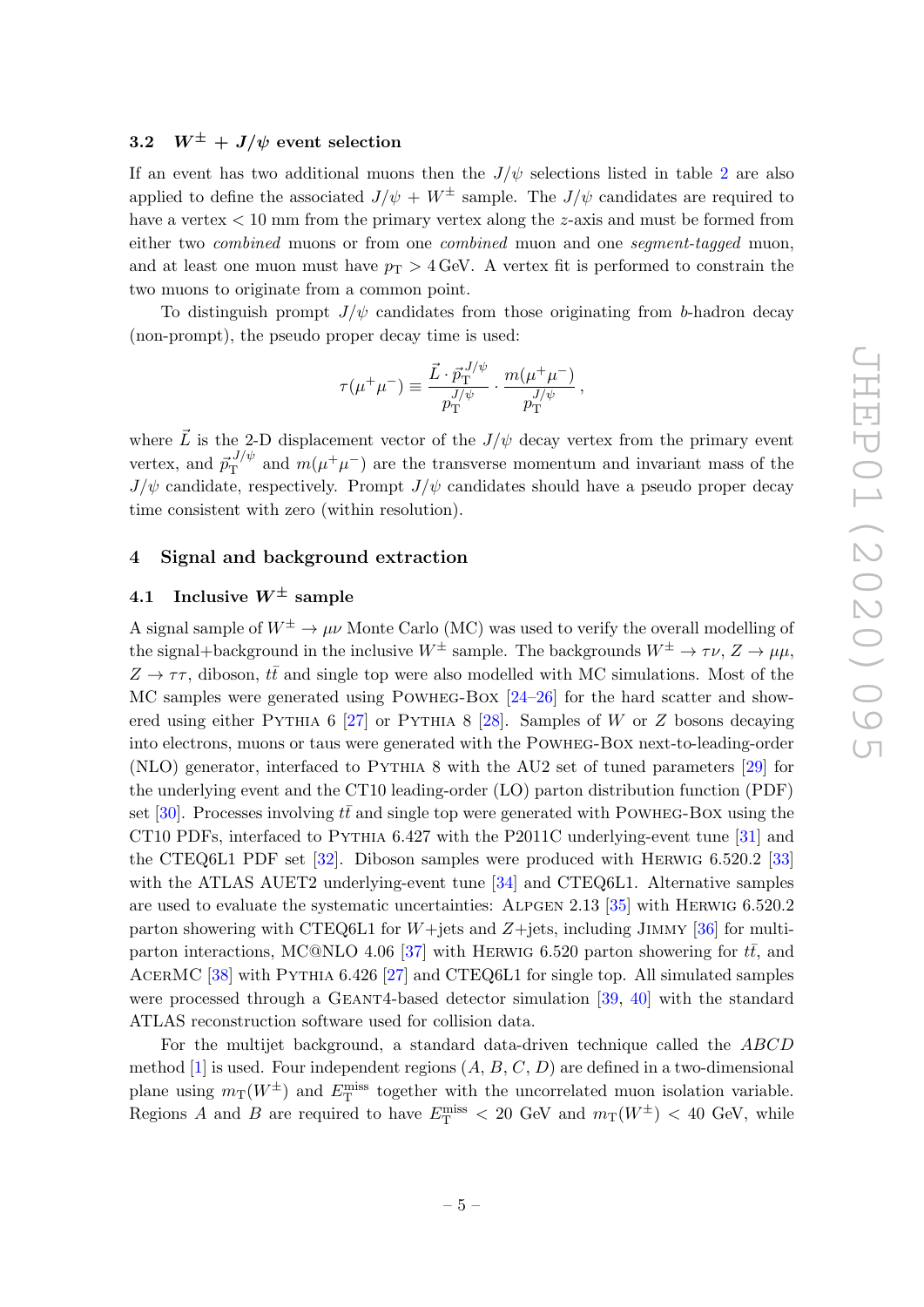### <span id="page-5-0"></span>3.2  $W^{\pm}$  +  $J/\psi$  event selection

If an event has two additional muons then the  $J/\psi$  selections listed in table [2](#page-4-2) are also applied to define the associated  $J/\psi + W^{\pm}$  sample. The  $J/\psi$  candidates are required to have a vertex  $\lt 10$  mm from the primary vertex along the z-axis and must be formed from either two *combined* muons or from one *combined* muon and one *segment-tagged* muon, and at least one muon must have  $p_T > 4$  GeV. A vertex fit is performed to constrain the two muons to originate from a common point.

To distinguish prompt  $J/\psi$  candidates from those originating from b-hadron decay (non-prompt), the pseudo proper decay time is used:

$$
\tau(\mu^+\mu^-) \equiv \frac{\vec{L} \cdot \vec{p}_\mathrm{T}^{\, J/\psi}}{p_\mathrm{T}^{J/\psi}} \cdot \frac{m(\mu^+\mu^-)}{p_\mathrm{T}^{J/\psi}}\,,
$$

where  $\vec{L}$  is the 2-D displacement vector of the  $J/\psi$  decay vertex from the primary event vertex, and  $\vec{p}_{\rm T}^{J/\psi}$  $T<sup>J/\psi</sup>$  and  $m(\mu^+\mu^-)$  are the transverse momentum and invariant mass of the  $J/\psi$  candidate, respectively. Prompt  $J/\psi$  candidates should have a pseudo proper decay time consistent with zero (within resolution).

#### <span id="page-5-1"></span>4 Signal and background extraction

# <span id="page-5-2"></span>4.1 Inclusive  $W^{\pm}$  sample

A signal sample of  $W^{\pm} \to \mu \nu$  Monte Carlo (MC) was used to verify the overall modelling of the signal+background in the inclusive  $W^{\pm}$  sample. The backgrounds  $W^{\pm} \to \tau \nu$ ,  $Z \to \mu \mu$ ,  $Z \rightarrow \tau \tau$ , diboson,  $t\bar{t}$  and single top were also modelled with MC simulations. Most of the MC samples were generated using Powheg-Box [\[24–](#page-18-10)[26\]](#page-18-11) for the hard scatter and show-ered using either PYTHIA 6 [\[27\]](#page-18-12) or PYTHIA 8 [\[28\]](#page-18-13). Samples of W or Z bosons decaying into electrons, muons or taus were generated with the Powheg-Box next-to-leading-order (NLO) generator, interfaced to Pythia 8 with the AU2 set of tuned parameters [\[29\]](#page-18-14) for the underlying event and the CT10 leading-order (LO) parton distribution function (PDF) set [\[30\]](#page-19-0). Processes involving  $t\bar{t}$  and single top were generated with POWHEG-BOX using the CT10 PDFs, interfaced to Pythia 6.427 with the P2011C underlying-event tune [\[31\]](#page-19-1) and the CTEQ6L1 PDF set [\[32\]](#page-19-2). Diboson samples were produced with Herwig 6.520.2 [\[33\]](#page-19-3) with the ATLAS AUET2 underlying-event tune [\[34\]](#page-19-4) and CTEQ6L1. Alternative samples are used to evaluate the systematic uncertainties: Alpgen 2.13 [\[35\]](#page-19-5) with Herwig 6.520.2 parton showering with CTEQ6L1 for  $W+$ jets and  $Z+$ jets, including JIMMY [\[36\]](#page-19-6) for multi-parton interactions, MC@NLO 4.06 [\[37\]](#page-19-7) with HERWIG 6.520 parton showering for  $t\bar{t}$ , and AcerMC [\[38\]](#page-19-8) with Pythia 6.426 [\[27\]](#page-18-12) and CTEQ6L1 for single top. All simulated samples were processed through a GEANT4-based detector simulation [\[39,](#page-19-9) [40\]](#page-19-10) with the standard ATLAS reconstruction software used for collision data.

For the multijet background, a standard data-driven technique called the ABCD method [\[1\]](#page-17-0) is used. Four independent regions  $(A, B, C, D)$  are defined in a two-dimensional plane using  $m_T(W^{\pm})$  and  $E_T^{\text{miss}}$  together with the uncorrelated muon isolation variable. Regions A and B are required to have  $E_{\rm T}^{\rm miss}$  < 20 GeV and  $m_{\rm T}(W^{\pm})$  < 40 GeV, while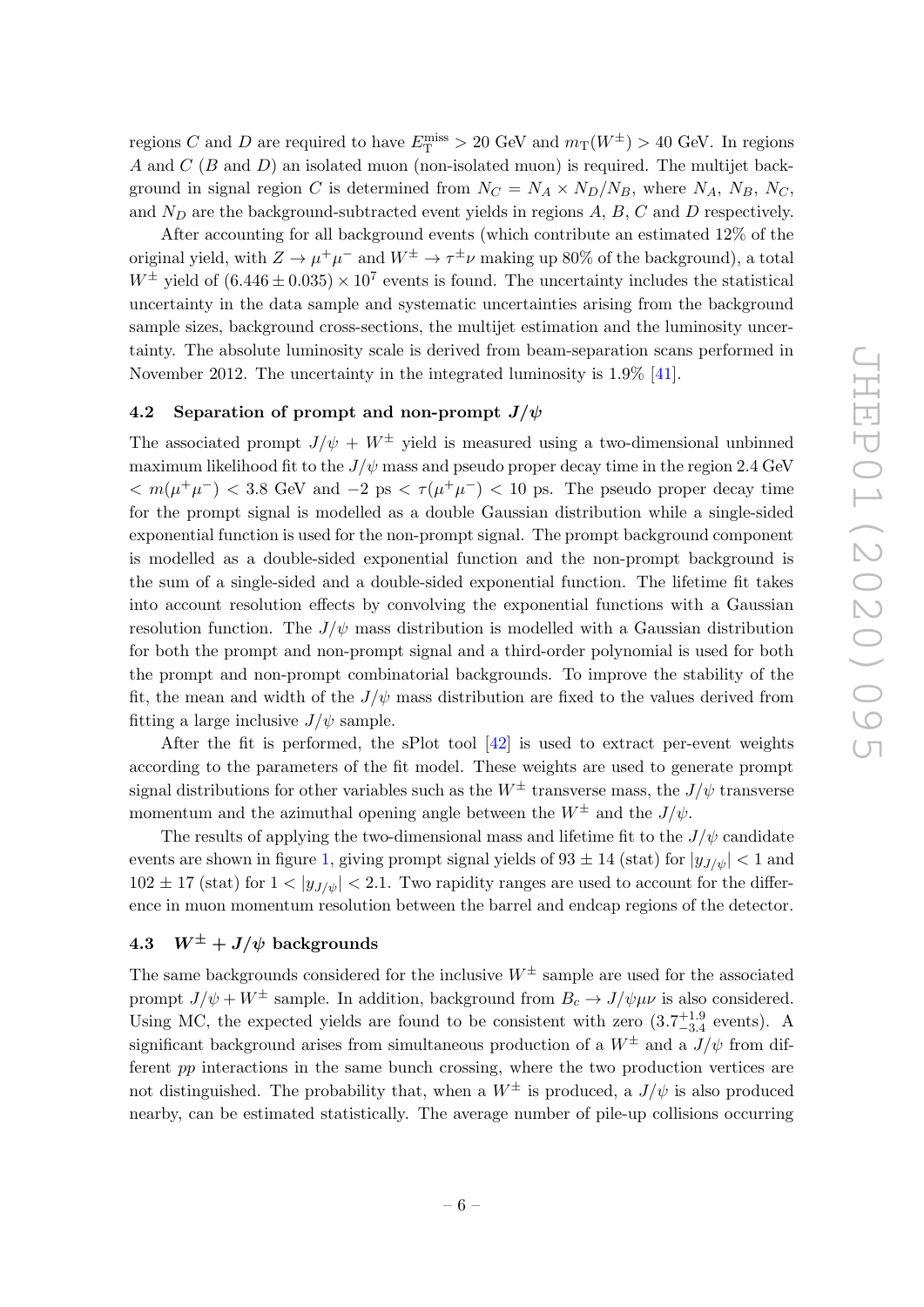regions C and D are required to have  $E_{\rm T}^{\rm miss} > 20$  GeV and  $m_{\rm T}(W^{\pm}) > 40$  GeV. In regions A and  $C(B \text{ and } D)$  an isolated muon (non-isolated muon) is required. The multijet background in signal region C is determined from  $N_C = N_A \times N_D/N_B$ , where  $N_A$ ,  $N_B$ ,  $N_C$ , and  $N_D$  are the background-subtracted event yields in regions  $A, B, C$  and  $D$  respectively.

After accounting for all background events (which contribute an estimated 12% of the original yield, with  $Z \to \mu^+\mu^-$  and  $W^\pm \to \tau^\pm\nu$  making up 80% of the background), a total  $W^{\pm}$  yield of  $(6.446 \pm 0.035) \times 10^7$  events is found. The uncertainty includes the statistical uncertainty in the data sample and systematic uncertainties arising from the background sample sizes, background cross-sections, the multijet estimation and the luminosity uncertainty. The absolute luminosity scale is derived from beam-separation scans performed in November 2012. The uncertainty in the integrated luminosity is 1.9% [\[41\]](#page-19-11).

#### <span id="page-6-0"></span>4.2 Separation of prompt and non-prompt  $J/\psi$

The associated prompt  $J/\psi + W^{\pm}$  yield is measured using a two-dimensional unbinned maximum likelihood fit to the  $J/\psi$  mass and pseudo proper decay time in the region 2.4 GeV  $< m(\mu^+\mu^-) < 3.8$  GeV and  $-2$  ps  $< \tau(\mu^+\mu^-) < 10$  ps. The pseudo proper decay time for the prompt signal is modelled as a double Gaussian distribution while a single-sided exponential function is used for the non-prompt signal. The prompt background component is modelled as a double-sided exponential function and the non-prompt background is the sum of a single-sided and a double-sided exponential function. The lifetime fit takes into account resolution effects by convolving the exponential functions with a Gaussian resolution function. The  $J/\psi$  mass distribution is modelled with a Gaussian distribution for both the prompt and non-prompt signal and a third-order polynomial is used for both the prompt and non-prompt combinatorial backgrounds. To improve the stability of the fit, the mean and width of the  $J/\psi$  mass distribution are fixed to the values derived from fitting a large inclusive  $J/\psi$  sample.

After the fit is performed, the sPlot tool  $[42]$  is used to extract per-event weights according to the parameters of the fit model. These weights are used to generate prompt signal distributions for other variables such as the  $W^{\pm}$  transverse mass, the  $J/\psi$  transverse momentum and the azimuthal opening angle between the  $W^{\pm}$  and the  $J/\psi$ .

The results of applying the two-dimensional mass and lifetime fit to the  $J/\psi$  candidate events are shown in figure [1,](#page-7-0) giving prompt signal yields of  $93 \pm 14$  (stat) for  $|y_{J/\psi}| < 1$  and  $102 \pm 17$  (stat) for  $1 < |y_{J/\psi}| < 2.1$ . Two rapidity ranges are used to account for the difference in muon momentum resolution between the barrel and endcap regions of the detector.

# <span id="page-6-1"></span>4.3  $W^{\pm} + J/\psi$  backgrounds

The same backgrounds considered for the inclusive  $W^{\pm}$  sample are used for the associated prompt  $J/\psi + W^{\pm}$  sample. In addition, background from  $B_c \to J/\psi \mu \nu$  is also considered. Using MC, the expected yields are found to be consistent with zero  $(3.7^{+1.9}_{-3.4}$  events). A significant background arises from simultaneous production of a  $W^{\pm}$  and a  $J/\psi$  from different pp interactions in the same bunch crossing, where the two production vertices are not distinguished. The probability that, when a  $W^{\pm}$  is produced, a  $J/\psi$  is also produced nearby, can be estimated statistically. The average number of pile-up collisions occurring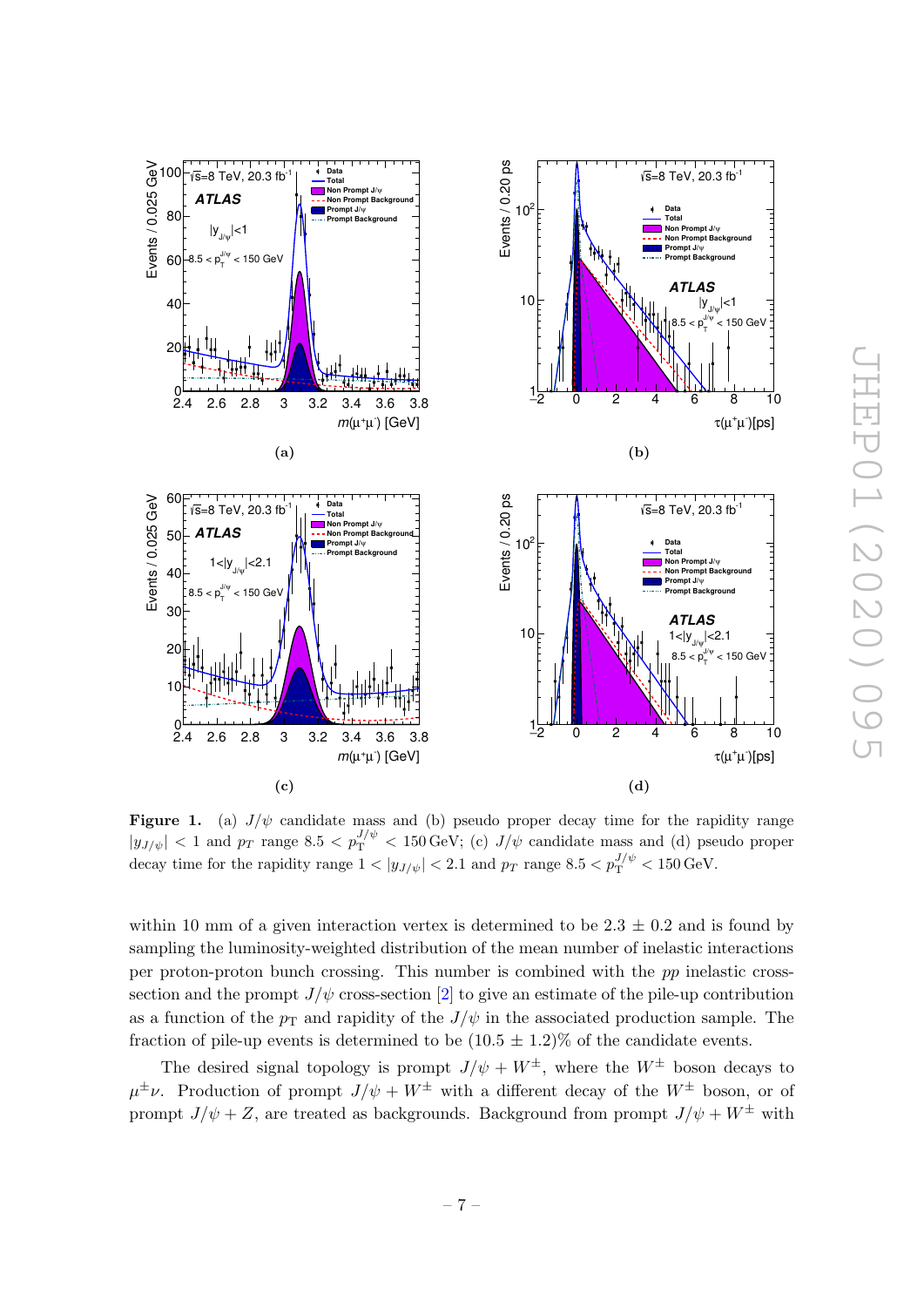<span id="page-7-0"></span>

Figure 1. (a)  $J/\psi$  candidate mass and (b) pseudo proper decay time for the rapidity range  $|y_{J/\psi}| < 1$  and  $p_T$  range 8.5  $\lt p_T^{J/\psi} < 150 \,\text{GeV}$ ; (c)  $J/\psi$  candidate mass and (d) pseudo proper decay time for the rapidity range  $1 < |y_{J/\psi}| < 2.1$  and  $p_T$  range  $8.5 < p_T^{J/\psi} < 150$  GeV.

within 10 mm of a given interaction vertex is determined to be  $2.3 \pm 0.2$  and is found by sampling the luminosity-weighted distribution of the mean number of inelastic interactions per proton-proton bunch crossing. This number is combined with the pp inelastic crosssection and the prompt  $J/\psi$  cross-section [\[2\]](#page-17-1) to give an estimate of the pile-up contribution as a function of the  $p_T$  and rapidity of the  $J/\psi$  in the associated production sample. The fraction of pile-up events is determined to be  $(10.5 \pm 1.2)$ % of the candidate events.

The desired signal topology is prompt  $J/\psi + W^{\pm}$ , where the  $W^{\pm}$  boson decays to  $\mu^{\pm} \nu$ . Production of prompt  $J/\psi + W^{\pm}$  with a different decay of the  $W^{\pm}$  boson, or of prompt  $J/\psi + Z$ , are treated as backgrounds. Background from prompt  $J/\psi + W^{\pm}$  with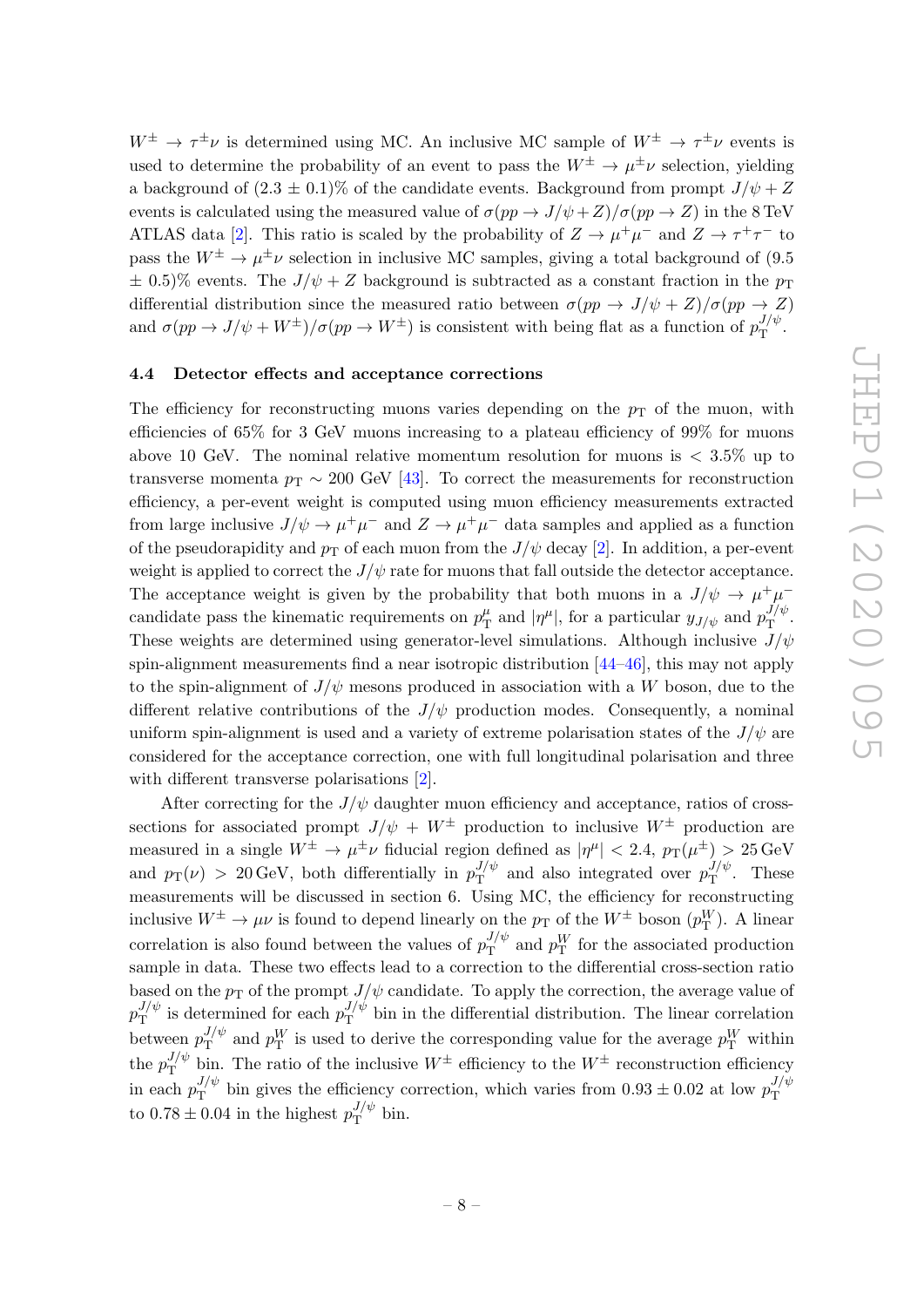$W^{\pm} \to \tau^{\pm} \nu$  is determined using MC. An inclusive MC sample of  $W^{\pm} \to \tau^{\pm} \nu$  events is used to determine the probability of an event to pass the  $W^{\pm} \to \mu^{\pm} \nu$  selection, yielding a background of  $(2.3 \pm 0.1)\%$  of the candidate events. Background from prompt  $J/\psi + Z$ events is calculated using the measured value of  $\sigma(pp \to J/\psi + Z)/\sigma(pp \to Z)$  in the 8 TeV ATLAS data [\[2\]](#page-17-1). This ratio is scaled by the probability of  $Z \to \mu^+\mu^-$  and  $Z \to \tau^+\tau^-$  to pass the  $W^{\pm} \to \mu^{\pm} \nu$  selection in inclusive MC samples, giving a total background of (9.5)  $\pm$  0.5)% events. The  $J/\psi + Z$  background is subtracted as a constant fraction in the  $p_T$ differential distribution since the measured ratio between  $\sigma(pp \to J/\psi + Z)/\sigma(pp \to Z)$ and  $\sigma(pp \to J/\psi + W^{\pm})/\sigma(pp \to W^{\pm})$  is consistent with being flat as a function of  $p_{\rm T}^{J/\psi}$  $T^{J/\psi}$ .

#### <span id="page-8-0"></span>4.4 Detector effects and acceptance corrections

The efficiency for reconstructing muons varies depending on the  $p_T$  of the muon, with efficiencies of 65% for 3 GeV muons increasing to a plateau efficiency of 99% for muons above 10 GeV. The nominal relative momentum resolution for muons is  $\langle 3.5\%$  up to transverse momenta  $p_T \sim 200$  GeV [\[43\]](#page-19-13). To correct the measurements for reconstruction efficiency, a per-event weight is computed using muon efficiency measurements extracted from large inclusive  $J/\psi \to \mu^+\mu^-$  and  $Z \to \mu^+\mu^-$  data samples and applied as a function of the pseudorapidity and  $p_T$  of each muon from the  $J/\psi$  decay [\[2\]](#page-17-1). In addition, a per-event weight is applied to correct the  $J/\psi$  rate for muons that fall outside the detector acceptance. The acceptance weight is given by the probability that both muons in a  $J/\psi \to \mu^+\mu^$ candidate pass the kinematic requirements on  $p_T^{\mu}$  $T_{\rm T}^{\mu}$  and  $|\eta^{\mu}|$ , for a particular  $y_{J/\psi}$  and  $p_{\rm T}^{J/\psi}$  $\int_{\rm T}^{J/\psi}$ . These weights are determined using generator-level simulations. Although inclusive  $J/\psi$ spin-alignment measurements find a near isotropic distribution [\[44–](#page-19-14)[46\]](#page-19-15), this may not apply to the spin-alignment of  $J/\psi$  mesons produced in association with a W boson, due to the different relative contributions of the  $J/\psi$  production modes. Consequently, a nominal uniform spin-alignment is used and a variety of extreme polarisation states of the  $J/\psi$  are considered for the acceptance correction, one with full longitudinal polarisation and three with different transverse polarisations [\[2\]](#page-17-1).

After correcting for the  $J/\psi$  daughter muon efficiency and acceptance, ratios of crosssections for associated prompt  $J/\psi + W^{\pm}$  production to inclusive  $W^{\pm}$  production are measured in a single  $W^{\pm} \to \mu^{\pm} \nu$  fiducial region defined as  $|\eta^{\mu}| < 2.4$ ,  $p_T(\mu^{\pm}) > 25 \,\text{GeV}$ and  $p_T(\nu) > 20 \,\text{GeV}$ , both differentially in  $p_T^{J/\psi}$  $J/\psi$  and also integrated over  $p_{\text{T}}^{J/\psi}$  $T^{\nu}$ . These measurements will be discussed in section 6. Using MC, the efficiency for reconstructing inclusive  $W^{\pm} \to \mu \nu$  is found to depend linearly on the  $p_T$  of the  $W^{\pm}$  boson  $(p_T^W)$ . A linear correlation is also found between the values of  $p_T^{J/\psi}$  $J/\psi$  and  $p_{\rm T}^{W}$  for the associated production sample in data. These two effects lead to a correction to the differential cross-section ratio based on the  $p_T$  of the prompt  $J/\psi$  candidate. To apply the correction, the average value of  $p_{\rm T}^{J/\psi}$  $J/\psi$  is determined for each  $p_{\rm T}^{J/\psi}$  $T<sup>J/\psi</sup>$  bin in the differential distribution. The linear correlation between  $p_{\text{T}}^{J/\psi}$  $J/\psi$  and  $p_T^W$  is used to derive the corresponding value for the average  $p_T^W$  within  $\hbox{the}~p_{\rm T}^{J/\psi}$  $\mathcal{F}_{\mathbf{T}}^{J/\psi}$  bin. The ratio of the inclusive  $W^{\pm}$  efficiency to the  $W^{\pm}$  reconstruction efficiency in each  $p_{\rm T}^{J/\psi}$  $J/\psi$  bin gives the efficiency correction, which varies from  $0.93 \pm 0.02$  at low  $p_{\rm T}^{J/\psi}$ T to  $0.78 \pm 0.04$  in the highest  $p_{\rm T}^{J/\psi}$  $T^{\psi}$  bin.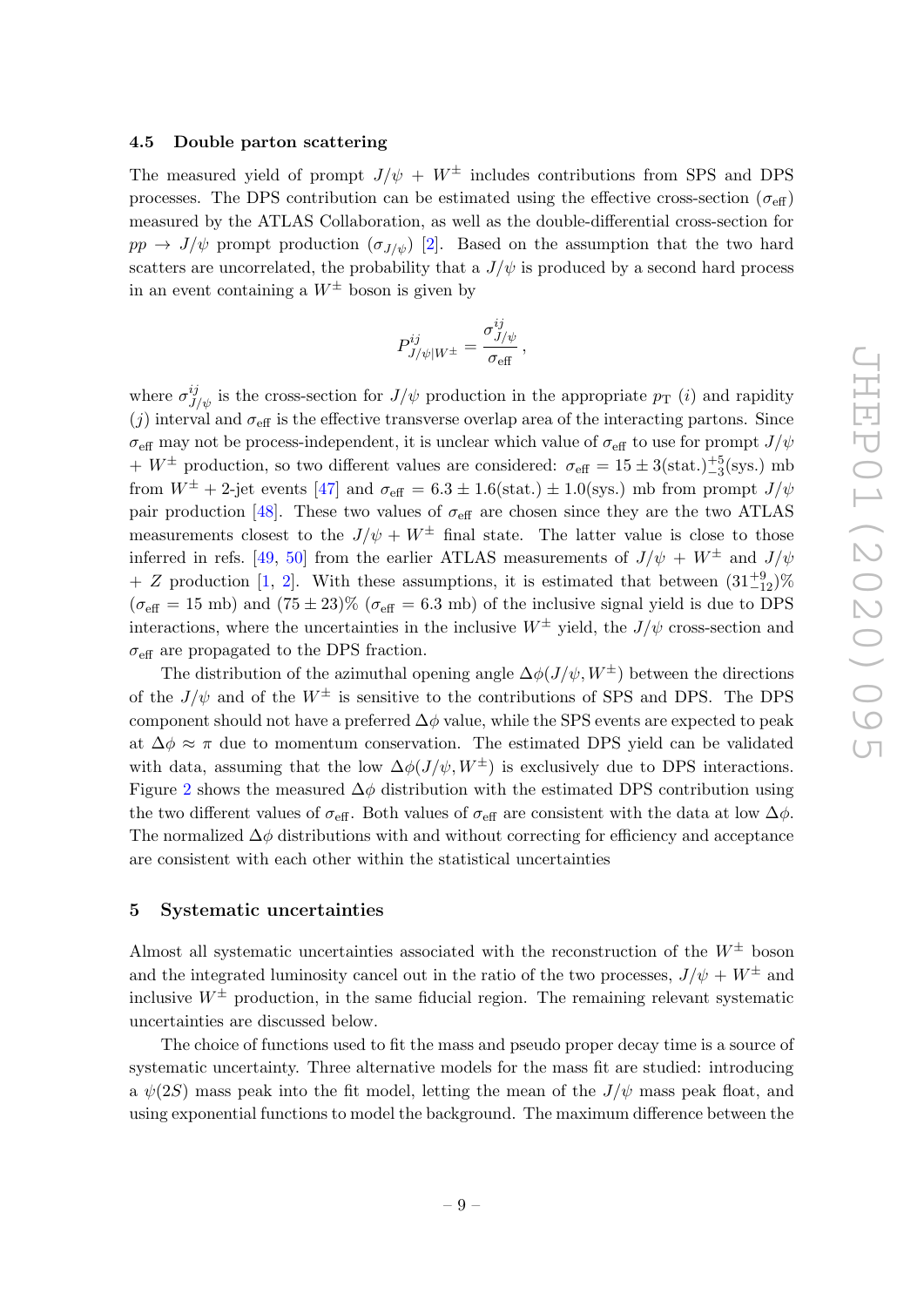#### <span id="page-9-0"></span>4.5 Double parton scattering

The measured yield of prompt  $J/\psi + W^{\pm}$  includes contributions from SPS and DPS processes. The DPS contribution can be estimated using the effective cross-section ( $\sigma_{\text{eff}}$ ) measured by the ATLAS Collaboration, as well as the double-differential cross-section for  $pp \rightarrow J/\psi$  prompt production  $(\sigma_{J/\psi})$  [\[2\]](#page-17-1). Based on the assumption that the two hard scatters are uncorrelated, the probability that a  $J/\psi$  is produced by a second hard process in an event containing a  $W^{\pm}$  boson is given by

$$
P^{ij}_{J/\psi|W^\pm} = \frac{\sigma^{ij}_{J/\psi}}{\sigma_{\text{eff}}} \,,
$$

where  $\sigma_{J/\psi}^{ij}$  is the cross-section for  $J/\psi$  production in the appropriate  $p_T$  (*i*) and rapidity (j) interval and  $\sigma_{\text{eff}}$  is the effective transverse overlap area of the interacting partons. Since  $\sigma_{\text{eff}}$  may not be process-independent, it is unclear which value of  $\sigma_{\text{eff}}$  to use for prompt  $J/\psi$  $+ W^{\pm}$  production, so two different values are considered:  $\sigma_{\text{eff}} = 15 \pm 3(\text{stat.})^{+5}_{-3}(\text{sys.})$  mb from  $W^{\pm}$  + 2-jet events [\[47\]](#page-19-16) and  $\sigma_{\text{eff}} = 6.3 \pm 1.6 \text{(stat.)} \pm 1.0 \text{(sys.)}$  mb from prompt  $J/\psi$ pair production [\[48\]](#page-20-0). These two values of  $\sigma_{\text{eff}}$  are chosen since they are the two ATLAS measurements closest to the  $J/\psi + W^{\pm}$  final state. The latter value is close to those inferred in refs. [\[49,](#page-20-1) [50\]](#page-20-2) from the earlier ATLAS measurements of  $J/\psi + W^{\pm}$  and  $J/\psi$ + Z production [\[1,](#page-17-0) [2\]](#page-17-1). With these assumptions, it is estimated that between  $(31^{+9}_{-12})\%$  $(\sigma_{\text{eff}} = 15 \text{ mb})$  and  $(75 \pm 23)\%$  ( $\sigma_{\text{eff}} = 6.3 \text{ mb}$ ) of the inclusive signal yield is due to DPS interactions, where the uncertainties in the inclusive  $W^{\pm}$  yield, the  $J/\psi$  cross-section and  $\sigma_{\text{eff}}$  are propagated to the DPS fraction.

The distribution of the azimuthal opening angle  $\Delta\phi(J/\psi, W^{\pm})$  between the directions of the  $J/\psi$  and of the  $W^{\pm}$  is sensitive to the contributions of SPS and DPS. The DPS component should not have a preferred  $\Delta\phi$  value, while the SPS events are expected to peak at  $\Delta \phi \approx \pi$  due to momentum conservation. The estimated DPS yield can be validated with data, assuming that the low  $\Delta\phi(J/\psi, W^{\pm})$  is exclusively due to DPS interactions. Figure [2](#page-10-0) shows the measured  $\Delta\phi$  distribution with the estimated DPS contribution using the two different values of  $\sigma_{\text{eff}}$ . Both values of  $\sigma_{\text{eff}}$  are consistent with the data at low  $\Delta\phi$ . The normalized  $\Delta \phi$  distributions with and without correcting for efficiency and acceptance are consistent with each other within the statistical uncertainties

#### <span id="page-9-1"></span>5 Systematic uncertainties

Almost all systematic uncertainties associated with the reconstruction of the  $W^{\pm}$  boson and the integrated luminosity cancel out in the ratio of the two processes,  $J/\psi + W^{\pm}$  and inclusive  $W^{\pm}$  production, in the same fiducial region. The remaining relevant systematic uncertainties are discussed below.

The choice of functions used to fit the mass and pseudo proper decay time is a source of systematic uncertainty. Three alternative models for the mass fit are studied: introducing a  $\psi(2S)$  mass peak into the fit model, letting the mean of the  $J/\psi$  mass peak float, and using exponential functions to model the background. The maximum difference between the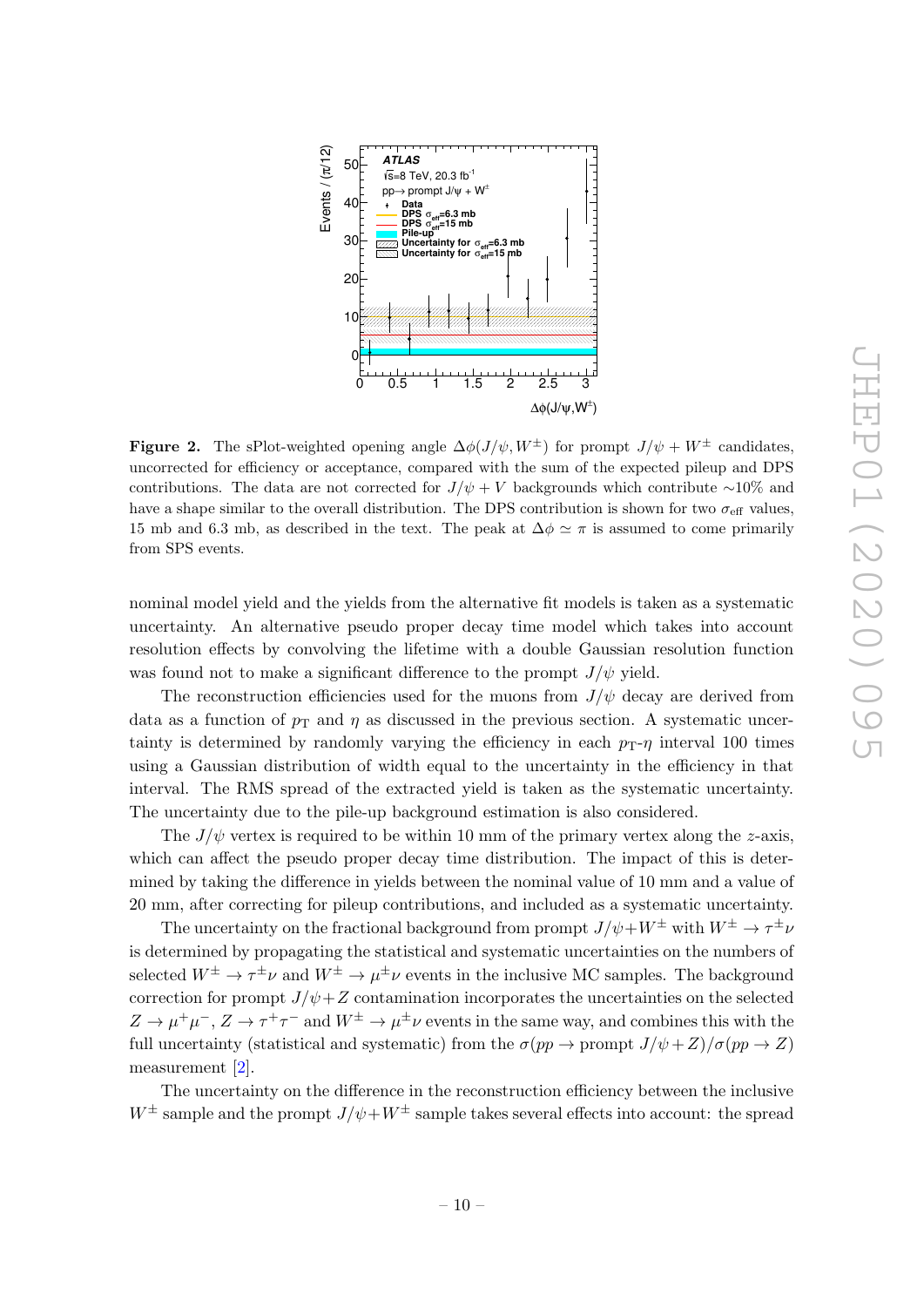<span id="page-10-0"></span>

**Figure 2.** The sPlot-weighted opening angle  $\Delta\phi(J/\psi, W^{\pm})$  for prompt  $J/\psi + W^{\pm}$  candidates, uncorrected for efficiency or acceptance, compared with the sum of the expected pileup and DPS contributions. The data are not corrected for  $J/\psi + V$  backgrounds which contribute ∼10% and have a shape similar to the overall distribution. The DPS contribution is shown for two  $\sigma_{\text{eff}}$  values, 15 mb and 6.3 mb, as described in the text. The peak at  $\Delta \phi \simeq \pi$  is assumed to come primarily from SPS events.

nominal model yield and the yields from the alternative fit models is taken as a systematic uncertainty. An alternative pseudo proper decay time model which takes into account resolution effects by convolving the lifetime with a double Gaussian resolution function was found not to make a significant difference to the prompt  $J/\psi$  yield.

The reconstruction efficiencies used for the muons from  $J/\psi$  decay are derived from data as a function of  $p_T$  and  $\eta$  as discussed in the previous section. A systematic uncertainty is determined by randomly varying the efficiency in each  $p_T$ - $\eta$  interval 100 times using a Gaussian distribution of width equal to the uncertainty in the efficiency in that interval. The RMS spread of the extracted yield is taken as the systematic uncertainty. The uncertainty due to the pile-up background estimation is also considered.

The  $J/\psi$  vertex is required to be within 10 mm of the primary vertex along the z-axis, which can affect the pseudo proper decay time distribution. The impact of this is determined by taking the difference in yields between the nominal value of 10 mm and a value of 20 mm, after correcting for pileup contributions, and included as a systematic uncertainty.

The uncertainty on the fractional background from prompt  $J/\psi + W^{\pm}$  with  $W^{\pm} \to \tau^{\pm} \nu$ is determined by propagating the statistical and systematic uncertainties on the numbers of selected  $W^{\pm} \to \tau^{\pm} \nu$  and  $W^{\pm} \to \mu^{\pm} \nu$  events in the inclusive MC samples. The background correction for prompt  $J/\psi + Z$  contamination incorporates the uncertainties on the selected  $Z \to \mu^+\mu^-, Z \to \tau^+\tau^-$  and  $W^{\pm} \to \mu^{\pm}\nu$  events in the same way, and combines this with the full uncertainty (statistical and systematic) from the  $\sigma(pp \to \text{prompt } J/\psi + Z)/\sigma(pp \to Z)$ measurement [\[2\]](#page-17-1).

The uncertainty on the difference in the reconstruction efficiency between the inclusive  $W^{\pm}$  sample and the prompt  $J/\psi+W^{\pm}$  sample takes several effects into account: the spread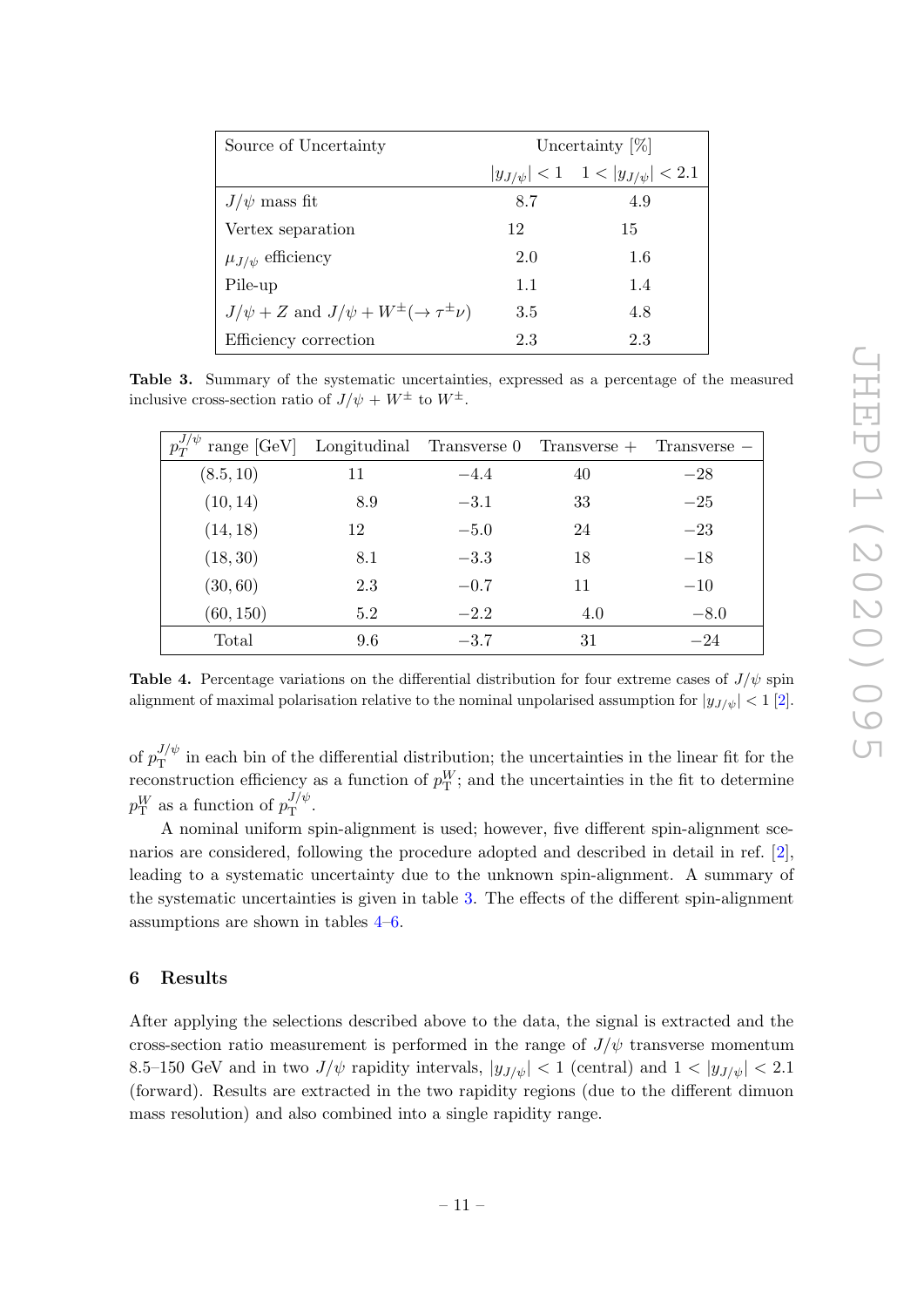<span id="page-11-1"></span>

| Source of Uncertainty                                          | Uncertainty $[\%]$ |                                                 |
|----------------------------------------------------------------|--------------------|-------------------------------------------------|
|                                                                |                    | $ y_{J/\psi}  < 1 \quad 1 <  y_{J/\psi}  < 2.1$ |
| $J/\psi$ mass fit                                              | 8.7                | 4.9                                             |
| Vertex separation                                              | 12                 | 15                                              |
| $\mu_{J/\psi}$ efficiency                                      | 2.0                | 1.6                                             |
| Pile-up                                                        | 1.1                | 1.4                                             |
| $J/\psi + Z$ and $J/\psi + W^{\pm}(\rightarrow \tau^{\pm}\nu)$ | 3.5                | 4.8                                             |
| Efficiency correction                                          | 2.3                | 2.3                                             |

Table 3. Summary of the systematic uncertainties, expressed as a percentage of the measured inclusive cross-section ratio of  $J/\psi + W^{\pm}$  to  $W^{\pm}$ .

<span id="page-11-2"></span>

|           |     |        | range $[GeV]$ Longitudinal Transverse 0 Transverse + Transverse - |        |
|-----------|-----|--------|-------------------------------------------------------------------|--------|
| (8.5, 10) | 11  | $-4.4$ | 40                                                                | $-28$  |
| (10, 14)  | 8.9 | $-3.1$ | 33                                                                | $-25$  |
| (14, 18)  | 12  | $-5.0$ | 24                                                                | $-23$  |
| (18, 30)  | 8.1 | $-3.3$ | 18                                                                | $-18$  |
| (30, 60)  | 2.3 | $-0.7$ | 11                                                                | $-10$  |
| (60, 150) | 5.2 | $-2.2$ | 4.0                                                               | $-8.0$ |
| Total     | 9.6 | $-3.7$ | 31                                                                | $-24$  |

**Table 4.** Percentage variations on the differential distribution for four extreme cases of  $J/\psi$  spin alignment of maximal polarisation relative to the nominal unpolarised assumption for  $|y_{J/\psi}| < 1$  [\[2\]](#page-17-1).

of  $p_{\rm T}^{J/\psi}$  $T<sup>j/\psi</sup>$  in each bin of the differential distribution; the uncertainties in the linear fit for the reconstruction efficiency as a function of  $p_T^W$ ; and the uncertainties in the fit to determine  $p_{\textrm{T}}^{W}$  as a function of  $p_{\textrm{T}}^{J/\psi}$  $\frac{J/\psi}{\rm T}$ .

A nominal uniform spin-alignment is used; however, five different spin-alignment scenarios are considered, following the procedure adopted and described in detail in ref. [\[2\]](#page-17-1), leading to a systematic uncertainty due to the unknown spin-alignment. A summary of the systematic uncertainties is given in table [3.](#page-11-1) The effects of the different spin-alignment assumptions are shown in tables [4](#page-11-2)[–6.](#page-12-1)

# <span id="page-11-0"></span>6 Results

After applying the selections described above to the data, the signal is extracted and the cross-section ratio measurement is performed in the range of  $J/\psi$  transverse momentum 8.5–150 GeV and in two  $J/\psi$  rapidity intervals,  $|y_{J/\psi}| < 1$  (central) and  $1 < |y_{J/\psi}| < 2.1$ (forward). Results are extracted in the two rapidity regions (due to the different dimuon mass resolution) and also combined into a single rapidity range.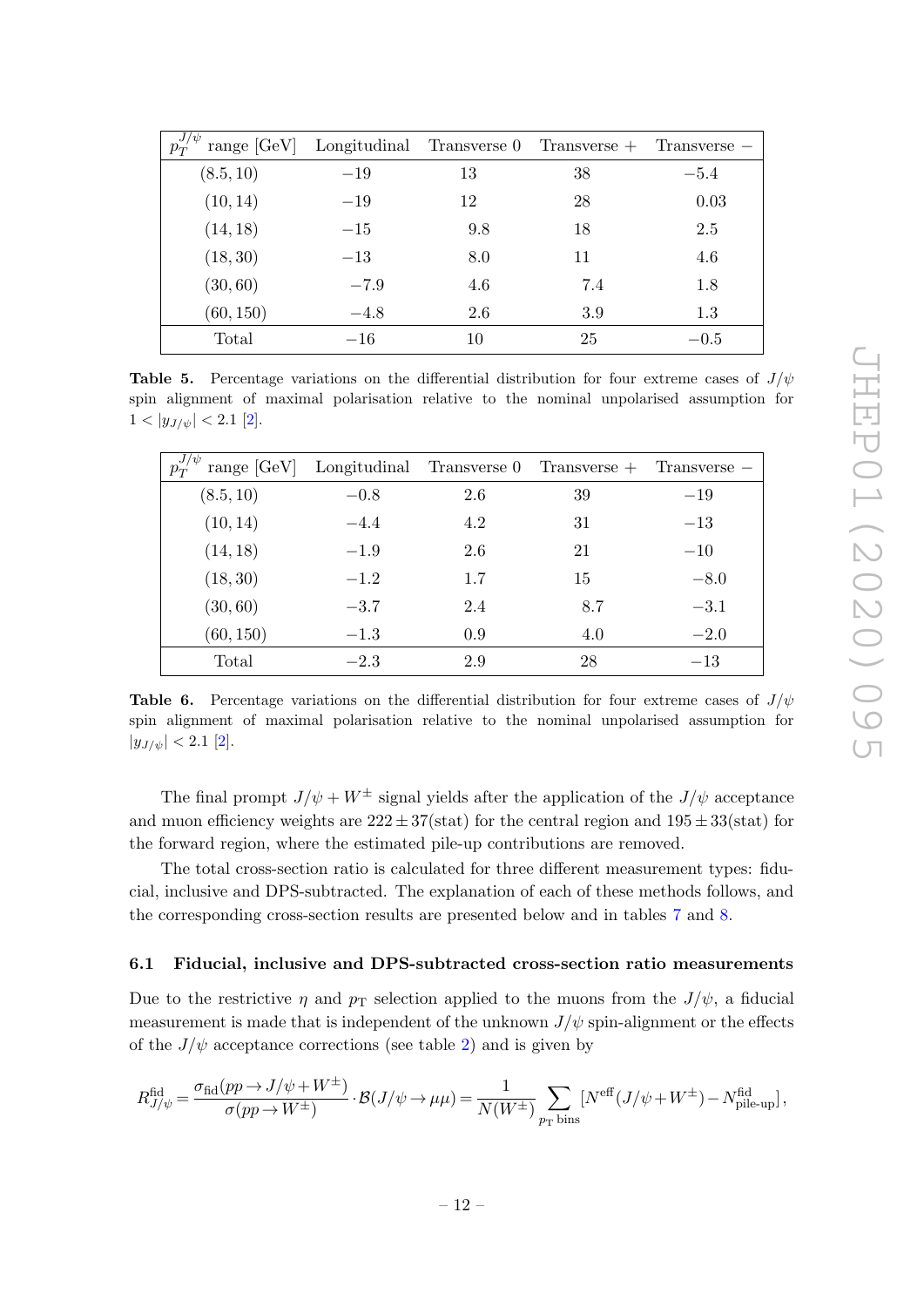| range $[GeV]$ |        |     | Longitudinal Transverse $0$ Transverse $+$ Transverse $-$ |        |
|---------------|--------|-----|-----------------------------------------------------------|--------|
| (8.5, 10)     | $-19$  | 13  | 38                                                        | $-5.4$ |
| (10, 14)      | $-19$  | 12  | 28                                                        | 0.03   |
| (14, 18)      | $-15$  | 9.8 | 18                                                        | 2.5    |
| (18, 30)      | $-13$  | 8.0 | 11                                                        | 4.6    |
| (30, 60)      | $-7.9$ | 4.6 | 7.4                                                       | 1.8    |
| (60, 150)     | $-4.8$ | 2.6 | 3.9                                                       | 1.3    |
| Total         | $-16$  | 10  | 25                                                        | $-0.5$ |

**Table 5.** Percentage variations on the differential distribution for four extreme cases of  $J/\psi$ spin alignment of maximal polarisation relative to the nominal unpolarised assumption for  $1 < |y_{J/\psi}| < 2.1$  [\[2\]](#page-17-1).

<span id="page-12-1"></span>

|           |        |     | range $[GeV]$ Longitudinal Transverse 0 Transverse + Transverse - |        |
|-----------|--------|-----|-------------------------------------------------------------------|--------|
| (8.5, 10) | $-0.8$ | 2.6 | 39                                                                | $-19$  |
| (10, 14)  | $-4.4$ | 4.2 | 31                                                                | $-13$  |
| (14, 18)  | $-1.9$ | 2.6 | 21                                                                | $-10$  |
| (18, 30)  | $-1.2$ | 1.7 | 15                                                                | $-8.0$ |
| (30, 60)  | $-3.7$ | 2.4 | 8.7                                                               | $-3.1$ |
| (60, 150) | $-1.3$ | 0.9 | 4.0                                                               | $-2.0$ |
| Total     | $-2.3$ | 2.9 | 28                                                                | $-13$  |

**Table 6.** Percentage variations on the differential distribution for four extreme cases of  $J/\psi$ spin alignment of maximal polarisation relative to the nominal unpolarised assumption for  $|y_{J/\psi}| < 2.1$  [\[2\]](#page-17-1).

The final prompt  $J/\psi + W^{\pm}$  signal yields after the application of the  $J/\psi$  acceptance and muon efficiency weights are  $222 \pm 37$ (stat) for the central region and  $195 \pm 33$ (stat) for the forward region, where the estimated pile-up contributions are removed.

The total cross-section ratio is calculated for three different measurement types: fiducial, inclusive and DPS-subtracted. The explanation of each of these methods follows, and the corresponding cross-section results are presented below and in tables [7](#page-14-1) and [8.](#page-14-2)

#### <span id="page-12-0"></span>6.1 Fiducial, inclusive and DPS-subtracted cross-section ratio measurements

Due to the restrictive  $\eta$  and  $p_T$  selection applied to the muons from the  $J/\psi$ , a fiducial measurement is made that is independent of the unknown  $J/\psi$  spin-alignment or the effects of the  $J/\psi$  acceptance corrections (see table [2\)](#page-4-2) and is given by

$$
R^{\text{fid}}_{J/\psi} = \frac{\sigma_{\text{fid}}(pp \to J/\psi + W^\pm)}{\sigma(pp \to W^\pm)} \cdot \mathcal{B}(J/\psi \to \mu\mu) = \frac{1}{N(W^\pm)} \sum_{p_\text{T} \text{ bins}} [N^\text{eff}(J/\psi + W^\pm) - N^\text{fid}_\text{pile-up}] \,,
$$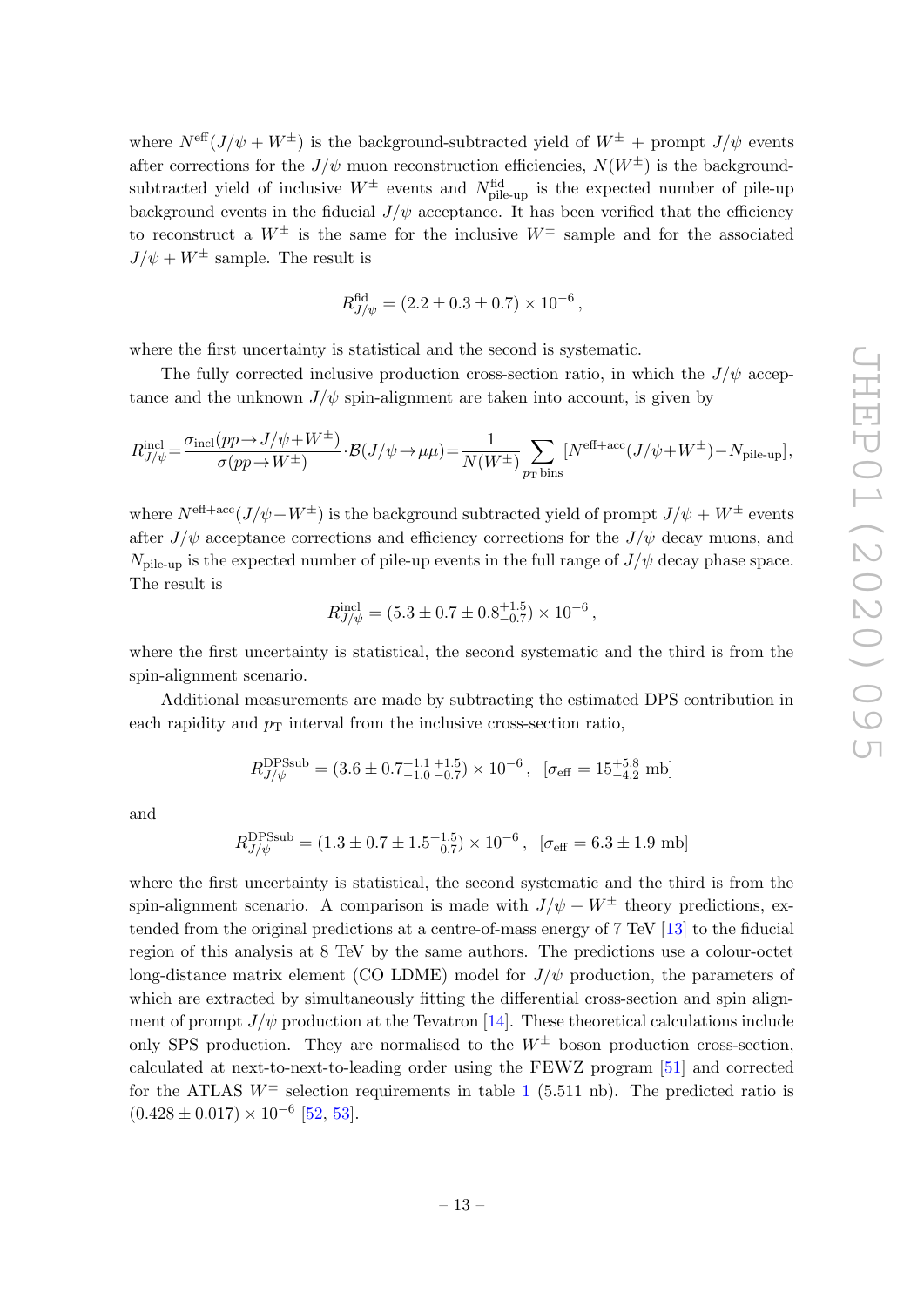where  $N^{\text{eff}}(J/\psi + W^{\pm})$  is the background-subtracted yield of  $W^{\pm}$  + prompt  $J/\psi$  events after corrections for the  $J/\psi$  muon reconstruction efficiencies,  $N(W^{\pm})$  is the backgroundsubtracted yield of inclusive  $W^{\pm}$  events and  $N^{\text{fid}}_{\text{pile-up}}$  is the expected number of pile-up background events in the fiducial  $J/\psi$  acceptance. It has been verified that the efficiency to reconstruct a  $W^{\pm}$  is the same for the inclusive  $W^{\pm}$  sample and for the associated  $J/\psi + W^{\pm}$  sample. The result is

$$
R_{J/\psi}^{\text{fid}} = (2.2 \pm 0.3 \pm 0.7) \times 10^{-6},
$$

where the first uncertainty is statistical and the second is systematic.

The fully corrected inclusive production cross-section ratio, in which the  $J/\psi$  acceptance and the unknown  $J/\psi$  spin-alignment are taken into account, is given by

$$
R^{\rm incl}_{J/\psi} \! = \! \frac{\sigma_{\rm incl}(pp \! \to \! J/\psi \! + \! W^\pm)}{\sigma(pp \! \to \! W^\pm)} \! \cdot \! \mathcal{B}(J/\psi \! \to \! \mu\mu) \! = \! \frac{1}{N(W^\pm)} \! \sum_{p_{\rm T} \, \rm bins} \! \left[N^{\rm eff+acc}(J/\psi \! + \! W^\pm) \! - \! N_{\rm pile-up}\right]\!, \label{eq:Rj}.
$$

where  $N^{\text{eff}+\text{acc}}(J/\psi+W^{\pm})$  is the background subtracted yield of prompt  $J/\psi+W^{\pm}$  events after  $J/\psi$  acceptance corrections and efficiency corrections for the  $J/\psi$  decay muons, and  $N_{\rm pile-up}$  is the expected number of pile-up events in the full range of  $J/\psi$  decay phase space. The result is

$$
R_{J/\psi}^{\rm incl} = (5.3 \pm 0.7 \pm 0.8^{+1.5}_{-0.7}) \times 10^{-6},
$$

where the first uncertainty is statistical, the second systematic and the third is from the spin-alignment scenario.

Additional measurements are made by subtracting the estimated DPS contribution in each rapidity and  $p<sub>T</sub>$  interval from the inclusive cross-section ratio,

$$
R_{J/\psi}^{\text{DPSsub}} = (3.6 \pm 0.7^{+1.1}_{-1.0} \frac{+1.5}{-0.7}) \times 10^{-6}, \ [\sigma_{\text{eff}} = 15^{+5.8}_{-4.2} \text{ mb}]
$$

and

$$
R_{J/\psi}^{\text{DPSsub}} = (1.3 \pm 0.7 \pm 1.5^{+1.5}_{-0.7}) \times 10^{-6}, \ [\sigma_{\text{eff}} = 6.3 \pm 1.9 \text{ mb}]
$$

where the first uncertainty is statistical, the second systematic and the third is from the spin-alignment scenario. A comparison is made with  $J/\psi + W^{\pm}$  theory predictions, extended from the original predictions at a centre-of-mass energy of 7 TeV [\[13\]](#page-18-5) to the fiducial region of this analysis at 8 TeV by the same authors. The predictions use a colour-octet long-distance matrix element (CO LDME) model for  $J/\psi$  production, the parameters of which are extracted by simultaneously fitting the differential cross-section and spin alignment of prompt  $J/\psi$  production at the Tevatron [\[14\]](#page-18-0). These theoretical calculations include only SPS production. They are normalised to the  $W^{\pm}$  boson production cross-section, calculated at next-to-next-to-leading order using the FEWZ program [\[51\]](#page-20-3) and corrected for the ATLAS  $W^{\pm}$  selection requirements in table [1](#page-4-0) (5.511 nb). The predicted ratio is  $(0.428 \pm 0.017) \times 10^{-6}$  [\[52,](#page-20-4) [53\]](#page-20-5).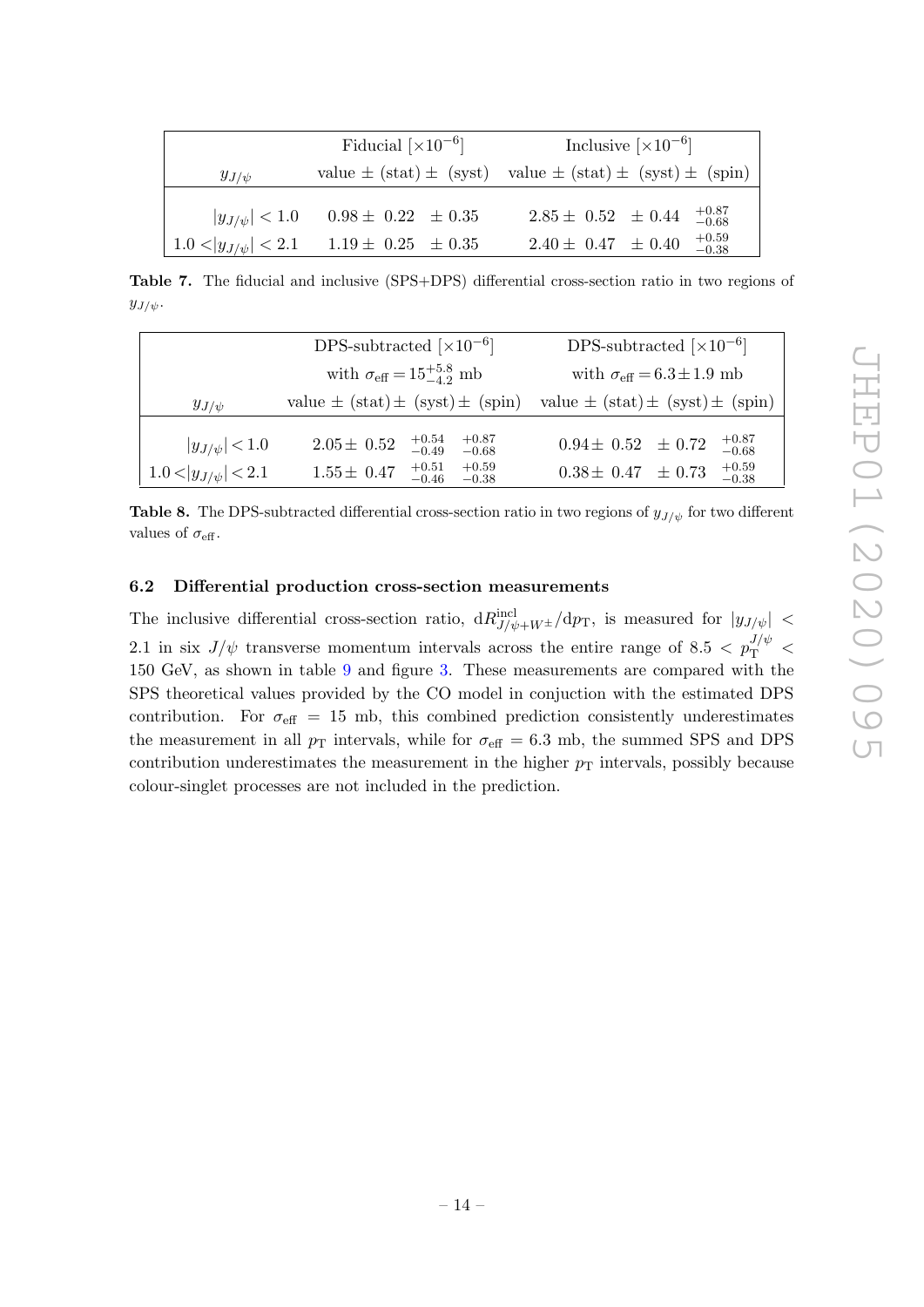<span id="page-14-1"></span>

|                                                     | Fiducial $\lceil \times 10^{-6} \rceil$              | Inclusive $\lceil \times 10^{-6} \rceil$                                                         |  |
|-----------------------------------------------------|------------------------------------------------------|--------------------------------------------------------------------------------------------------|--|
| $y_{J/\psi}$                                        |                                                      | value $\pm$ (stat) $\pm$ (syst) value $\pm$ (stat) $\pm$ (syst) $\pm$ (spin)                     |  |
| $ y_{J/\psi}  < 1.0$<br>$ 1.0 <  y_{J/\psi}  < 2.1$ | $0.98 \pm 0.22 \pm 0.35$<br>$1.19 \pm 0.25 \pm 0.35$ | $^{+0.87}_{-0.68}$<br>$2.85 \pm 0.52 \pm 0.44$<br>$^{+0.59}_{-0.38}$<br>$2.40 \pm 0.47 \pm 0.40$ |  |

Table 7. The fiducial and inclusive (SPS+DPS) differential cross-section ratio in two regions of  $y_{J/\psi}$ .

<span id="page-14-2"></span>

|                            | DPS-subtracted $\lfloor \times 10^{-6} \rfloor$             | DPS-subtracted $\lfloor \times 10^{-6} \rfloor$     |  |  |
|----------------------------|-------------------------------------------------------------|-----------------------------------------------------|--|--|
|                            | with $\sigma_{\text{eff}} = 15^{+5.8}_{-4.2}$ mb            | with $\sigma_{\text{eff}} = 6.3 \pm 1.9 \text{ mb}$ |  |  |
| $y_{J/\psi}$               | value $\pm$ (stat) $\pm$ (syst) $\pm$ (spin)                | value $\pm$ (stat) $\pm$ (syst) $\pm$ (spin)        |  |  |
| $ y_{J/\psi}  < 1.0$       | $+0.87$<br>$^{+0.54}_{-0.49}$<br>$2.05 \pm 0.52$<br>$-0.68$ | $+0.87$<br>$0.94 \pm 0.52 \pm 0.72$<br>$-0.68$      |  |  |
| $1.0 <  y_{J/\psi}  < 2.1$ | $+0.51$<br>$+0.59$<br>$1.55 \pm 0.47$<br>$-0.46$<br>$-0.38$ | $+0.59$<br>$0.38 \pm 0.47 \pm 0.73$<br>$-0.38$      |  |  |

**Table 8.** The DPS-subtracted differential cross-section ratio in two regions of  $y_{J/\psi}$  for two different values of  $\sigma_{\text{eff}}$ .

#### <span id="page-14-0"></span>6.2 Differential production cross-section measurements

The inclusive differential cross-section ratio,  $dR_{J/\psi+W^{\pm}}^{incl}/dp_T$ , is measured for  $|y_{J/\psi}| <$ 2.1 in six  $J/\psi$  transverse momentum intervals across the entire range of 8.5  $\langle p_T^{J/\psi} \rangle$ 150 GeV, as shown in table [9](#page-15-0) and figure [3.](#page-15-1) These measurements are compared with the SPS theoretical values provided by the CO model in conjuction with the estimated DPS contribution. For  $\sigma_{\text{eff}} = 15$  mb, this combined prediction consistently underestimates the measurement in all  $p_T$  intervals, while for  $\sigma_{\text{eff}} = 6.3$  mb, the summed SPS and DPS contribution underestimates the measurement in the higher  $p<sub>T</sub>$  intervals, possibly because colour-singlet processes are not included in the prediction.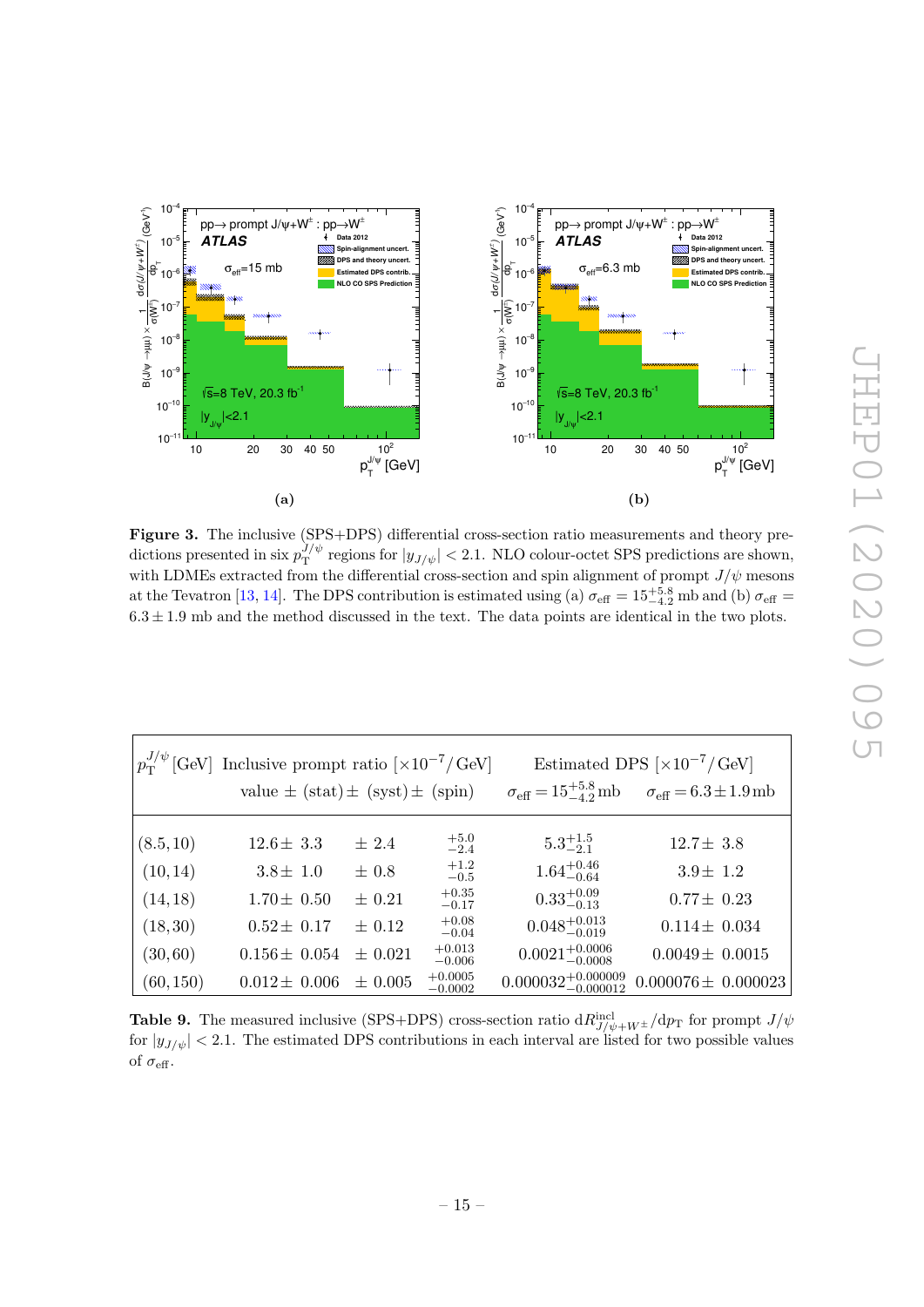<span id="page-15-1"></span>

Figure 3. The inclusive (SPS+DPS) differential cross-section ratio measurements and theory predictions presented in six  $p_T^{J/\psi}$  $T_T^{J/\psi}$  regions for  $|y_{J/\psi}| < 2.1$ . NLO colour-octet SPS predictions are shown, with LDMEs extracted from the differential cross-section and spin alignment of prompt  $J/\psi$  mesons at the Tevatron [\[13,](#page-18-5) [14\]](#page-18-0). The DPS contribution is estimated using (a)  $\sigma_{\text{eff}} = 15^{+5.8}_{-4.2}$  mb and (b)  $\sigma_{\text{eff}} =$  $6.3 \pm 1.9$  mb and the method discussed in the text. The data points are identical in the two plots.

<span id="page-15-0"></span>

|           | $\left p_T^{J/\psi}[\text{GeV}] \right $ Inclusive prompt ratio $[\times 10^{-7}/\text{GeV}]$ |             | Estimated DPS $\left[\times 10^{-7} / \text{GeV}\right]$ |                                    |                                                                                                  |
|-----------|-----------------------------------------------------------------------------------------------|-------------|----------------------------------------------------------|------------------------------------|--------------------------------------------------------------------------------------------------|
|           | value $\pm$ (stat) $\pm$ (syst) $\pm$ (spin)                                                  |             |                                                          |                                    | $\sigma_{\text{eff}} = 15^{+5.8}_{-4.2} \text{mb}$ $\sigma_{\text{eff}} = 6.3 \pm 1.9 \text{mb}$ |
|           |                                                                                               |             |                                                          |                                    |                                                                                                  |
| (8.5, 10) | $12.6 \pm 3.3$                                                                                | ± 2.4       | $+5.0$<br>$-2.4$                                         | $5.3^{+1.5}_{-2.1}$                | $12.7 \pm 3.8$                                                                                   |
| (10, 14)  | $3.8 \pm 1.0$                                                                                 | $\pm 0.8$   | $+1.2$<br>$-0.5$                                         | $1.64^{+0.46}_{-0.64}$             | $3.9 \pm 1.2$                                                                                    |
| (14, 18)  | $1.70 \pm 0.50$                                                                               | $\pm$ 0.21  | $+0.35$<br>$-0.17$                                       | $0.33^{+0.09}_{-0.13}$             | $0.77 \pm 0.23$                                                                                  |
| (18, 30)  | $0.52 \pm 0.17$                                                                               | $\pm$ 0.12  | $+0.08$<br>$-0.04$                                       | $0.048^{+0.013}_{-0.019}$          | $0.114 \pm 0.034$                                                                                |
| (30, 60)  | $0.156 \pm 0.054$                                                                             | $\pm$ 0.021 | $+0.013$<br>$-0.006$                                     | $0.0021^{+0.0006}_{-0.0008}$       | $0.0049 \pm 0.0015$                                                                              |
| (60, 150) | $0.012 \pm 0.006$                                                                             | $\pm 0.005$ | $+0.0005$<br>$-0.0002$                                   | $0.000032^{+0.000009}_{-0.000012}$ | $0.000076 \pm 0.000023$                                                                          |

**Table 9.** The measured inclusive (SPS+DPS) cross-section ratio  $dR_{J/\psi+W^{\pm}}^{incl}/dp_T$  for prompt  $J/\psi$ for  $|y_{J/\psi}| < 2.1$ . The estimated DPS contributions in each interval are listed for two possible values of  $\sigma_{\text{eff}}$ .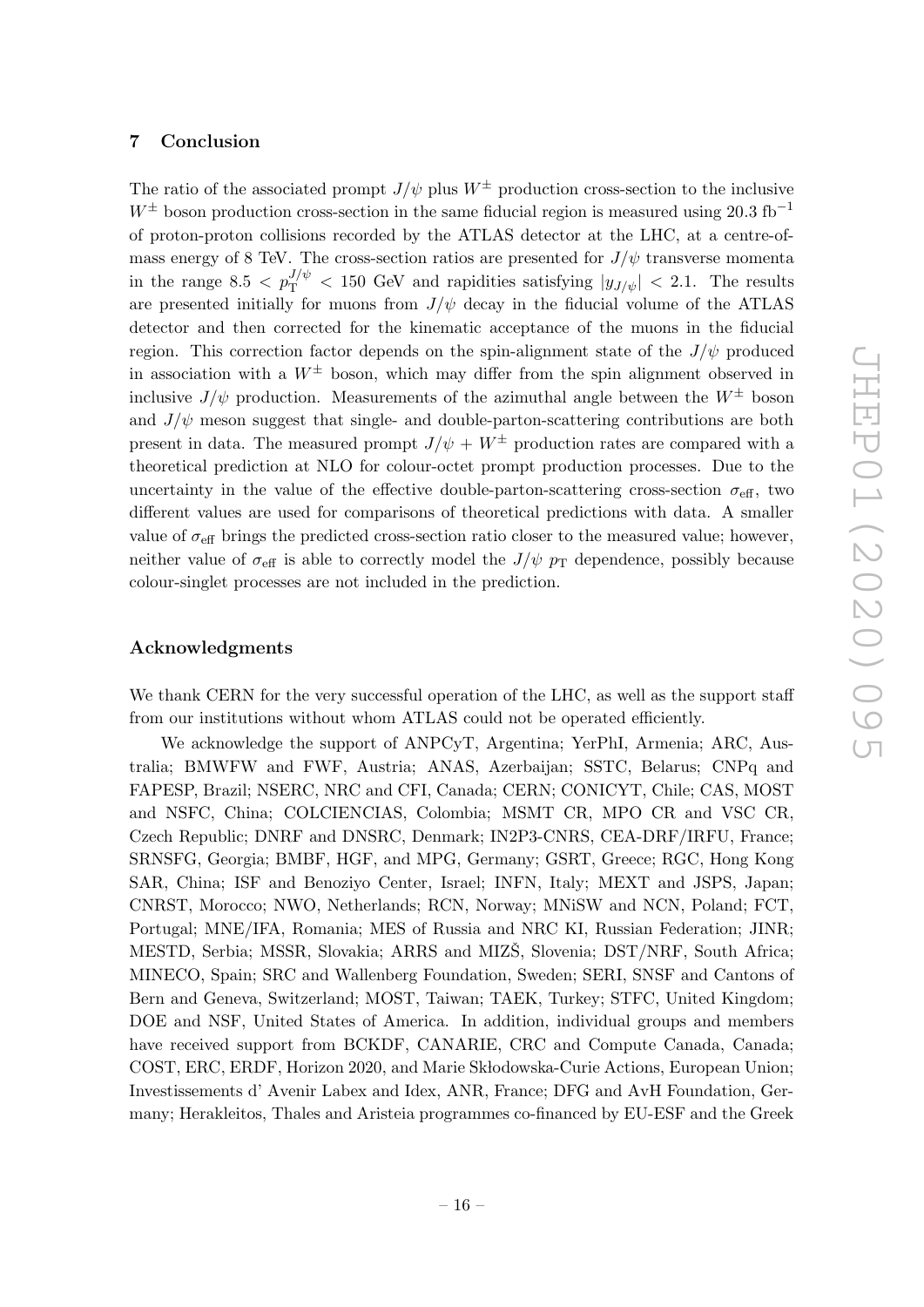#### <span id="page-16-0"></span>7 Conclusion

The ratio of the associated prompt  $J/\psi$  plus  $W^{\pm}$  production cross-section to the inclusive  $W^{\pm}$  boson production cross-section in the same fiducial region is measured using 20.3 fb<sup>-1</sup> of proton-proton collisions recorded by the ATLAS detector at the LHC, at a centre-ofmass energy of 8 TeV. The cross-section ratios are presented for  $J/\psi$  transverse momenta in the range 8.5  $\langle p_T^{J/\psi} \rangle$  = 150 GeV and rapidities satisfying  $|y_{J/\psi}|$  = 2.1. The results are presented initially for muons from  $J/\psi$  decay in the fiducial volume of the ATLAS detector and then corrected for the kinematic acceptance of the muons in the fiducial region. This correction factor depends on the spin-alignment state of the  $J/\psi$  produced in association with a  $W^{\pm}$  boson, which may differ from the spin alignment observed in inclusive  $J/\psi$  production. Measurements of the azimuthal angle between the  $W^{\pm}$  boson and  $J/\psi$  meson suggest that single- and double-parton-scattering contributions are both present in data. The measured prompt  $J/\psi + W^{\pm}$  production rates are compared with a theoretical prediction at NLO for colour-octet prompt production processes. Due to the uncertainty in the value of the effective double-parton-scattering cross-section  $\sigma_{\text{eff}}$ , two different values are used for comparisons of theoretical predictions with data. A smaller value of  $\sigma_{\text{eff}}$  brings the predicted cross-section ratio closer to the measured value; however, neither value of  $\sigma_{\text{eff}}$  is able to correctly model the  $J/\psi p_{\text{T}}$  dependence, possibly because colour-singlet processes are not included in the prediction.

#### Acknowledgments

We thank CERN for the very successful operation of the LHC, as well as the support staff from our institutions without whom ATLAS could not be operated efficiently.

We acknowledge the support of ANPCyT, Argentina; YerPhI, Armenia; ARC, Australia; BMWFW and FWF, Austria; ANAS, Azerbaijan; SSTC, Belarus; CNPq and FAPESP, Brazil; NSERC, NRC and CFI, Canada; CERN; CONICYT, Chile; CAS, MOST and NSFC, China; COLCIENCIAS, Colombia; MSMT CR, MPO CR and VSC CR, Czech Republic; DNRF and DNSRC, Denmark; IN2P3-CNRS, CEA-DRF/IRFU, France; SRNSFG, Georgia; BMBF, HGF, and MPG, Germany; GSRT, Greece; RGC, Hong Kong SAR, China; ISF and Benoziyo Center, Israel; INFN, Italy; MEXT and JSPS, Japan; CNRST, Morocco; NWO, Netherlands; RCN, Norway; MNiSW and NCN, Poland; FCT, Portugal; MNE/IFA, Romania; MES of Russia and NRC KI, Russian Federation; JINR; MESTD, Serbia; MSSR, Slovakia; ARRS and MIZS, Slovenia; DST/NRF, South Africa; MINECO, Spain; SRC and Wallenberg Foundation, Sweden; SERI, SNSF and Cantons of Bern and Geneva, Switzerland; MOST, Taiwan; TAEK, Turkey; STFC, United Kingdom; DOE and NSF, United States of America. In addition, individual groups and members have received support from BCKDF, CANARIE, CRC and Compute Canada, Canada; COST, ERC, ERDF, Horizon 2020, and Marie Sk lodowska-Curie Actions, European Union; Investissements d' Avenir Labex and Idex, ANR, France; DFG and AvH Foundation, Germany; Herakleitos, Thales and Aristeia programmes co-financed by EU-ESF and the Greek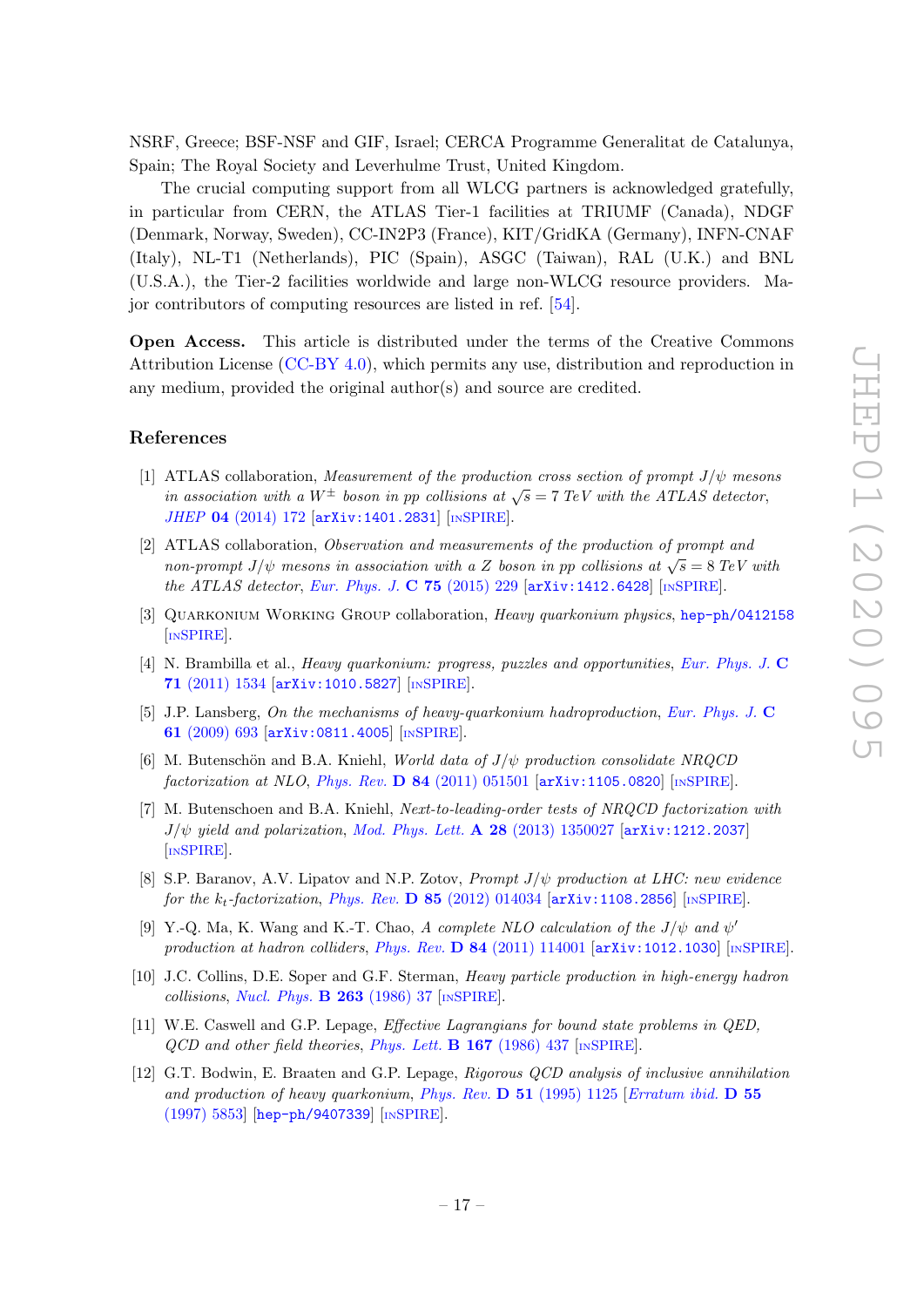NSRF, Greece; BSF-NSF and GIF, Israel; CERCA Programme Generalitat de Catalunya, Spain; The Royal Society and Leverhulme Trust, United Kingdom.

The crucial computing support from all WLCG partners is acknowledged gratefully, in particular from CERN, the ATLAS Tier-1 facilities at TRIUMF (Canada), NDGF (Denmark, Norway, Sweden), CC-IN2P3 (France), KIT/GridKA (Germany), INFN-CNAF (Italy), NL-T1 (Netherlands), PIC (Spain), ASGC (Taiwan), RAL (U.K.) and BNL (U.S.A.), the Tier-2 facilities worldwide and large non-WLCG resource providers. Major contributors of computing resources are listed in ref. [\[54\]](#page-20-6).

Open Access. This article is distributed under the terms of the Creative Commons Attribution License [\(CC-BY 4.0\)](https://creativecommons.org/licenses/by/4.0/), which permits any use, distribution and reproduction in any medium, provided the original author(s) and source are credited.

# References

- <span id="page-17-0"></span>[1] ATLAS collaboration, Measurement of the production cross section of prompt  $J/\psi$  mesons in association with a  $W^{\pm}$  boson in pp collisions at  $\sqrt{s} = 7$  TeV with the ATLAS detector, JHEP 04 [\(2014\) 172](https://doi.org/10.1007/JHEP04(2014)172) [[arXiv:1401.2831](https://arxiv.org/abs/1401.2831)] [IN[SPIRE](https://inspirehep.net/search?p=find+EPRINT+arXiv:1401.2831)].
- <span id="page-17-1"></span>[2] ATLAS collaboration, Observation and measurements of the production of prompt and non-prompt  $J/\psi$  mesons in association with a Z boson in pp collisions at  $\sqrt{s} = 8 \text{ TeV}$  with the ATLAS detector, [Eur. Phys. J.](https://doi.org/10.1140/epjc/s10052-015-3406-9) C 75 (2015) 229  $\left[$ [arXiv:1412.6428](https://arxiv.org/abs/1412.6428) $\right]$   $\left[$ In[SPIRE](https://inspirehep.net/search?p=find+EPRINT+arXiv:1412.6428) $\right]$ .
- <span id="page-17-2"></span>[3] Quarkonium Working Group collaboration, Heavy quarkonium physics, [hep-ph/0412158](https://arxiv.org/abs/hep-ph/0412158) [IN[SPIRE](https://inspirehep.net/search?p=find+EPRINT+hep-ph/0412158)].
- [4] N. Brambilla et al., *Heavy quarkonium: progress, puzzles and opportunities, [Eur. Phys. J.](https://doi.org/10.1140/epjc/s10052-010-1534-9)* C 71 [\(2011\) 1534](https://doi.org/10.1140/epjc/s10052-010-1534-9) [[arXiv:1010.5827](https://arxiv.org/abs/1010.5827)] [IN[SPIRE](https://inspirehep.net/search?p=find+EPRINT+arXiv:1010.5827)].
- [5] J.P. Lansberg, On the mechanisms of heavy-quarkonium hadroproduction, [Eur. Phys. J.](https://doi.org/10.1140/epjc/s10052-008-0826-9) C 61 [\(2009\) 693](https://doi.org/10.1140/epjc/s10052-008-0826-9) [[arXiv:0811.4005](https://arxiv.org/abs/0811.4005)] [IN[SPIRE](https://inspirehep.net/search?p=find+EPRINT+arXiv:0811.4005)].
- [6] M. Butenschön and B.A. Kniehl, World data of  $J/\psi$  production consolidate NRQCD factorization at NLO, Phys. Rev. D  $84$  [\(2011\) 051501](https://doi.org/10.1103/PhysRevD.84.051501) [[arXiv:1105.0820](https://arxiv.org/abs/1105.0820)] [IN[SPIRE](https://inspirehep.net/search?p=find+J+%22Phys.Rev.,D84,051501%22)].
- [7] M. Butenschoen and B.A. Kniehl, Next-to-leading-order tests of NRQCD factorization with  $J/\psi$  yield and polarization, [Mod. Phys. Lett.](https://doi.org/10.1142/S0217732313500272) A 28 (2013) 1350027 [[arXiv:1212.2037](https://arxiv.org/abs/1212.2037)] [IN[SPIRE](https://inspirehep.net/search?p=find+EPRINT+arXiv:1212.2037)].
- [8] S.P. Baranov, A.V. Lipatov and N.P. Zotov, *Prompt J/* $\psi$  *production at LHC: new evidence* for the  $k_t$ -factorization, Phys. Rev. **D** 85 [\(2012\) 014034](https://doi.org/10.1103/PhysRevD.85.014034)  $\left[$ [arXiv:1108.2856](https://arxiv.org/abs/1108.2856) $\right]$  [IN[SPIRE](https://inspirehep.net/search?p=find+EPRINT+arXiv:1108.2856)].
- <span id="page-17-3"></span>[9] Y.-Q. Ma, K. Wang and K.-T. Chao, A complete NLO calculation of the  $J/\psi$  and  $\psi'$ production at hadron colliders, Phys. Rev.  $D \, 84 \, (2011) \, 114001$  [[arXiv:1012.1030](https://arxiv.org/abs/1012.1030)] [IN[SPIRE](https://inspirehep.net/search?p=find+EPRINT+arXiv:1012.1030)].
- <span id="page-17-4"></span>[10] J.C. Collins, D.E. Soper and G.F. Sterman, Heavy particle production in high-energy hadron collisions, [Nucl. Phys.](https://doi.org/10.1016/0550-3213(86)90026-X)  $\bf{B}$  263 (1986) 37 [IN[SPIRE](https://inspirehep.net/search?p=find+J+%22Nucl.Phys.,B263,37%22)].
- <span id="page-17-5"></span>[11] W.E. Caswell and G.P. Lepage, Effective Lagrangians for bound state problems in QED,  $QCD$  and other field theories, [Phys. Lett.](https://doi.org/10.1016/0370-2693(86)91297-9) **B 167** (1986) 437 [IN[SPIRE](https://inspirehep.net/search?p=find+J+%22Phys.Lett.,B167,437%22)].
- <span id="page-17-6"></span>[12] G.T. Bodwin, E. Braaten and G.P. Lepage, Rigorous QCD analysis of inclusive annihilation and production of heavy quarkonium, Phys. Rev. D 51 [\(1995\) 1125](https://doi.org/10.1103/PhysRevD.51.1125) [[Erratum ibid.](https://doi.org/10.1103/PhysRevD.55.5853) D 55 [\(1997\) 5853\]](https://doi.org/10.1103/PhysRevD.55.5853) [[hep-ph/9407339](https://arxiv.org/abs/hep-ph/9407339)] [IN[SPIRE](https://inspirehep.net/search?p=find+J+%22Phys.Rev.,D51,1125%22)].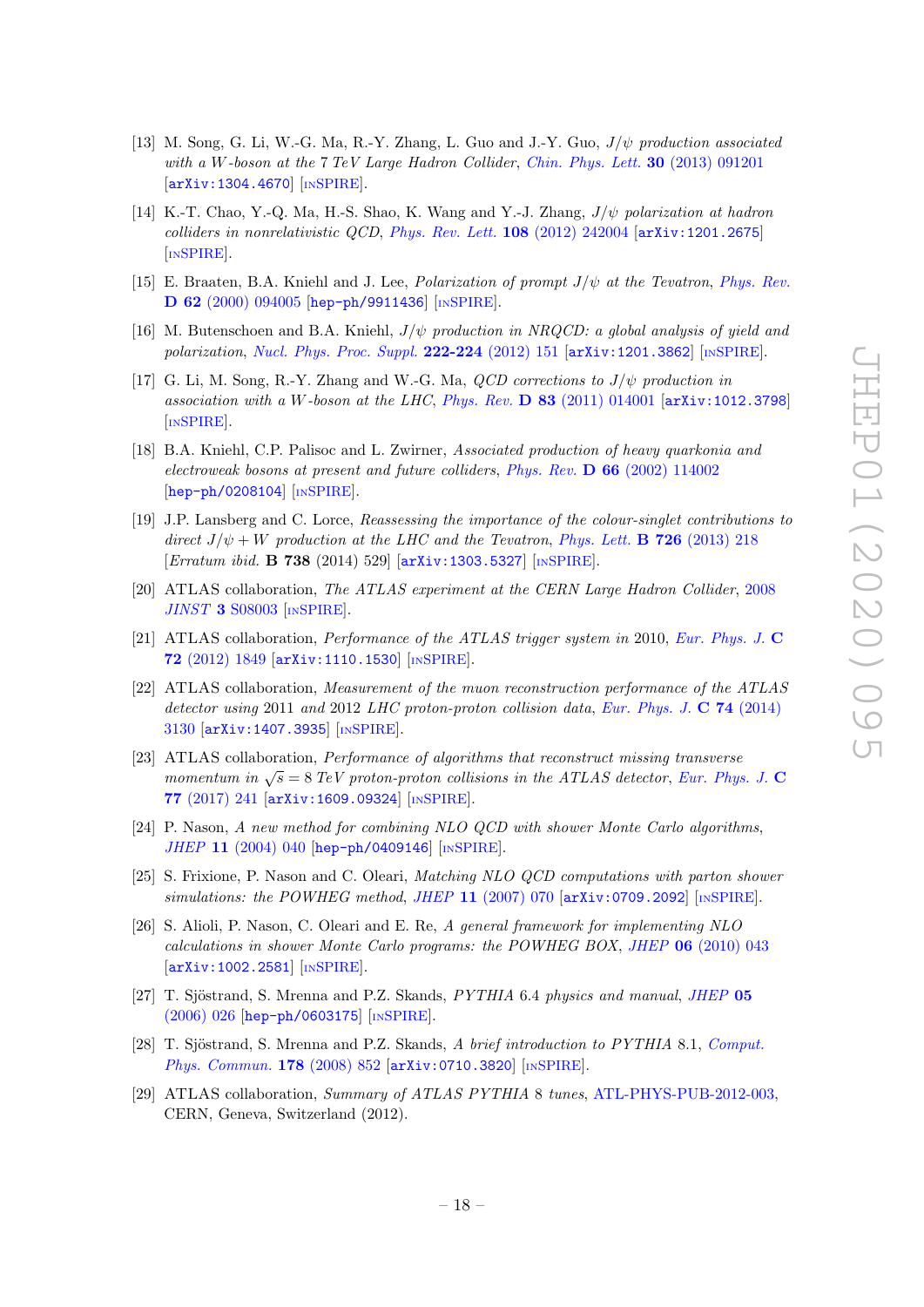- <span id="page-18-5"></span>[13] M. Song, G. Li, W.-G. Ma, R.-Y. Zhang, L. Guo and J.-Y. Guo,  $J/\psi$  production associated with a W-boson at the 7 TeV Large Hadron Collider, [Chin. Phys. Lett.](https://doi.org/10.1088/0256-307X/30/9/091201) 30 (2013) 091201 [[arXiv:1304.4670](https://arxiv.org/abs/1304.4670)] [IN[SPIRE](https://inspirehep.net/search?p=find+EPRINT+arXiv:1304.4670)].
- <span id="page-18-0"></span>[14] K.-T. Chao, Y.-Q. Ma, H.-S. Shao, K. Wang and Y.-J. Zhang, J/ψ polarization at hadron colliders in nonrelativistic QCD, [Phys. Rev. Lett.](https://doi.org/10.1103/PhysRevLett.108.242004) 108 (2012) 242004 [[arXiv:1201.2675](https://arxiv.org/abs/1201.2675)] [IN[SPIRE](https://inspirehep.net/search?p=find+EPRINT+arXiv:1201.2675)].
- [15] E. Braaten, B.A. Kniehl and J. Lee, *Polarization of prompt*  $J/\psi$  *at the Tevatron, [Phys. Rev.](https://doi.org/10.1103/PhysRevD.62.094005)* D 62 [\(2000\) 094005](https://doi.org/10.1103/PhysRevD.62.094005) [[hep-ph/9911436](https://arxiv.org/abs/hep-ph/9911436)] [IN[SPIRE](https://inspirehep.net/search?p=find+EPRINT+hep-ph/9911436)].
- <span id="page-18-1"></span>[16] M. Butenschoen and B.A. Kniehl,  $J/\psi$  production in NRQCD: a global analysis of yield and polarization, [Nucl. Phys. Proc. Suppl.](https://doi.org/10.1016/j.nuclphysBPS.2012.03.016) 222-224 (2012) 151 [[arXiv:1201.3862](https://arxiv.org/abs/1201.3862)] [IN[SPIRE](https://inspirehep.net/search?p=find+EPRINT+arXiv:1201.3862)].
- <span id="page-18-2"></span>[17] G. Li, M. Song, R.-Y. Zhang and W.-G. Ma,  $QCD$  corrections to  $J/\psi$  production in association with a W-boson at the LHC, Phys. Rev.  $\bf{D}$  83 [\(2011\) 014001](https://doi.org/10.1103/PhysRevD.83.014001) [[arXiv:1012.3798](https://arxiv.org/abs/1012.3798)] [IN[SPIRE](https://inspirehep.net/search?p=find+J+%22Phys.Rev.,D83,014001%22)].
- <span id="page-18-3"></span>[18] B.A. Kniehl, C.P. Palisoc and L. Zwirner, Associated production of heavy quarkonia and electroweak bosons at present and future colliders, Phys. Rev.  $\bf{D} 66$  [\(2002\) 114002](https://doi.org/10.1103/PhysRevD.66.114002) [[hep-ph/0208104](https://arxiv.org/abs/hep-ph/0208104)] [IN[SPIRE](https://inspirehep.net/search?p=find+EPRINT+hep-ph/0208104)].
- <span id="page-18-4"></span>[19] J.P. Lansberg and C. Lorce, Reassessing the importance of the colour-singlet contributions to direct  $J/\psi + W$  production at the LHC and the Tevatron, [Phys. Lett.](https://doi.org/10.1016/j.physletb.2013.07.059) **B 726** (2013) 218 [Erratum ibid. **B 738** (2014) 529] [[arXiv:1303.5327](https://arxiv.org/abs/1303.5327)] [IN[SPIRE](https://inspirehep.net/search?p=find+EPRINT+arXiv:1303.5327)].
- <span id="page-18-6"></span>[20] ATLAS collaboration, The ATLAS experiment at the CERN Large Hadron Collider, [2008](https://doi.org/10.1088/1748-0221/3/08/S08003)  $JINST$  3 [S08003](https://doi.org/10.1088/1748-0221/3/08/S08003) [IN[SPIRE](https://inspirehep.net/search?p=find+J+%22JINST,3,S08003%22)].
- <span id="page-18-7"></span>[21] ATLAS collaboration, Performance of the ATLAS trigger system in 2010, [Eur. Phys. J.](https://doi.org/10.1140/epjc/s10052-011-1849-1) C 72 [\(2012\) 1849](https://doi.org/10.1140/epjc/s10052-011-1849-1) [[arXiv:1110.1530](https://arxiv.org/abs/1110.1530)] [IN[SPIRE](https://inspirehep.net/search?p=find+EPRINT+arXiv:1110.1530)].
- <span id="page-18-8"></span>[22] ATLAS collaboration, Measurement of the muon reconstruction performance of the ATLAS detector using 2011 and 2012 LHC proton-proton collision data, [Eur. Phys. J.](https://doi.org/10.1140/epjc/s10052-014-3130-x) C 74 (2014) [3130](https://doi.org/10.1140/epjc/s10052-014-3130-x) [[arXiv:1407.3935](https://arxiv.org/abs/1407.3935)] [IN[SPIRE](https://inspirehep.net/search?p=find+EPRINT+arXiv:1407.3935)].
- <span id="page-18-9"></span>[23] ATLAS collaboration, Performance of algorithms that reconstruct missing transverse momentum in  $\sqrt{s} = 8$  TeV proton-proton collisions in the ATLAS detector, [Eur. Phys. J.](https://doi.org/10.1140/epjc/s10052-017-4780-2) C 77 [\(2017\) 241](https://doi.org/10.1140/epjc/s10052-017-4780-2) [[arXiv:1609.09324](https://arxiv.org/abs/1609.09324)] [IN[SPIRE](https://inspirehep.net/search?p=find+EPRINT+arXiv:1609.09324)].
- <span id="page-18-10"></span>[24] P. Nason, A new method for combining NLO QCD with shower Monte Carlo algorithms, JHEP 11 [\(2004\) 040](https://doi.org/10.1088/1126-6708/2004/11/040) [[hep-ph/0409146](https://arxiv.org/abs/hep-ph/0409146)] [IN[SPIRE](https://inspirehep.net/search?p=find+EPRINT+hep-ph/0409146)].
- [25] S. Frixione, P. Nason and C. Oleari, Matching NLO QCD computations with parton shower simulations: the POWHEG method, JHEP  $11$  [\(2007\) 070](https://doi.org/10.1088/1126-6708/2007/11/070) [[arXiv:0709.2092](https://arxiv.org/abs/0709.2092)] [IN[SPIRE](https://inspirehep.net/search?p=find+EPRINT+arXiv:0709.2092)].
- <span id="page-18-11"></span>[26] S. Alioli, P. Nason, C. Oleari and E. Re, A general framework for implementing NLO calculations in shower Monte Carlo programs: the POWHEG BOX, JHEP 06 [\(2010\) 043](https://doi.org/10.1007/JHEP06(2010)043) [[arXiv:1002.2581](https://arxiv.org/abs/1002.2581)] [IN[SPIRE](https://inspirehep.net/search?p=find+EPRINT+arXiv:1002.2581)].
- <span id="page-18-12"></span>[27] T. Sjöstrand, S. Mrenna and P.Z. Skands, *PYTHIA* 6.4 *physics and manual*, *[JHEP](https://doi.org/10.1088/1126-6708/2006/05/026)* 05 [\(2006\) 026](https://doi.org/10.1088/1126-6708/2006/05/026) [[hep-ph/0603175](https://arxiv.org/abs/hep-ph/0603175)] [IN[SPIRE](https://inspirehep.net/search?p=find+EPRINT+hep-ph/0603175)].
- <span id="page-18-13"></span>[28] T. Sjöstrand, S. Mrenna and P.Z. Skands, A brief introduction to PYTHIA 8.1, [Comput.](https://doi.org/10.1016/j.cpc.2008.01.036) [Phys. Commun.](https://doi.org/10.1016/j.cpc.2008.01.036) 178 (2008) 852 [[arXiv:0710.3820](https://arxiv.org/abs/0710.3820)] [IN[SPIRE](https://inspirehep.net/search?p=find+EPRINT+arXiv:0710.3820)].
- <span id="page-18-14"></span>[29] ATLAS collaboration, Summary of ATLAS PYTHIA 8 tunes, [ATL-PHYS-PUB-2012-003,](http://cds.cern.ch/record/1474107) CERN, Geneva, Switzerland (2012).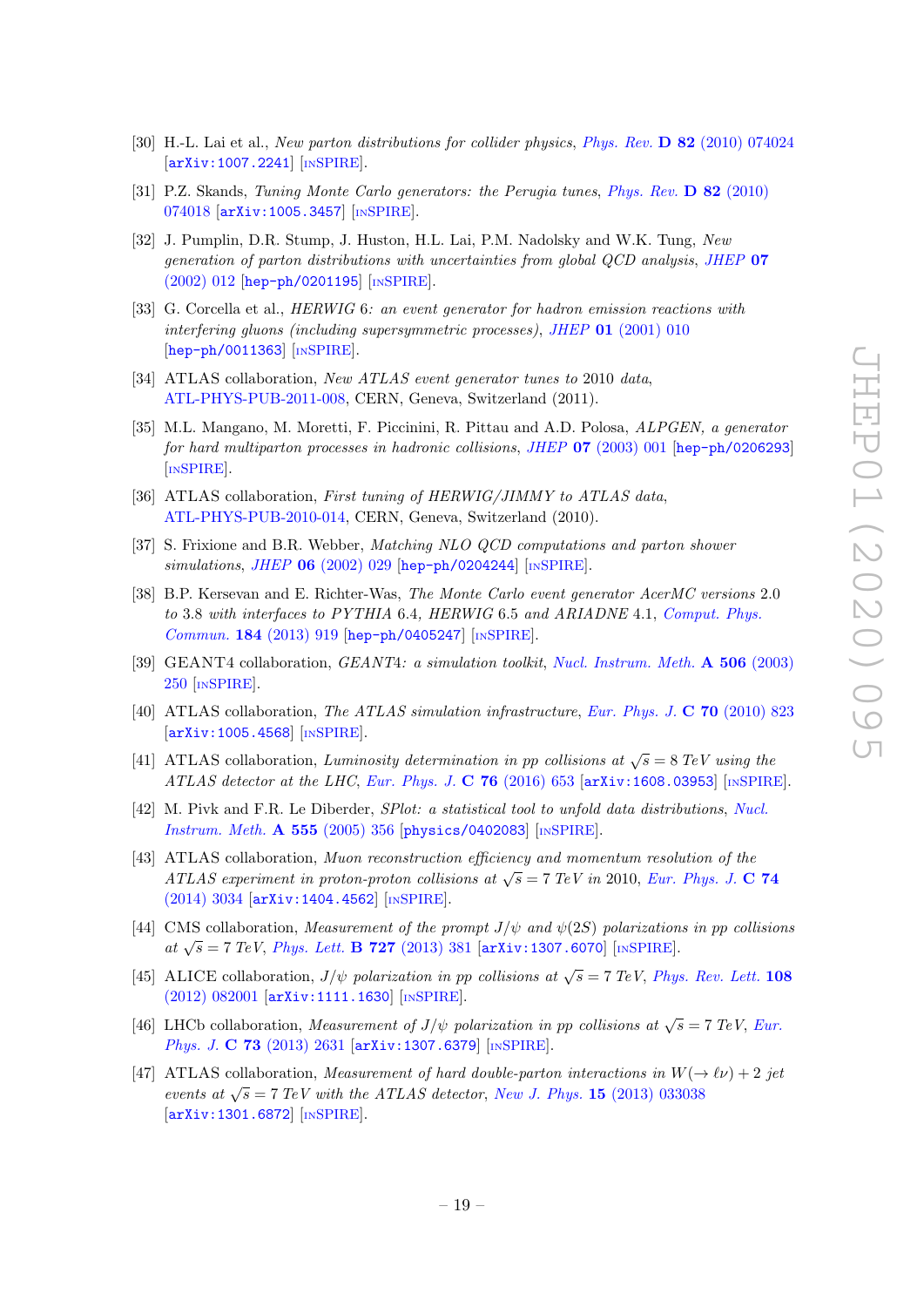- <span id="page-19-0"></span>[30] H.-L. Lai et al., New parton distributions for collider physics, Phys. Rev. **D** 82 [\(2010\) 074024](https://doi.org/10.1103/PhysRevD.82.074024) [[arXiv:1007.2241](https://arxiv.org/abs/1007.2241)] [IN[SPIRE](https://inspirehep.net/search?p=find+EPRINT+arXiv:1007.2241)].
- <span id="page-19-1"></span>[31] P.Z. Skands, Tuning Monte Carlo generators: the Perugia tunes, [Phys. Rev.](https://doi.org/10.1103/PhysRevD.82.074018) D 82 (2010) [074018](https://doi.org/10.1103/PhysRevD.82.074018) [[arXiv:1005.3457](https://arxiv.org/abs/1005.3457)] [IN[SPIRE](https://inspirehep.net/search?p=find+EPRINT+arXiv:1005.3457)].
- <span id="page-19-2"></span>[32] J. Pumplin, D.R. Stump, J. Huston, H.L. Lai, P.M. Nadolsky and W.K. Tung, New generation of parton distributions with uncertainties from global QCD analysis, [JHEP](https://doi.org/10.1088/1126-6708/2002/07/012) 07 [\(2002\) 012](https://doi.org/10.1088/1126-6708/2002/07/012) [[hep-ph/0201195](https://arxiv.org/abs/hep-ph/0201195)] [IN[SPIRE](https://inspirehep.net/search?p=find+EPRINT+hep-ph/0201195)].
- <span id="page-19-3"></span>[33] G. Corcella et al., HERWIG 6: an event generator for hadron emission reactions with interfering gluons (including supersymmetric processes), JHEP 01 [\(2001\) 010](https://doi.org/10.1088/1126-6708/2001/01/010) [[hep-ph/0011363](https://arxiv.org/abs/hep-ph/0011363)] [IN[SPIRE](https://inspirehep.net/search?p=find+EPRINT+hep-ph/0011363)].
- <span id="page-19-4"></span>[34] ATLAS collaboration, New ATLAS event generator tunes to 2010 data, [ATL-PHYS-PUB-2011-008,](http://cds.cern.ch/record/1345343) CERN, Geneva, Switzerland (2011).
- <span id="page-19-5"></span>[35] M.L. Mangano, M. Moretti, F. Piccinini, R. Pittau and A.D. Polosa, ALPGEN, a generator for hard multiparton processes in hadronic collisions, JHEP 07 [\(2003\) 001](https://doi.org/10.1088/1126-6708/2003/07/001) [[hep-ph/0206293](https://arxiv.org/abs/hep-ph/0206293)] [IN[SPIRE](https://inspirehep.net/search?p=find+EPRINT+hep-ph/0206293)].
- <span id="page-19-6"></span>[36] ATLAS collaboration, First tuning of HERWIG/JIMMY to ATLAS data, [ATL-PHYS-PUB-2010-014,](http://cds.cern.ch/record/1303025) CERN, Geneva, Switzerland (2010).
- <span id="page-19-7"></span>[37] S. Frixione and B.R. Webber, Matching NLO QCD computations and parton shower  $simulations, JHEP$  06 [\(2002\) 029](https://doi.org/10.1088/1126-6708/2002/06/029) [[hep-ph/0204244](https://arxiv.org/abs/hep-ph/0204244)] [IN[SPIRE](https://inspirehep.net/search?p=find+EPRINT+hep-ph/0204244)].
- <span id="page-19-8"></span>[38] B.P. Kersevan and E. Richter-Was, The Monte Carlo event generator AcerMC versions 2.0 to 3.8 with interfaces to PYTHIA 6.4, HERWIG 6.5 and ARIADNE 4.1, [Comput. Phys.](https://doi.org/10.1016/j.cpc.2012.10.032) Commun. 184 [\(2013\) 919](https://doi.org/10.1016/j.cpc.2012.10.032) [[hep-ph/0405247](https://arxiv.org/abs/hep-ph/0405247)] [IN[SPIRE](https://inspirehep.net/search?p=find+EPRINT+hep-ph/0405247)].
- <span id="page-19-9"></span>[39] GEANT4 collaboration, GEANT4: a simulation toolkit, [Nucl. Instrum. Meth.](https://doi.org/10.1016/S0168-9002(03)01368-8) A 506 (2003) [250](https://doi.org/10.1016/S0168-9002(03)01368-8) [IN[SPIRE](https://inspirehep.net/search?p=find+J+%22Nucl.Instrum.Meth.,A506,250%22)].
- <span id="page-19-10"></span>[40] ATLAS collaboration, The ATLAS simulation infrastructure, [Eur. Phys. J.](https://doi.org/10.1140/epjc/s10052-010-1429-9) C 70 (2010) 823 [[arXiv:1005.4568](https://arxiv.org/abs/1005.4568)] [IN[SPIRE](https://inspirehep.net/search?p=find+EPRINT+arXiv:1005.4568)].
- <span id="page-19-11"></span>[41] ATLAS collaboration, Luminosity determination in pp collisions at  $\sqrt{s} = 8$  TeV using the ATLAS detector at the LHC, [Eur. Phys. J.](https://doi.org/10.1140/epjc/s10052-016-4466-1)  $C$  76 (2016) 653 [[arXiv:1608.03953](https://arxiv.org/abs/1608.03953)] [IN[SPIRE](https://inspirehep.net/search?p=find+EPRINT+arXiv:1608.03953)].
- <span id="page-19-12"></span>[42] M. Pivk and F.R. Le Diberder, SPlot: a statistical tool to unfold data distributions, [Nucl.](https://doi.org/10.1016/j.nima.2005.08.106) [Instrum. Meth.](https://doi.org/10.1016/j.nima.2005.08.106) A 555 (2005) 356 [[physics/0402083](https://arxiv.org/abs/physics/0402083)] [IN[SPIRE](https://inspirehep.net/search?p=find+EPRINT+physics/0402083)].
- <span id="page-19-13"></span>[43] ATLAS collaboration, Muon reconstruction efficiency and momentum resolution of the ATLAS experiment in proton-proton collisions at  $\sqrt{s} = 7$  TeV in 2010, [Eur. Phys. J.](https://doi.org/10.1140/epjc/s10052-014-3034-9) C 74 [\(2014\) 3034](https://doi.org/10.1140/epjc/s10052-014-3034-9) [[arXiv:1404.4562](https://arxiv.org/abs/1404.4562)] [IN[SPIRE](https://inspirehep.net/search?p=find+EPRINT+arXiv:1404.4562)].
- <span id="page-19-14"></span>[44] CMS collaboration, *Measurement of the prompt J/* $\psi$  *and*  $\psi(2S)$  *polarizations in pp collisions* at  $\sqrt{s}$  = 7 TeV, [Phys. Lett.](https://doi.org/10.1016/j.physletb.2013.10.055) **B 727** (2013) 381 [[arXiv:1307.6070](https://arxiv.org/abs/1307.6070)] [IN[SPIRE](https://inspirehep.net/search?p=find+EPRINT+arXiv:1307.6070)].
- [45] ALICE collaboration,  $J/\psi$  polarization in pp collisions at  $\sqrt{s} = 7 \text{ TeV}$ , [Phys. Rev. Lett.](https://doi.org/10.1103/PhysRevLett.108.082001) 108 [\(2012\) 082001](https://doi.org/10.1103/PhysRevLett.108.082001) [[arXiv:1111.1630](https://arxiv.org/abs/1111.1630)] [IN[SPIRE](https://inspirehep.net/search?p=find+EPRINT+arXiv:1111.1630)].
- <span id="page-19-15"></span>[46] LHCb collaboration, Measurement of J/ $\psi$  polarization in pp collisions at  $\sqrt{s} = 7 \text{ TeV}$ , [Eur.](https://doi.org/10.1140/epjc/s10052-013-2631-3) Phys. J. C 73 [\(2013\) 2631](https://doi.org/10.1140/epjc/s10052-013-2631-3) [[arXiv:1307.6379](https://arxiv.org/abs/1307.6379)] [IN[SPIRE](https://inspirehep.net/search?p=find+EPRINT+arXiv:1307.6379)].
- <span id="page-19-16"></span>[47] ATLAS collaboration, *Measurement of hard double-parton interactions in*  $W(\rightarrow \ell \nu) + 2$  jet events at  $\sqrt{s} = 7$  TeV with the ATLAS detector, New J. Phys. 15 [\(2013\) 033038](https://doi.org/10.1088/1367-2630/15/3/033038) [[arXiv:1301.6872](https://arxiv.org/abs/1301.6872)] [IN[SPIRE](https://inspirehep.net/search?p=find+EPRINT+arXiv:1301.6872)].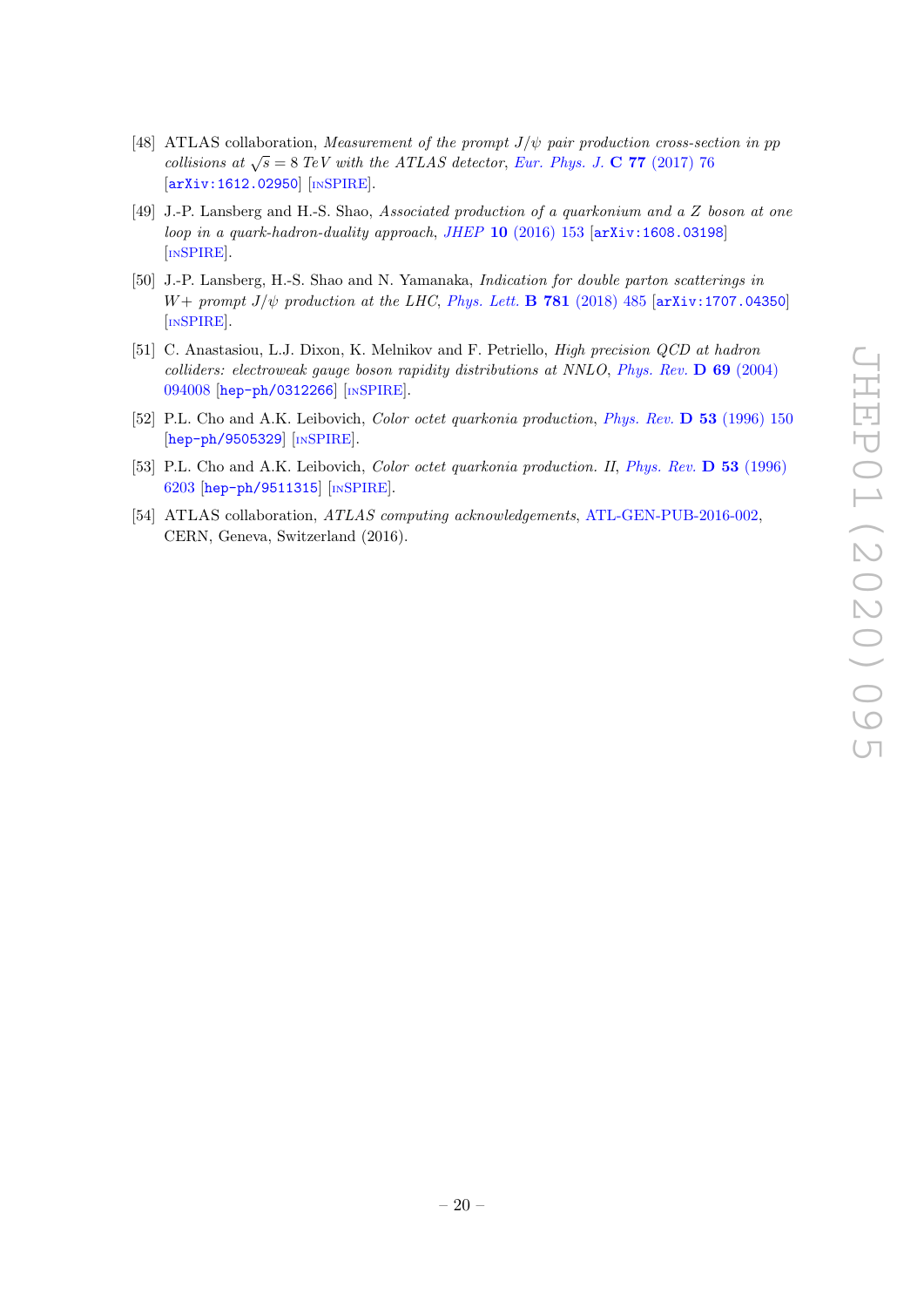- <span id="page-20-0"></span>[48] ATLAS collaboration, Measurement of the prompt  $J/\psi$  pair production cross-section in pp collisions at  $\sqrt{s} = 8$  TeV with the ATLAS detector, [Eur. Phys. J.](https://doi.org/10.1140/epjc/s10052-017-4644-9) C 77 (2017) 76 [[arXiv:1612.02950](https://arxiv.org/abs/1612.02950)] [IN[SPIRE](https://inspirehep.net/search?p=find+EPRINT+arXiv:1612.02950)].
- <span id="page-20-1"></span>[49] J.-P. Lansberg and H.-S. Shao, Associated production of a quarkonium and a Z boson at one loop in a quark-hadron-duality approach, JHEP 10 [\(2016\) 153](https://doi.org/10.1007/JHEP10(2016)153) [[arXiv:1608.03198](https://arxiv.org/abs/1608.03198)] [IN[SPIRE](https://inspirehep.net/search?p=find+EPRINT+arXiv:1608.03198)].
- <span id="page-20-2"></span>[50] J.-P. Lansberg, H.-S. Shao and N. Yamanaka, Indication for double parton scatterings in W+ prompt  $J/\psi$  production at the LHC, [Phys. Lett.](https://doi.org/10.1016/j.physletb.2018.04.020) **B 781** (2018) 485 [[arXiv:1707.04350](https://arxiv.org/abs/1707.04350)] [IN[SPIRE](https://inspirehep.net/search?p=find+EPRINT+arXiv:1707.04350)].
- <span id="page-20-3"></span>[51] C. Anastasiou, L.J. Dixon, K. Melnikov and F. Petriello, High precision QCD at hadron colliders: electroweak gauge boson rapidity distributions at NNLO, [Phys. Rev.](https://doi.org/10.1103/PhysRevD.69.094008) D 69 (2004) [094008](https://doi.org/10.1103/PhysRevD.69.094008) [[hep-ph/0312266](https://arxiv.org/abs/hep-ph/0312266)] [IN[SPIRE](https://inspirehep.net/search?p=find+EPRINT+hep-ph/0312266)].
- <span id="page-20-4"></span>[52] P.L. Cho and A.K. Leibovich, *Color octet quarkonia production*, *[Phys. Rev.](https://doi.org/10.1103/PhysRevD.53.150)* **D 53** (1996) 150 [[hep-ph/9505329](https://arxiv.org/abs/hep-ph/9505329)] [IN[SPIRE](https://inspirehep.net/search?p=find+EPRINT+hep-ph/9505329)].
- <span id="page-20-5"></span>[53] P.L. Cho and A.K. Leibovich, *Color octet quarkonia production. II, [Phys. Rev.](https://doi.org/10.1103/PhysRevD.53.6203)* D 53 (1996) [6203](https://doi.org/10.1103/PhysRevD.53.6203) [[hep-ph/9511315](https://arxiv.org/abs/hep-ph/9511315)] [IN[SPIRE](https://inspirehep.net/search?p=find+EPRINT+hep-ph/9511315)].
- <span id="page-20-6"></span>[54] ATLAS collaboration, ATLAS computing acknowledgements, [ATL-GEN-PUB-2016-002,](http://cds.cern.ch/record/2202407) CERN, Geneva, Switzerland (2016).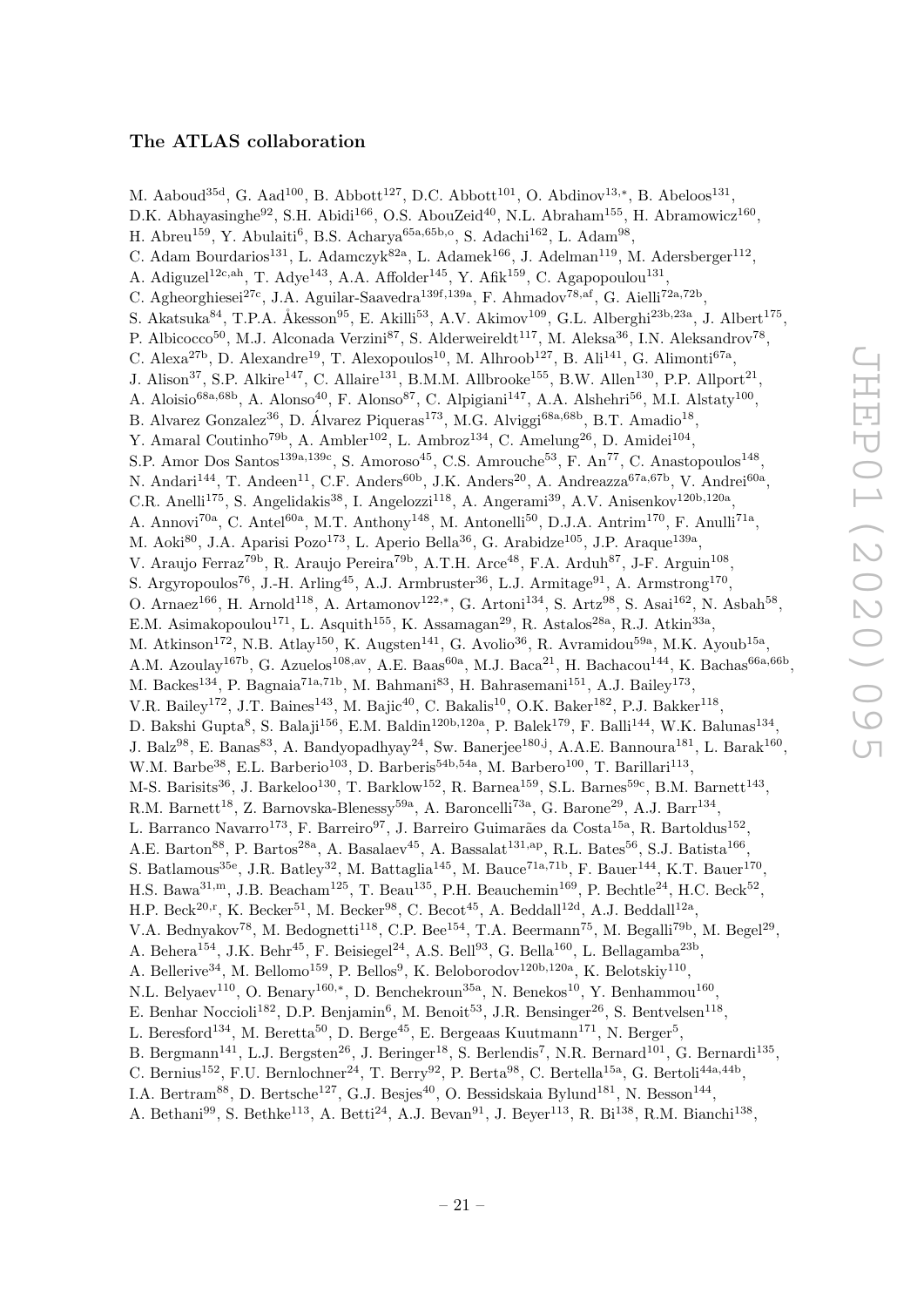# The ATLAS collaboration

<span id="page-21-0"></span>M. Aaboud<sup>35d</sup>, G. Aad<sup>100</sup>, B. Abbott<sup>127</sup>, D.C. Abbott<sup>101</sup>, O. Abdinov<sup>13,\*</sup>, B. Abeloos<sup>131</sup>, D.K. Abhayasinghe<sup>92</sup>, S.H. Abidi<sup>166</sup>, O.S. AbouZeid<sup>40</sup>, N.L. Abraham<sup>155</sup>, H. Abramowicz<sup>160</sup>, H. Abreu<sup>159</sup>, Y. Abulaiti<sup>6</sup>, B.S. Acharya<sup>65a,65b,o</sup>, S. Adachi<sup>162</sup>, L. Adam<sup>98</sup>, C. Adam Bourdarios<sup>131</sup>, L. Adamczyk<sup>82a</sup>, L. Adamek<sup>166</sup>, J. Adelman<sup>119</sup>, M. Adersberger<sup>112</sup>, A. Adiguzel<sup>12c,ah</sup>, T. Adye<sup>143</sup>, A.A. Affolder<sup>145</sup>, Y. Afik<sup>159</sup>, C. Agapopoulou<sup>131</sup>, C. Agheorghiesei<sup>27c</sup>, J.A. Aguilar-Saavedra<sup>139f,139a</sup>, F. Ahmadov<sup>78,af</sup>, G. Aielli<sup>72a,72b</sup>, S. Akatsuka<sup>84</sup>, T.P.A. Åkesson<sup>95</sup>, E. Akilli<sup>53</sup>, A.V. Akimov<sup>109</sup>, G.L. Alberghi<sup>23b,23a</sup>, J. Albert<sup>175</sup>, P. Albicocco<sup>50</sup>, M.J. Alconada Verzini<sup>87</sup>, S. Alderweireldt<sup>117</sup>, M. Aleksa<sup>36</sup>, I.N. Aleksandrov<sup>78</sup>, C. Alexa<sup>27b</sup>, D. Alexandre<sup>19</sup>, T. Alexopoulos<sup>10</sup>, M. Alhroob<sup>127</sup>, B. Ali<sup>141</sup>, G. Alimonti<sup>67a</sup>, J. Alison<sup>37</sup>, S.P. Alkire<sup>147</sup>, C. Allaire<sup>131</sup>, B.M.M. Allbrooke<sup>155</sup>, B.W. Allen<sup>130</sup>, P.P. Allport<sup>21</sup>, A. Aloisio<sup>68a,68b</sup>, A. Alonso<sup>40</sup>, F. Alonso<sup>87</sup>, C. Alpigiani<sup>147</sup>, A.A. Alshehri<sup>56</sup>, M.I. Alstaty<sup>100</sup>, B. Alvarez Gonzalez<sup>36</sup>, D. Álvarez Piqueras<sup>173</sup>, M.G. Alviggi<sup>68a,68b</sup>, B.T. Amadio<sup>18</sup>, Y. Amaral Coutinho<sup>79b</sup>, A. Ambler<sup>102</sup>, L. Ambroz<sup>134</sup>, C. Amelung<sup>26</sup>, D. Amidei<sup>104</sup>, S.P. Amor Dos Santos<sup>139a,139c</sup>, S. Amoroso<sup>45</sup>, C.S. Amrouche<sup>53</sup>, F. An<sup>77</sup>, C. Anastopoulos<sup>148</sup>, N. Andari<sup>144</sup>, T. Andeen<sup>11</sup>, C.F. Anders<sup>60b</sup>, J.K. Anders<sup>20</sup>, A. Andreazza<sup>67a,67b</sup>, V. Andrei<sup>60a</sup>, C.R. Anelli<sup>175</sup>, S. Angelidakis<sup>38</sup>, I. Angelozzi<sup>118</sup>, A. Angerami<sup>39</sup>, A.V. Anisenkov<sup>120b,120a</sup>, A. Annovi<sup>70a</sup>, C. Antel<sup>60a</sup>, M.T. Anthony<sup>148</sup>, M. Antonelli<sup>50</sup>, D.J.A. Antrim<sup>170</sup>, F. Anulli<sup>71a</sup>, M. Aoki<sup>80</sup>, J.A. Aparisi Pozo<sup>173</sup>, L. Aperio Bella<sup>36</sup>, G. Arabidze<sup>105</sup>, J.P. Araque<sup>139a</sup>, V. Araujo Ferraz<sup>79b</sup>, R. Araujo Pereira<sup>79b</sup>, A.T.H. Arce<sup>48</sup>, F.A. Arduh<sup>87</sup>, J-F. Arguin<sup>108</sup>, S. Argyropoulos<sup>76</sup>, J.-H. Arling<sup>45</sup>, A.J. Armbruster<sup>36</sup>, L.J. Armitage<sup>91</sup>, A. Armstrong<sup>170</sup>, O. Arnaez<sup>166</sup>, H. Arnold<sup>118</sup>, A. Artamonov<sup>122,\*</sup>, G. Artoni<sup>134</sup>, S. Artz<sup>98</sup>, S. Asai<sup>162</sup>, N. Asbah<sup>58</sup>, E.M. Asimakopoulou<sup>171</sup>, L. Asquith<sup>155</sup>, K. Assamagan<sup>29</sup>, R. Astalos<sup>28a</sup>, R.J. Atkin<sup>33a</sup>, M. Atkinson<sup>172</sup>, N.B. Atlay<sup>150</sup>, K. Augsten<sup>141</sup>, G. Avolio<sup>36</sup>, R. Avramidou<sup>59a</sup>, M.K. Ayoub<sup>15a</sup>, A.M. Azoulay<sup>167b</sup>, G. Azuelos<sup>108,av</sup>, A.E. Baas<sup>60a</sup>, M.J. Baca<sup>21</sup>, H. Bachacou<sup>144</sup>, K. Bachas<sup>66a,66b</sup>, M. Backes<sup>134</sup>, P. Bagnaia<sup>71a,71b</sup>, M. Bahmani<sup>83</sup>, H. Bahrasemani<sup>151</sup>, A.J. Bailey<sup>173</sup>, V.R. Bailey<sup>172</sup>, J.T. Baines<sup>143</sup>, M. Bajic<sup>40</sup>, C. Bakalis<sup>10</sup>, O.K. Baker<sup>182</sup>, P.J. Bakker<sup>118</sup>, D. Bakshi Gupta<sup>8</sup>, S. Balaji<sup>156</sup>, E.M. Baldin<sup>120b,120a</sup>, P. Balek<sup>179</sup>, F. Balli<sup>144</sup>, W.K. Balunas<sup>134</sup>, J. Balz<sup>98</sup>, E. Banas<sup>83</sup>, A. Bandyopadhyay<sup>24</sup>, Sw. Banerjee<sup>180,j</sup>, A.A.E. Bannoura<sup>181</sup>, L. Barak<sup>160</sup>, W.M. Barbe<sup>38</sup>, E.L. Barberio<sup>103</sup>, D. Barberis<sup>54b,54a</sup>, M. Barbero<sup>100</sup>, T. Barillari<sup>113</sup>, M-S. Barisits<sup>36</sup>, J. Barkeloo<sup>130</sup>, T. Barklow<sup>152</sup>, R. Barnea<sup>159</sup>, S.L. Barnes<sup>59c</sup>, B.M. Barnett<sup>143</sup>, R.M. Barnett<sup>18</sup>, Z. Barnovska-Blenessy<sup>59a</sup>, A. Baroncelli<sup>73a</sup>, G. Barone<sup>29</sup>, A.J. Barr<sup>134</sup>, L. Barranco Navarro<sup>173</sup>, F. Barreiro<sup>97</sup>, J. Barreiro Guimarães da Costa<sup>15a</sup>, R. Bartoldus<sup>152</sup>, A.E. Barton<sup>88</sup>, P. Bartos<sup>28a</sup>, A. Basalaev<sup>45</sup>, A. Bassalat<sup>131,ap</sup>, R.L. Bates<sup>56</sup>, S.J. Batista<sup>166</sup>, S. Batlamous<sup>35e</sup>, J.R. Batley<sup>32</sup>, M. Battaglia<sup>145</sup>, M. Bauce<sup>71a,71b</sup>, F. Bauer<sup>144</sup>, K.T. Bauer<sup>170</sup>, H.S. Bawa<sup>31,m</sup>, J.B. Beacham<sup>125</sup>, T. Beau<sup>135</sup>, P.H. Beauchemin<sup>169</sup>, P. Bechtle<sup>24</sup>, H.C. Beck<sup>52</sup>, H.P. Beck<sup>20,r</sup>, K. Becker<sup>51</sup>, M. Becker<sup>98</sup>, C. Becot<sup>45</sup>, A. Beddall<sup>12d</sup>, A.J. Beddall<sup>12a</sup>, V.A. Bednyakov<sup>78</sup>, M. Bedognetti<sup>118</sup>, C.P. Bee<sup>154</sup>, T.A. Beermann<sup>75</sup>, M. Begalli<sup>79b</sup>, M. Begel<sup>29</sup>, A. Behera<sup>154</sup>, J.K. Behr<sup>45</sup>, F. Beisiegel<sup>24</sup>, A.S. Bell<sup>93</sup>, G. Bella<sup>160</sup>, L. Bellagamba<sup>23b</sup>, A. Bellerive<sup>34</sup>, M. Bellomo<sup>159</sup>, P. Bellos<sup>9</sup>, K. Beloborodov<sup>120b,120a</sup>, K. Belotskiy<sup>110</sup>, N.L. Belyaev<sup>110</sup>, O. Benary<sup>160,\*</sup>, D. Benchekroun<sup>35a</sup>, N. Benekos<sup>10</sup>, Y. Benhammou<sup>160</sup>, E. Benhar Noccioli<sup>182</sup>, D.P. Benjamin<sup>6</sup>, M. Benoit<sup>53</sup>, J.R. Bensinger<sup>26</sup>, S. Bentvelsen<sup>118</sup>, L. Beresford<sup>134</sup>, M. Beretta<sup>50</sup>, D. Berge<sup>45</sup>, E. Bergeaas Kuutmann<sup>171</sup>, N. Berger<sup>5</sup>, B. Bergmann<sup>141</sup>, L.J. Bergsten<sup>26</sup>, J. Beringer<sup>18</sup>, S. Berlendis<sup>7</sup>, N.R. Bernard<sup>101</sup>, G. Bernardi<sup>135</sup>, C. Bernius<sup>152</sup>, F.U. Bernlochner<sup>24</sup>, T. Berry<sup>92</sup>, P. Berta<sup>98</sup>, C. Bertella<sup>15a</sup>, G. Bertoli<sup>44a,44b</sup>, I.A. Bertram<sup>88</sup>, D. Bertsche<sup>127</sup>, G.J. Besjes<sup>40</sup>, O. Bessidskaia Bylund<sup>181</sup>, N. Besson<sup>144</sup>,

A. Bethani<sup>99</sup>, S. Bethke<sup>113</sup>, A. Betti<sup>24</sup>, A.J. Bevan<sup>91</sup>, J. Beyer<sup>113</sup>, R. Bi<sup>138</sup>, R.M. Bianchi<sup>138</sup>,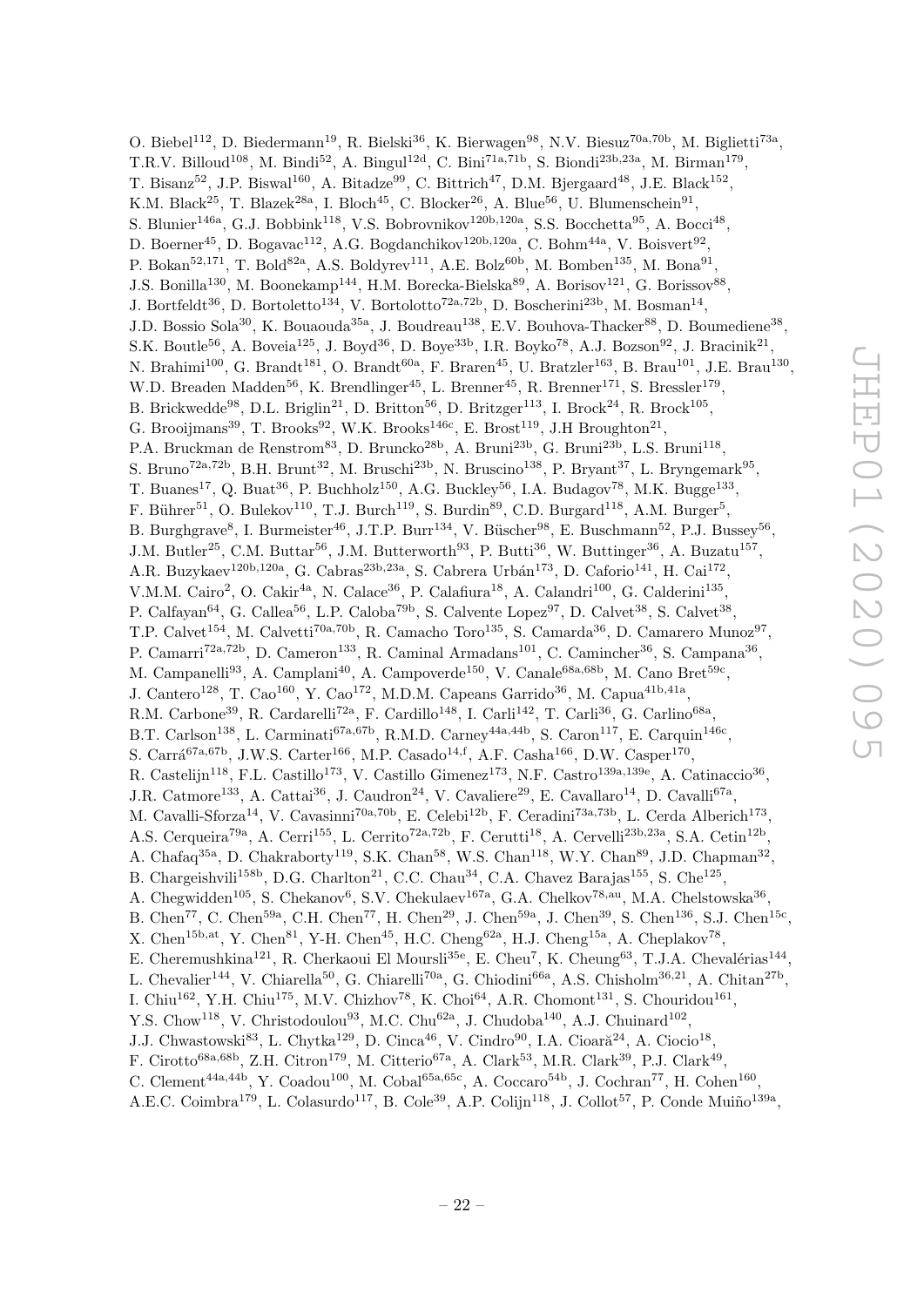O. Biebel<sup>112</sup>, D. Biedermann<sup>19</sup>, R. Bielski<sup>36</sup>, K. Bierwagen<sup>98</sup>, N.V. Biesuz<sup>70a,70b</sup>, M. Biglietti<sup>73a</sup>, T.R.V. Billoud<sup>108</sup>, M. Bindi<sup>52</sup>, A. Bingul<sup>12d</sup>, C. Bini<sup>71a,71b</sup>, S. Biondi<sup>23b,23a</sup>, M. Birman<sup>179</sup>, T. Bisanz<sup>52</sup>, J.P. Biswal<sup>160</sup>, A. Bitadze<sup>99</sup>, C. Bittrich<sup>47</sup>, D.M. Bjergaard<sup>48</sup>, J.E. Black<sup>152</sup>, K.M. Black<sup>25</sup>, T. Blazek<sup>28a</sup>, I. Bloch<sup>45</sup>, C. Blocker<sup>26</sup>, A. Blue<sup>56</sup>, U. Blumenschein<sup>91</sup>, S. Blunier<sup>146a</sup>, G.J. Bobbink<sup>118</sup>, V.S. Bobrovnikov<sup>120b,120a</sup>, S.S. Bocchetta<sup>95</sup>, A. Bocci<sup>48</sup>, D. Boerner<sup>45</sup>, D. Bogavac<sup>112</sup>, A.G. Bogdanchikov<sup>120b,120a</sup>, C. Bohm<sup>44a</sup>, V. Boisvert<sup>92</sup>, P. Bokan<sup>52,171</sup>, T. Bold<sup>82a</sup>, A.S. Boldyrev<sup>111</sup>, A.E. Bolz<sup>60b</sup>, M. Bomben<sup>135</sup>, M. Bona<sup>91</sup>, J.S. Bonilla<sup>130</sup>, M. Boonekamp<sup>144</sup>, H.M. Borecka-Bielska<sup>89</sup>, A. Borisov<sup>121</sup>, G. Borissov<sup>88</sup>, J. Bortfeldt<sup>36</sup>, D. Bortoletto<sup>134</sup>, V. Bortolotto<sup>72a,72b</sup>, D. Boscherini<sup>23b</sup>, M. Bosman<sup>14</sup>, J.D. Bossio Sola<sup>30</sup>, K. Bouaouda<sup>35a</sup>, J. Boudreau<sup>138</sup>, E.V. Bouhova-Thacker<sup>88</sup>, D. Boumediene<sup>38</sup>, S.K. Boutle<sup>56</sup>, A. Boveia<sup>125</sup>, J. Boyd<sup>36</sup>, D. Boye<sup>33b</sup>, I.R. Boyko<sup>78</sup>, A.J. Bozson<sup>92</sup>, J. Bracinik<sup>21</sup>, N. Brahimi<sup>100</sup>, G. Brandt<sup>181</sup>, O. Brandt<sup>60a</sup>, F. Braren<sup>45</sup>, U. Bratzler<sup>163</sup>, B. Brau<sup>101</sup>, J.E. Brau<sup>130</sup>, W.D. Breaden Madden<sup>56</sup>, K. Brendlinger<sup>45</sup>, L. Brenner<sup>45</sup>, R. Brenner<sup>171</sup>, S. Bressler<sup>179</sup>, B. Brickwedde<sup>98</sup>, D.L. Briglin<sup>21</sup>, D. Britton<sup>56</sup>, D. Britzger<sup>113</sup>, I. Brock<sup>24</sup>, R. Brock<sup>105</sup>, G. Brooijmans<sup>39</sup>, T. Brooks<sup>92</sup>, W.K. Brooks<sup>146c</sup>, E. Brost<sup>119</sup>, J.H Broughton<sup>21</sup>, P.A. Bruckman de Renstrom<sup>83</sup>, D. Bruncko<sup>28b</sup>, A. Bruni<sup>23b</sup>, G. Bruni<sup>23b</sup>, L.S. Bruni<sup>118</sup>, S. Bruno<sup>72a,72b</sup>, B.H. Brunt<sup>32</sup>, M. Bruschi<sup>23b</sup>, N. Bruscino<sup>138</sup>, P. Bryant<sup>37</sup>, L. Bryngemark<sup>95</sup>, T. Buanes<sup>17</sup>, Q. Buat<sup>36</sup>, P. Buchholz<sup>150</sup>, A.G. Buckley<sup>56</sup>, I.A. Budagov<sup>78</sup>, M.K. Bugge<sup>133</sup>, F. Bührer<sup>51</sup>, O. Bulekov<sup>110</sup>, T.J. Burch<sup>119</sup>, S. Burdin<sup>89</sup>, C.D. Burgard<sup>118</sup>, A.M. Burger<sup>5</sup>, B. Burghgrave<sup>8</sup>, I. Burmeister<sup>46</sup>, J.T.P. Burr<sup>134</sup>, V. Büscher<sup>98</sup>, E. Buschmann<sup>52</sup>, P.J. Bussey<sup>56</sup>, J.M. Butler<sup>25</sup>, C.M. Buttar<sup>56</sup>, J.M. Butterworth<sup>93</sup>, P. Butti<sup>36</sup>, W. Buttinger<sup>36</sup>, A. Buzatu<sup>157</sup>, A.R. Buzykaev<sup>120b,120a</sup>, G. Cabras<sup>23b,23a</sup>, S. Cabrera Urbán<sup>173</sup>, D. Caforio<sup>141</sup>, H. Cai<sup>172</sup>, V.M.M. Cairo<sup>2</sup>, O. Cakir<sup>4a</sup>, N. Calace<sup>36</sup>, P. Calafiura<sup>18</sup>, A. Calandri<sup>100</sup>, G. Calderini<sup>135</sup>, P. Calfayan<sup>64</sup>, G. Callea<sup>56</sup>, L.P. Caloba<sup>79b</sup>, S. Calvente Lopez<sup>97</sup>, D. Calvet<sup>38</sup>, S. Calvet<sup>38</sup>, T.P. Calvet<sup>154</sup>, M. Calvetti<sup>70a,70b</sup>, R. Camacho Toro<sup>135</sup>, S. Camarda<sup>36</sup>, D. Camarero Munoz<sup>97</sup>, P. Camarri<sup>72a,72b</sup>, D. Cameron<sup>133</sup>, R. Caminal Armadans<sup>101</sup>, C. Camincher<sup>36</sup>, S. Campana<sup>36</sup>, M. Campanelli<sup>93</sup>, A. Camplani<sup>40</sup>, A. Campoverde<sup>150</sup>, V. Canale<sup>68a,68b</sup>, M. Cano Bret<sup>59c</sup>, J. Cantero<sup>128</sup>, T. Cao<sup>160</sup>, Y. Cao<sup>172</sup>, M.D.M. Capeans Garrido<sup>36</sup>, M. Capua<sup>41b,41a</sup>, R.M. Carbone<sup>39</sup>, R. Cardarelli<sup>72a</sup>, F. Cardillo<sup>148</sup>, I. Carli<sup>142</sup>, T. Carli<sup>36</sup>, G. Carlino<sup>68a</sup>, B.T. Carlson<sup>138</sup>, L. Carminati<sup>67a,67b</sup>, R.M.D. Carney<sup>44a,44b</sup>, S. Caron<sup>117</sup>, E. Carquin<sup>146c</sup>, S. Carrá<sup>67a,67b</sup>, J.W.S. Carter<sup>166</sup>, M.P. Casado<sup>14,f</sup>, A.F. Casha<sup>166</sup>, D.W. Casper<sup>170</sup>, R. Castelijn<sup>118</sup>, F.L. Castillo<sup>173</sup>, V. Castillo Gimenez<sup>173</sup>, N.F. Castro<sup>139a,139e</sup>, A. Catinaccio<sup>36</sup>, J.R. Catmore<sup>133</sup>, A. Cattai<sup>36</sup>, J. Caudron<sup>24</sup>, V. Cavaliere<sup>29</sup>, E. Cavallaro<sup>14</sup>, D. Cavalli<sup>67a</sup>, M. Cavalli-Sforza<sup>14</sup>, V. Cavasinni<sup>70a,70b</sup>, E. Celebi<sup>12b</sup>, F. Ceradini<sup>73a,73b</sup>, L. Cerda Alberich<sup>173</sup>, A.S. Cerqueira<sup>79a</sup>, A. Cerri<sup>155</sup>, L. Cerrito<sup>72a,72b</sup>, F. Cerutti<sup>18</sup>, A. Cervelli<sup>23b,23a</sup>, S.A. Cetin<sup>12b</sup>, A. Chafaq<sup>35a</sup>, D. Chakraborty<sup>119</sup>, S.K. Chan<sup>58</sup>, W.S. Chan<sup>118</sup>, W.Y. Chan<sup>89</sup>, J.D. Chapman<sup>32</sup>, B. Chargeishvili<sup>158b</sup>, D.G. Charlton<sup>21</sup>, C.C. Chau<sup>34</sup>, C.A. Chavez Barajas<sup>155</sup>, S. Che<sup>125</sup>, A. Chegwidden<sup>105</sup>, S. Chekanov<sup>6</sup>, S.V. Chekulaev<sup>167a</sup>, G.A. Chelkov<sup>78,au</sup>, M.A. Chelstowska<sup>36</sup>, B. Chen<sup>77</sup>, C. Chen<sup>59a</sup>, C.H. Chen<sup>77</sup>, H. Chen<sup>29</sup>, J. Chen<sup>59a</sup>, J. Chen<sup>39</sup>, S. Chen<sup>136</sup>, S.J. Chen<sup>15c</sup>, X. Chen<sup>15b,at</sup>, Y. Chen<sup>81</sup>, Y-H. Chen<sup>45</sup>, H.C. Cheng<sup>62a</sup>, H.J. Cheng<sup>15a</sup>, A. Cheplakov<sup>78</sup>, E. Cheremushkina<sup>121</sup>, R. Cherkaoui El Moursli<sup>35e</sup>, E. Cheu<sup>7</sup>, K. Cheung<sup>63</sup>, T.J.A. Chevalérias<sup>144</sup>, L. Chevalier<sup>144</sup>, V. Chiarella<sup>50</sup>, G. Chiarelli<sup>70a</sup>, G. Chiodini<sup>66a</sup>, A.S. Chisholm<sup>36,21</sup>, A. Chitan<sup>27b</sup>, I. Chiu<sup>162</sup>, Y.H. Chiu<sup>175</sup>, M.V. Chizhov<sup>78</sup>, K. Choi<sup>64</sup>, A.R. Chomont<sup>131</sup>, S. Chouridou<sup>161</sup>, Y.S. Chow<sup>118</sup>, V. Christodoulou<sup>93</sup>, M.C. Chu<sup>62a</sup>, J. Chudoba<sup>140</sup>, A.J. Chuinard<sup>102</sup>, J.J. Chwastowski<sup>83</sup>, L. Chytka<sup>129</sup>, D. Cinca<sup>46</sup>, V. Cindro<sup>90</sup>, I.A. Cioară<sup>24</sup>, A. Ciocio<sup>18</sup>, F. Cirotto<sup>68a,68b</sup>, Z.H. Citron<sup>179</sup>, M. Citterio<sup>67a</sup>, A. Clark<sup>53</sup>, M.R. Clark<sup>39</sup>, P.J. Clark<sup>49</sup>, C. Clement<sup>44a,44b</sup>, Y. Coadou<sup>100</sup>, M. Cobal<sup>65a,65c</sup>, A. Coccaro<sup>54b</sup>, J. Cochran<sup>77</sup>, H. Cohen<sup>160</sup>,

A.E.C. Coimbra<sup>179</sup>, L. Colasurdo<sup>117</sup>, B. Cole<sup>39</sup>, A.P. Colijn<sup>118</sup>, J. Collot<sup>57</sup>, P. Conde Muiño<sup>139a</sup>,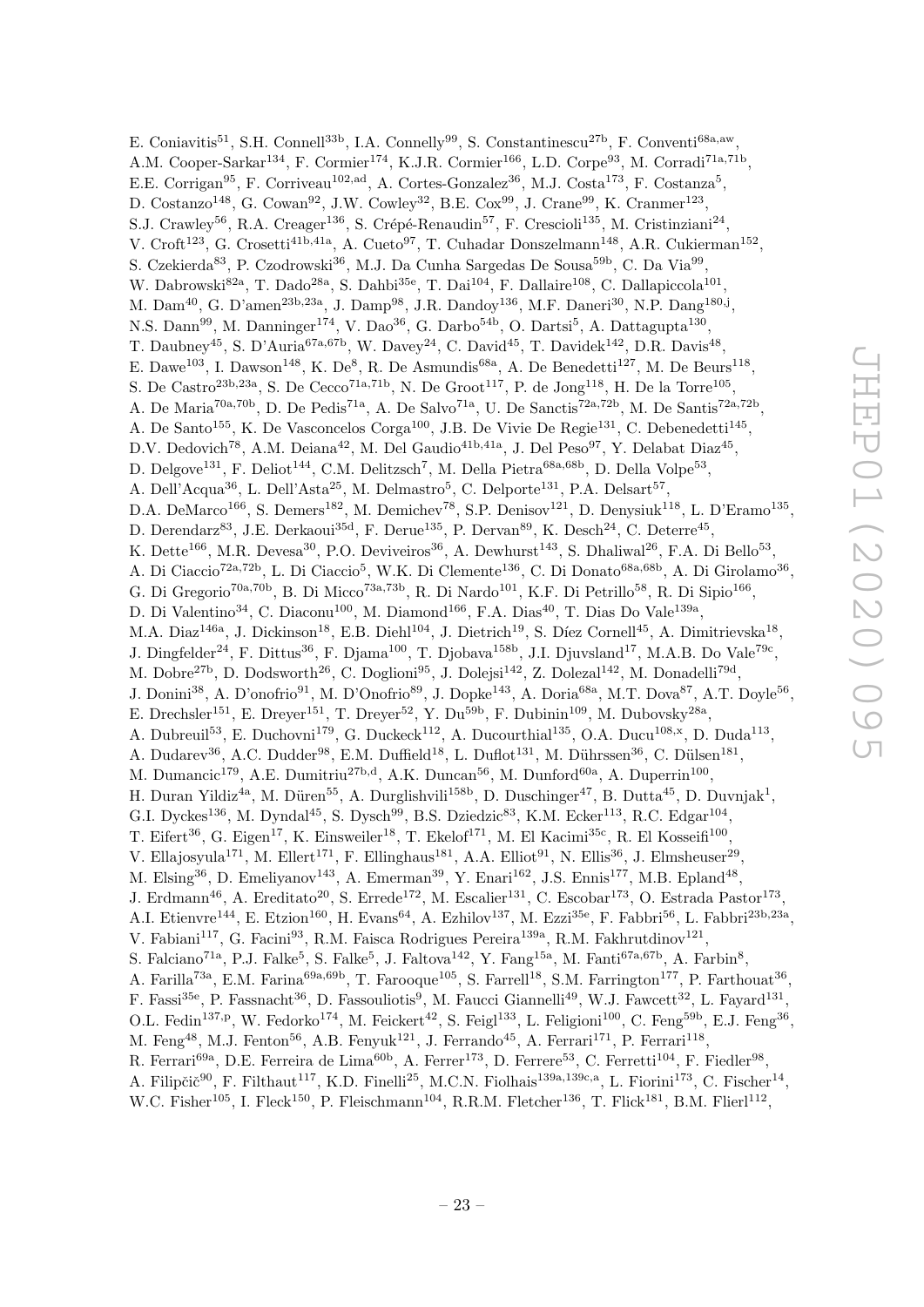E. Coniavitis<sup>51</sup>, S.H. Connell<sup>33b</sup>, I.A. Connelly<sup>99</sup>, S. Constantinescu<sup>27b</sup>, F. Conventi<sup>68a,aw</sup>, A.M. Cooper-Sarkar<sup>134</sup>, F. Cormier<sup>174</sup>, K.J.R. Cormier<sup>166</sup>, L.D. Corpe<sup>93</sup>, M. Corradi<sup>71a,71b</sup>, E.E. Corrigan<sup>95</sup>, F. Corriveau<sup>102,ad</sup>, A. Cortes-Gonzalez<sup>36</sup>, M.J. Costa<sup>173</sup>, F. Costanza<sup>5</sup>, D. Costanzo<sup>148</sup>, G. Cowan<sup>92</sup>, J.W. Cowley<sup>32</sup>, B.E. Cox<sup>99</sup>, J. Crane<sup>99</sup>, K. Cranmer<sup>123</sup>, S.J. Crawley<sup>56</sup>, R.A. Creager<sup>136</sup>, S. Crépé-Renaudin<sup>57</sup>, F. Crescioli<sup>135</sup>, M. Cristinziani<sup>24</sup>, V. Croft<sup>123</sup>, G. Crosetti<sup>41b,41a</sup>, A. Cueto<sup>97</sup>, T. Cuhadar Donszelmann<sup>148</sup>, A.R. Cukierman<sup>152</sup>, S. Czekierda<sup>83</sup>, P. Czodrowski<sup>36</sup>, M.J. Da Cunha Sargedas De Sousa<sup>59b</sup>, C. Da Via<sup>99</sup>, W. Dabrowski<sup>82a</sup>, T. Dado<sup>28a</sup>, S. Dahbi<sup>35e</sup>, T. Dai<sup>104</sup>, F. Dallaire<sup>108</sup>, C. Dallapiccola<sup>101</sup>, M. Dam<sup>40</sup>, G. D'amen<sup>23b,23a</sup>, J. Damp<sup>98</sup>, J.R. Dandoy<sup>136</sup>, M.F. Daneri<sup>30</sup>, N.P. Dang<sup>180,j</sup>, N.S. Dann<sup>99</sup>, M. Danninger<sup>174</sup>, V. Dao<sup>36</sup>, G. Darbo<sup>54b</sup>, O. Dartsi<sup>5</sup>, A. Dattagupta<sup>130</sup>, T. Daubney<sup>45</sup>, S. D'Auria<sup>67a,67b</sup>, W. Davey<sup>24</sup>, C. David<sup>45</sup>, T. Davidek<sup>142</sup>, D.R. Davis<sup>48</sup>, E. Dawe<sup>103</sup>, I. Dawson<sup>148</sup>, K. De<sup>8</sup>, R. De Asmundis<sup>68a</sup>, A. De Benedetti<sup>127</sup>, M. De Beurs<sup>118</sup>, S. De Castro<sup>23b,23a</sup>, S. De Cecco<sup>71a,71b</sup>, N. De Groot<sup>117</sup>, P. de Jong<sup>118</sup>, H. De la Torre<sup>105</sup>, A. De Maria<sup>70a,70b</sup>, D. De Pedis<sup>71a</sup>, A. De Salvo<sup>71a</sup>, U. De Sanctis<sup>72a,72b</sup>, M. De Santis<sup>72a,72b</sup>, A. De Santo<sup>155</sup>, K. De Vasconcelos Corga<sup>100</sup>, J.B. De Vivie De Regie<sup>131</sup>, C. Debenedetti<sup>145</sup>, D.V. Dedovich<sup>78</sup>, A.M. Deiana<sup>42</sup>, M. Del Gaudio<sup>41b,41a</sup>, J. Del Peso<sup>97</sup>, Y. Delabat Diaz<sup>45</sup>, D. Delgove<sup>131</sup>, F. Deliot<sup>144</sup>, C.M. Delitzsch<sup>7</sup>, M. Della Pietra<sup>68a,68b</sup>, D. Della Volpe<sup>53</sup>, A. Dell'Acqua<sup>36</sup>, L. Dell'Asta<sup>25</sup>, M. Delmastro<sup>5</sup>, C. Delporte<sup>131</sup>, P.A. Delsart<sup>57</sup>, D.A. DeMarco<sup>166</sup>, S. Demers<sup>182</sup>, M. Demichev<sup>78</sup>, S.P. Denisov<sup>121</sup>, D. Denysiuk<sup>118</sup>, L. D'Eramo<sup>135</sup>, D. Derendarz<sup>83</sup>, J.E. Derkaoui<sup>35d</sup>, F. Derue<sup>135</sup>, P. Dervan<sup>89</sup>, K. Desch<sup>24</sup>, C. Deterre<sup>45</sup>, K. Dette<sup>166</sup>, M.R. Devesa<sup>30</sup>, P.O. Deviveiros<sup>36</sup>, A. Dewhurst<sup>143</sup>, S. Dhaliwal<sup>26</sup>, F.A. Di Bello<sup>53</sup>, A. Di Ciaccio<sup>72a,72b</sup>, L. Di Ciaccio<sup>5</sup>, W.K. Di Clemente<sup>136</sup>, C. Di Donato<sup>68a,68b</sup>, A. Di Girolamo<sup>36</sup>, G. Di Gregorio<sup>70a,70b</sup>, B. Di Micco<sup>73a,73b</sup>, R. Di Nardo<sup>101</sup>, K.F. Di Petrillo<sup>58</sup>, R. Di Sipio<sup>166</sup>, D. Di Valentino<sup>34</sup>, C. Diaconu<sup>100</sup>, M. Diamond<sup>166</sup>, F.A. Dias<sup>40</sup>, T. Dias Do Vale<sup>139a</sup>, M.A. Diaz<sup>146a</sup>, J. Dickinson<sup>18</sup>, E.B. Diehl<sup>104</sup>, J. Dietrich<sup>19</sup>, S. Díez Cornell<sup>45</sup>, A. Dimitrievska<sup>18</sup>, J. Dingfelder<sup>24</sup>, F. Dittus<sup>36</sup>, F. Djama<sup>100</sup>, T. Djobava<sup>158b</sup>, J.I. Djuvsland<sup>17</sup>, M.A.B. Do Vale<sup>79c</sup>, M. Dobre<sup>27b</sup>, D. Dodsworth<sup>26</sup>, C. Doglioni<sup>95</sup>, J. Dolejsi<sup>142</sup>, Z. Dolezal<sup>142</sup>, M. Donadelli<sup>79d</sup>, J. Donini<sup>38</sup>, A. D'onofrio<sup>91</sup>, M. D'Onofrio<sup>89</sup>, J. Dopke<sup>143</sup>, A. Doria<sup>68a</sup>, M.T. Dova<sup>87</sup>, A.T. Doyle<sup>56</sup>, E. Drechsler<sup>151</sup>, E. Dreyer<sup>151</sup>, T. Dreyer<sup>52</sup>, Y. Du<sup>59b</sup>, F. Dubinin<sup>109</sup>, M. Dubovsky<sup>28a</sup>, A. Dubreuil<sup>53</sup>, E. Duchovni<sup>179</sup>, G. Duckeck<sup>112</sup>, A. Ducourthial<sup>135</sup>, O.A. Ducu<sup>108,x</sup>, D. Duda<sup>113</sup>, A. Dudarev<sup>36</sup>, A.C. Dudder<sup>98</sup>, E.M. Duffield<sup>18</sup>, L. Duflot<sup>131</sup>, M. Dührssen<sup>36</sup>, C. Dülsen<sup>181</sup>, M. Dumancic<sup>179</sup>, A.E. Dumitriu<sup>27b,d</sup>, A.K. Duncan<sup>56</sup>, M. Dunford<sup>60a</sup>, A. Duperrin<sup>100</sup>, H. Duran Yildiz<sup>4a</sup>, M. Düren<sup>55</sup>, A. Durglishvili<sup>158b</sup>, D. Duschinger<sup>47</sup>, B. Dutta<sup>45</sup>, D. Duvnjak<sup>1</sup>, G.I. Dyckes<sup>136</sup>, M. Dyndal<sup>45</sup>, S. Dysch<sup>99</sup>, B.S. Dziedzic<sup>83</sup>, K.M. Ecker<sup>113</sup>, R.C. Edgar<sup>104</sup>, T. Eifert<sup>36</sup>, G. Eigen<sup>17</sup>, K. Einsweiler<sup>18</sup>, T. Ekelof<sup>171</sup>, M. El Kacimi<sup>35c</sup>, R. El Kosseifi<sup>100</sup>, V. Ellajosyula<sup>171</sup>, M. Ellert<sup>171</sup>, F. Ellinghaus<sup>181</sup>, A.A. Elliot<sup>91</sup>, N. Ellis<sup>36</sup>, J. Elmsheuser<sup>29</sup>, M. Elsing<sup>36</sup>, D. Emeliyanov<sup>143</sup>, A. Emerman<sup>39</sup>, Y. Enari<sup>162</sup>, J.S. Ennis<sup>177</sup>, M.B. Epland<sup>48</sup>, J. Erdmann<sup>46</sup>, A. Ereditato<sup>20</sup>, S. Errede<sup>172</sup>, M. Escalier<sup>131</sup>, C. Escobar<sup>173</sup>, O. Estrada Pastor<sup>173</sup>, A.I. Etienvre<sup>144</sup>, E. Etzion<sup>160</sup>, H. Evans<sup>64</sup>, A. Ezhilov<sup>137</sup>, M. Ezzi<sup>35e</sup>, F. Fabbri<sup>56</sup>, L. Fabbri<sup>23b,23a</sup>, V. Fabiani<sup>117</sup>, G. Facini<sup>93</sup>, R.M. Faisca Rodrigues Pereira<sup>139a</sup>, R.M. Fakhrutdinov<sup>121</sup>, S. Falciano<sup>71a</sup>, P.J. Falke<sup>5</sup>, S. Falke<sup>5</sup>, J. Faltova<sup>142</sup>, Y. Fang<sup>15a</sup>, M. Fanti<sup>67a,67b</sup>, A. Farbin<sup>8</sup>, A. Farilla<sup>73a</sup>, E.M. Farina<sup>69a,69b</sup>, T. Farooque<sup>105</sup>, S. Farrell<sup>18</sup>, S.M. Farrington<sup>177</sup>, P. Farthouat<sup>36</sup>, F. Fassi<sup>35e</sup>, P. Fassnacht<sup>36</sup>, D. Fassouliotis<sup>9</sup>, M. Faucci Giannelli<sup>49</sup>, W.J. Fawcett<sup>32</sup>, L. Fayard<sup>131</sup>, O.L. Fedin<sup>137,p</sup>, W. Fedorko<sup>174</sup>, M. Feickert<sup>42</sup>, S. Feigl<sup>133</sup>, L. Feligioni<sup>100</sup>, C. Feng<sup>59b</sup>, E.J. Feng<sup>36</sup>, M. Feng<sup>48</sup>, M.J. Fenton<sup>56</sup>, A.B. Fenyuk<sup>121</sup>, J. Ferrando<sup>45</sup>, A. Ferrari<sup>171</sup>, P. Ferrari<sup>118</sup>, R. Ferrari<sup>69a</sup>, D.E. Ferreira de Lima<sup>60b</sup>, A. Ferrer<sup>173</sup>, D. Ferrere<sup>53</sup>, C. Ferretti<sup>104</sup>, F. Fiedler<sup>98</sup>, A. Filipčič $^{90}$ , F. Filthaut<sup>117</sup>, K.D. Finelli<sup>25</sup>, M.C.N. Fiolhais<sup>139a,139c,a</sup>, L. Fiorini<sup>173</sup>, C. Fischer<sup>14</sup>,

W.C. Fisher<sup>105</sup>, I. Fleck<sup>150</sup>, P. Fleischmann<sup>104</sup>, R.R.M. Fletcher<sup>136</sup>, T. Flick<sup>181</sup>, B.M. Flierl<sup>112</sup>,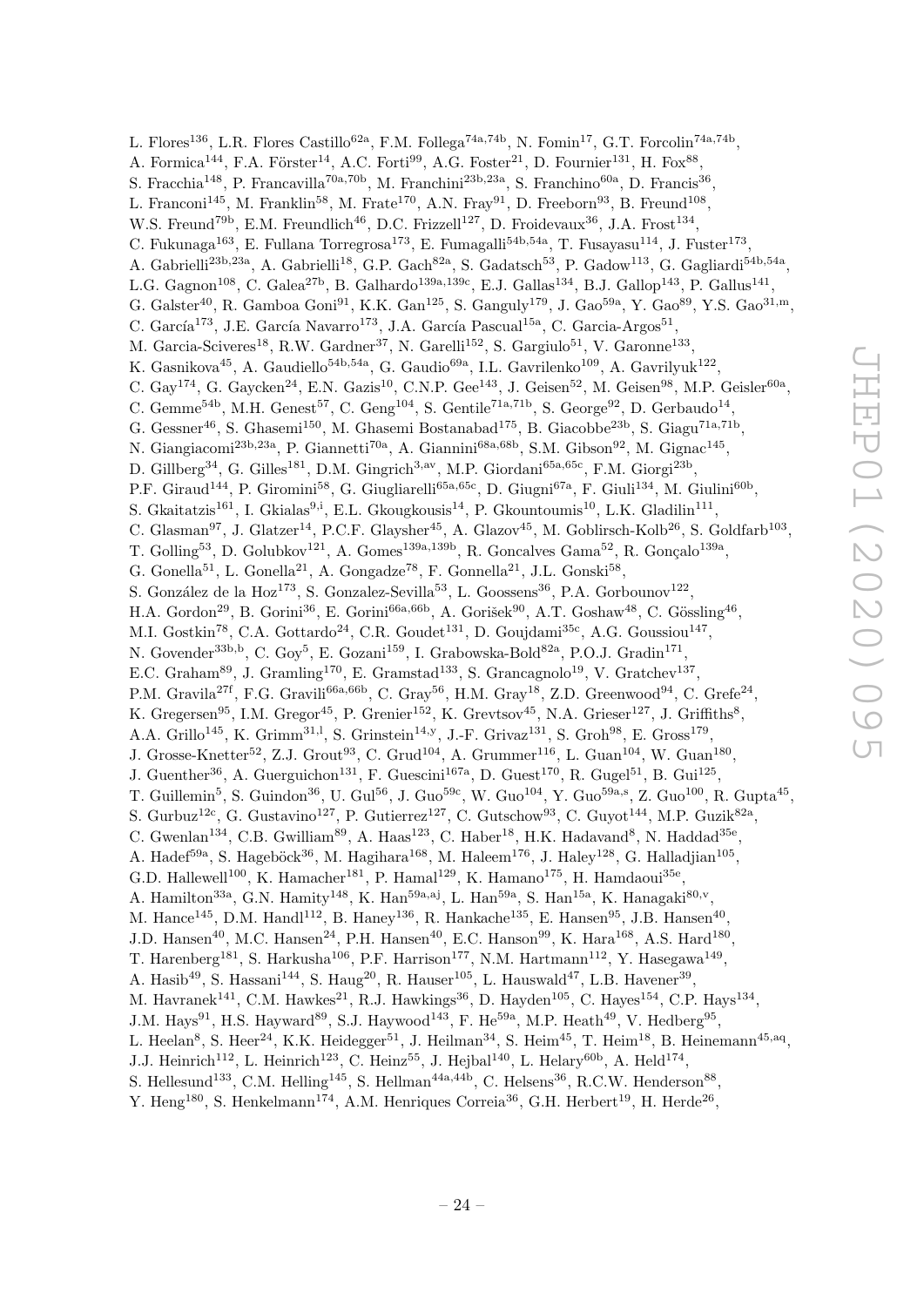L. Flores<sup>136</sup>, L.R. Flores Castillo<sup>62a</sup>, F.M. Follega<sup>74a,74b</sup>, N. Fomin<sup>17</sup>, G.T. Forcolin<sup>74a,74b</sup>, A. Formica<sup>144</sup>, F.A. Förster<sup>14</sup>, A.C. Forti<sup>99</sup>, A.G. Foster<sup>21</sup>, D. Fournier<sup>131</sup>, H. Fox<sup>88</sup>, S. Fracchia<sup>148</sup>, P. Francavilla<sup>70a,70b</sup>, M. Franchini<sup>23b,23a</sup>, S. Franchino<sup>60a</sup>, D. Francis<sup>36</sup>, L. Franconi<sup>145</sup>, M. Franklin<sup>58</sup>, M. Frate<sup>170</sup>, A.N. Fray<sup>91</sup>, D. Freeborn<sup>93</sup>, B. Freund<sup>108</sup>, W.S. Freund<sup>79b</sup>, E.M. Freundlich<sup>46</sup>, D.C. Frizzell<sup>127</sup>, D. Froidevaux<sup>36</sup>, J.A. Frost<sup>134</sup>, C. Fukunaga<sup>163</sup>, E. Fullana Torregrosa<sup>173</sup>, E. Fumagalli<sup>54b,54a</sup>, T. Fusayasu<sup>114</sup>, J. Fuster<sup>173</sup>, A. Gabrielli<sup>23b,23a</sup>, A. Gabrielli<sup>18</sup>, G.P. Gach<sup>82a</sup>, S. Gadatsch<sup>53</sup>, P. Gadow<sup>113</sup>, G. Gagliardi<sup>54b,54a</sup>, L.G. Gagnon<sup>108</sup>, C. Galea<sup>27b</sup>, B. Galhardo<sup>139a,139c</sup>, E.J. Gallas<sup>134</sup>, B.J. Gallop<sup>143</sup>, P. Gallus<sup>141</sup>, G. Galster<sup>40</sup>, R. Gamboa Goni<sup>91</sup>, K.K. Gan<sup>125</sup>, S. Ganguly<sup>179</sup>, J. Gao<sup>59a</sup>, Y. Gao<sup>89</sup>, Y.S. Gao<sup>31,m</sup>, C. García<sup>173</sup>, J.E. García Navarro<sup>173</sup>, J.A. García Pascual<sup>15a</sup>, C. Garcia-Argos<sup>51</sup>, M. Garcia-Sciveres<sup>18</sup>, R.W. Gardner<sup>37</sup>, N. Garelli<sup>152</sup>, S. Gargiulo<sup>51</sup>, V. Garonne<sup>133</sup>, K. Gasnikova<sup>45</sup>, A. Gaudiello<sup>54b,54a</sup>, G. Gaudio<sup>69a</sup>, I.L. Gavrilenko<sup>109</sup>, A. Gavrilyuk<sup>122</sup>, C. Gay<sup>174</sup>, G. Gaycken<sup>24</sup>, E.N. Gazis<sup>10</sup>, C.N.P. Gee<sup>143</sup>, J. Geisen<sup>52</sup>, M. Geisen<sup>98</sup>, M.P. Geisler<sup>60a</sup>, C. Gemme<sup>54b</sup>, M.H. Genest<sup>57</sup>, C. Geng<sup>104</sup>, S. Gentile<sup>71a,71b</sup>, S. George<sup>92</sup>, D. Gerbaudo<sup>14</sup>, G. Gessner<sup>46</sup>, S. Ghasemi<sup>150</sup>, M. Ghasemi Bostanabad<sup>175</sup>, B. Giacobbe<sup>23b</sup>, S. Giagu<sup>71a,71b</sup>, N. Giangiacomi<sup>23b,23a</sup>, P. Giannetti<sup>70a</sup>, A. Giannini<sup>68a,68b</sup>, S.M. Gibson<sup>92</sup>, M. Gignac<sup>145</sup>, D. Gillberg<sup>34</sup>, G. Gilles<sup>181</sup>, D.M. Gingrich<sup>3,av</sup>, M.P. Giordani<sup>65a,65c</sup>, F.M. Giorgi<sup>23b</sup>, P.F. Giraud<sup>144</sup>, P. Giromini<sup>58</sup>, G. Giugliarelli<sup>65a,65c</sup>, D. Giugni<sup>67a</sup>, F. Giuli<sup>134</sup>, M. Giulini<sup>60b</sup>, S. Gkaitatzis<sup>161</sup>, I. Gkialas<sup>9,i</sup>, E.L. Gkougkousis<sup>14</sup>, P. Gkountoumis<sup>10</sup>, L.K. Gladilin<sup>111</sup>, C. Glasman<sup>97</sup>, J. Glatzer<sup>14</sup>, P.C.F. Glaysher<sup>45</sup>, A. Glazov<sup>45</sup>, M. Goblirsch-Kolb<sup>26</sup>, S. Goldfarb<sup>103</sup>, T. Golling<sup>53</sup>, D. Golubkov<sup>121</sup>, A. Gomes<sup>139a, 139b</sup>, R. Goncalves Gama<sup>52</sup>, R. Gonçalo<sup>139a</sup>, G. Gonella<sup>51</sup>, L. Gonella<sup>21</sup>, A. Gongadze<sup>78</sup>, F. Gonnella<sup>21</sup>, J.L. Gonski<sup>58</sup>, S. González de la Hoz<sup>173</sup>, S. Gonzalez-Sevilla<sup>53</sup>, L. Goossens<sup>36</sup>, P.A. Gorbounov<sup>122</sup>, H.A. Gordon<sup>29</sup>, B. Gorini<sup>36</sup>, E. Gorini<sup>66a,66b</sup>, A. Gorišek<sup>90</sup>, A.T. Goshaw<sup>48</sup>, C. Gössling<sup>46</sup>, M.I. Gostkin<sup>78</sup>, C.A. Gottardo<sup>24</sup>, C.R. Goudet<sup>131</sup>, D. Goujdami<sup>35c</sup>, A.G. Goussiou<sup>147</sup>, N. Govender<sup>33b,b</sup>, C. Goy<sup>5</sup>, E. Gozani<sup>159</sup>, I. Grabowska-Bold<sup>82a</sup>, P.O.J. Gradin<sup>171</sup>, E.C. Graham<sup>89</sup>, J. Gramling<sup>170</sup>, E. Gramstad<sup>133</sup>, S. Grancagnolo<sup>19</sup>, V. Gratchev<sup>137</sup>, P.M. Gravila<sup>27f</sup>, F.G. Gravili<sup>66a,66b</sup>, C. Gray<sup>56</sup>, H.M. Gray<sup>18</sup>, Z.D. Greenwood<sup>94</sup>, C. Grefe<sup>24</sup>, K. Gregersen<sup>95</sup>, I.M. Gregor<sup>45</sup>, P. Grenier<sup>152</sup>, K. Grevtsov<sup>45</sup>, N.A. Grieser<sup>127</sup>, J. Griffiths<sup>8</sup>, A.A. Grillo<sup>145</sup>, K. Grimm<sup>31, 1</sup>, S. Grinstein<sup>14, y</sup>, J.-F. Grivaz<sup>131</sup>, S. Groh<sup>98</sup>, E. Gross<sup>179</sup>, J. Grosse-Knetter<sup>52</sup>, Z.J. Grout<sup>93</sup>, C. Grud<sup>104</sup>, A. Grummer<sup>116</sup>, L. Guan<sup>104</sup>, W. Guan<sup>180</sup>, J. Guenther<sup>36</sup>, A. Guerguichon<sup>131</sup>, F. Guescini<sup>167a</sup>, D. Guest<sup>170</sup>, R. Gugel<sup>51</sup>, B. Gui<sup>125</sup>, T. Guillemin<sup>5</sup>, S. Guindon<sup>36</sup>, U. Gul<sup>56</sup>, J. Guo<sup>59c</sup>, W. Guo<sup>104</sup>, Y. Guo<sup>59a,s</sup>, Z. Guo<sup>100</sup>, R. Gupta<sup>45</sup>, S. Gurbuz<sup>12c</sup>, G. Gustavino<sup>127</sup>, P. Gutierrez<sup>127</sup>, C. Gutschow<sup>93</sup>, C. Guyot<sup>144</sup>, M.P. Guzik<sup>82a</sup>, C. Gwenlan<sup>134</sup>, C.B. Gwilliam<sup>89</sup>, A. Haas<sup>123</sup>, C. Haber<sup>18</sup>, H.K. Hadavand<sup>8</sup>, N. Haddad<sup>35e</sup>, A. Hadef<sup>59a</sup>, S. Hageböck<sup>36</sup>, M. Hagihara<sup>168</sup>, M. Haleem<sup>176</sup>, J. Haley<sup>128</sup>, G. Halladjian<sup>105</sup>, G.D. Hallewell<sup>100</sup>, K. Hamacher<sup>181</sup>, P. Hamal<sup>129</sup>, K. Hamano<sup>175</sup>, H. Hamdaoui<sup>35e</sup>, A. Hamilton<sup>33a</sup>, G.N. Hamity<sup>148</sup>, K. Han<sup>59a, aj</sup>, L. Han<sup>59a</sup>, S. Han<sup>15a</sup>, K. Hanagaki<sup>80,v</sup>, M. Hance<sup>145</sup>, D.M. Handl<sup>112</sup>, B. Haney<sup>136</sup>, R. Hankache<sup>135</sup>, E. Hansen<sup>95</sup>, J.B. Hansen<sup>40</sup>, J.D. Hansen<sup>40</sup>, M.C. Hansen<sup>24</sup>, P.H. Hansen<sup>40</sup>, E.C. Hanson<sup>99</sup>, K. Hara<sup>168</sup>, A.S. Hard<sup>180</sup>, T. Harenberg<sup>181</sup>, S. Harkusha<sup>106</sup>, P.F. Harrison<sup>177</sup>, N.M. Hartmann<sup>112</sup>, Y. Hasegawa<sup>149</sup>, A. Hasib<sup>49</sup>, S. Hassani<sup>144</sup>, S. Haug<sup>20</sup>, R. Hauser<sup>105</sup>, L. Hauswald<sup>47</sup>, L.B. Havener<sup>39</sup>, M. Havranek<sup>141</sup>, C.M. Hawkes<sup>21</sup>, R.J. Hawkings<sup>36</sup>, D. Hayden<sup>105</sup>, C. Hayes<sup>154</sup>, C.P. Hays<sup>134</sup>, J.M. Hays<sup>91</sup>, H.S. Hayward<sup>89</sup>, S.J. Haywood<sup>143</sup>, F. He<sup>59a</sup>, M.P. Heath<sup>49</sup>, V. Hedberg<sup>95</sup>, L. Heelan<sup>8</sup>, S. Heer<sup>24</sup>, K.K. Heidegger<sup>51</sup>, J. Heilman<sup>34</sup>, S. Heim<sup>45</sup>, T. Heim<sup>18</sup>, B. Heinemann<sup>45,aq</sup>, J.J. Heinrich<sup>112</sup>, L. Heinrich<sup>123</sup>, C. Heinz<sup>55</sup>, J. Hejbal<sup>140</sup>, L. Helary<sup>60b</sup>, A. Held<sup>174</sup>,

- S. Hellesund<sup>133</sup>, C.M. Helling<sup>145</sup>, S. Hellman<sup>44a,44b</sup>, C. Helsens<sup>36</sup>, R.C.W. Henderson<sup>88</sup>,
- Y. Heng<sup>180</sup>, S. Henkelmann<sup>174</sup>, A.M. Henriques Correia<sup>36</sup>, G.H. Herbert<sup>19</sup>, H. Herde<sup>26</sup>,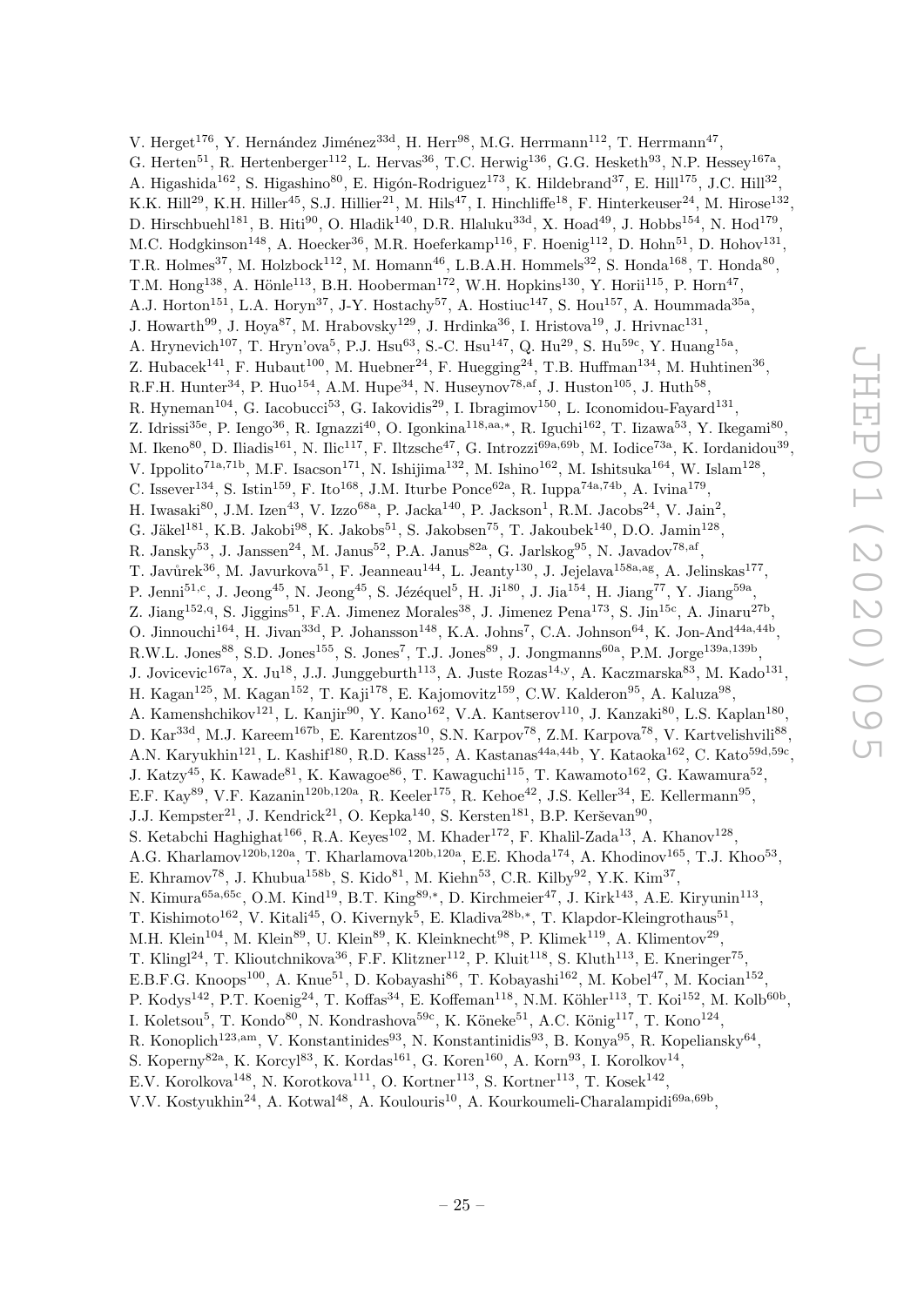V. Herget<sup>176</sup>, Y. Hernández Jiménez<sup>33d</sup>, H. Herr<sup>98</sup>, M.G. Herrmann<sup>112</sup>, T. Herrmann<sup>47</sup>, G. Herten<sup>51</sup>, R. Hertenberger<sup>112</sup>, L. Hervas<sup>36</sup>, T.C. Herwig<sup>136</sup>, G.G. Hesketh<sup>93</sup>, N.P. Hessey<sup>167a</sup>, A. Higashida<sup>162</sup>, S. Higashino<sup>80</sup>, E. Higón-Rodriguez<sup>173</sup>, K. Hildebrand<sup>37</sup>, E. Hill<sup>175</sup>, J.C. Hill<sup>32</sup>, K.K. Hill<sup>29</sup>, K.H. Hiller<sup>45</sup>, S.J. Hillier<sup>21</sup>, M. Hils<sup>47</sup>, I. Hinchliffe<sup>18</sup>, F. Hinterkeuser<sup>24</sup>, M. Hirose<sup>132</sup>, D. Hirschbuehl<sup>181</sup>, B. Hiti<sup>90</sup>, O. Hladik<sup>140</sup>, D.R. Hlaluku<sup>33d</sup>, X. Hoad<sup>49</sup>, J. Hobbs<sup>154</sup>, N. Hod<sup>179</sup>, M.C. Hodgkinson<sup>148</sup>, A. Hoecker<sup>36</sup>, M.R. Hoeferkamp<sup>116</sup>, F. Hoenig<sup>112</sup>, D. Hohn<sup>51</sup>, D. Hohov<sup>131</sup>, T.R. Holmes<sup>37</sup>, M. Holzbock<sup>112</sup>, M. Homann<sup>46</sup>, L.B.A.H. Hommels<sup>32</sup>, S. Honda<sup>168</sup>, T. Honda<sup>80</sup>, T.M. Hong<sup>138</sup>, A. Hönle<sup>113</sup>, B.H. Hooberman<sup>172</sup>, W.H. Hopkins<sup>130</sup>, Y. Horii<sup>115</sup>, P. Horn<sup>47</sup>, A.J. Horton<sup>151</sup>, L.A. Horyn<sup>37</sup>, J-Y. Hostachy<sup>57</sup>, A. Hostiuc<sup>147</sup>, S. Hou<sup>157</sup>, A. Hoummada<sup>35a</sup>, J. Howarth<sup>99</sup>, J. Hoya<sup>87</sup>, M. Hrabovsky<sup>129</sup>, J. Hrdinka<sup>36</sup>, I. Hristova<sup>19</sup>, J. Hrivnac<sup>131</sup>, A. Hrynevich<sup>107</sup>, T. Hryn'ova<sup>5</sup>, P.J. Hsu<sup>63</sup>, S.-C. Hsu<sup>147</sup>, Q. Hu<sup>29</sup>, S. Hu<sup>59c</sup>, Y. Huang<sup>15a</sup>, Z. Hubacek<sup>141</sup>, F. Hubaut<sup>100</sup>, M. Huebner<sup>24</sup>, F. Huegging<sup>24</sup>, T.B. Huffman<sup>134</sup>, M. Huhtinen<sup>36</sup>, R.F.H. Hunter<sup>34</sup>, P. Huo<sup>154</sup>, A.M. Hupe<sup>34</sup>, N. Huseynov<sup>78, af</sup>, J. Huston<sup>105</sup>, J. Huth<sup>58</sup>, R. Hyneman<sup>104</sup>, G. Iacobucci<sup>53</sup>, G. Iakovidis<sup>29</sup>, I. Ibragimov<sup>150</sup>, L. Iconomidou-Fayard<sup>131</sup>, Z. Idrissi<sup>35e</sup>, P. Iengo<sup>36</sup>, R. Ignazzi<sup>40</sup>, O. Igonkina<sup>118,aa,\*</sup>, R. Iguchi<sup>162</sup>, T. Iizawa<sup>53</sup>, Y. Ikegami<sup>80</sup>, M. Ikeno<sup>80</sup>, D. Iliadis<sup>161</sup>, N. Ilic<sup>117</sup>, F. Iltzsche<sup>47</sup>, G. Introzzi<sup>69a,69b</sup>, M. Iodice<sup>73a</sup>, K. Iordanidou<sup>39</sup>, V. Ippolito<sup>71a,71b</sup>, M.F. Isacson<sup>171</sup>, N. Ishijima<sup>132</sup>, M. Ishino<sup>162</sup>, M. Ishitsuka<sup>164</sup>, W. Islam<sup>128</sup>, C. Issever<sup>134</sup>, S. Istin<sup>159</sup>, F. Ito<sup>168</sup>, J.M. Iturbe Ponce<sup>62a</sup>, R. Iuppa<sup>74a,74b</sup>, A. Ivina<sup>179</sup>, H. Iwasaki $^{80}$ , J.M. Izen<sup>43</sup>, V. Izzo<sup>68a</sup>, P. Jacka<sup>140</sup>, P. Jackson<sup>1</sup>, R.M. Jacobs<sup>24</sup>, V. Jain<sup>2</sup>, G. Jäkel<sup>181</sup>, K.B. Jakobi<sup>98</sup>, K. Jakobs<sup>51</sup>, S. Jakobsen<sup>75</sup>, T. Jakoubek<sup>140</sup>, D.O. Jamin<sup>128</sup>, R. Jansky<sup>53</sup>, J. Janssen<sup>24</sup>, M. Janus<sup>52</sup>, P.A. Janus<sup>82a</sup>, G. Jarlskog<sup>95</sup>, N. Javadov<sup>78,af</sup>, T. Javůrek $^{36}$ , M. Javurkova $^{51}$ , F. Jeanneau $^{144}$ , L. Jeanty $^{130}$ , J. Jejelava $^{158a,ag}$ , A. Jelinskas $^{177}$ , P. Jenni<sup>51,c</sup>, J. Jeong<sup>45</sup>, N. Jeong<sup>45</sup>, S. Jézéquel<sup>5</sup>, H. Ji<sup>180</sup>, J. Jia<sup>154</sup>, H. Jiang<sup>77</sup>, Y. Jiang<sup>59a</sup>, Z. Jiang<sup>152,q</sup>, S. Jiggins<sup>51</sup>, F.A. Jimenez Morales<sup>38</sup>, J. Jimenez Pena<sup>173</sup>, S. Jin<sup>15c</sup>, A. Jinaru<sup>27b</sup>, O. Jinnouchi<sup>164</sup>, H. Jivan<sup>33d</sup>, P. Johansson<sup>148</sup>, K.A. Johns<sup>7</sup>, C.A. Johnson<sup>64</sup>, K. Jon-And<sup>44a,44b</sup>, R.W.L. Jones<sup>88</sup>, S.D. Jones<sup>155</sup>, S. Jones<sup>7</sup>, T.J. Jones<sup>89</sup>, J. Jongmanns<sup>60a</sup>, P.M. Jorge<sup>139a,139b</sup>, J. Jovicevic<sup>167a</sup>, X. Ju<sup>18</sup>, J.J. Junggeburth<sup>113</sup>, A. Juste Rozas<sup>14,y</sup>, A. Kaczmarska<sup>83</sup>, M. Kado<sup>131</sup>, H. Kagan $^{125}$ , M. Kagan $^{152}$ , T. Kaji $^{178}$ , E. Kajomovitz $^{159}$ , C.W. Kalderon $^{95}$ , A. Kaluza $^{98}$ , A. Kamenshchikov<sup>121</sup>, L. Kanjir<sup>90</sup>, Y. Kano<sup>162</sup>, V.A. Kantserov<sup>110</sup>, J. Kanzaki<sup>80</sup>, L.S. Kaplan<sup>180</sup>, D. Kar<sup>33d</sup>, M.J. Kareem<sup>167b</sup>, E. Karentzos<sup>10</sup>, S.N. Karpov<sup>78</sup>, Z.M. Karpova<sup>78</sup>, V. Kartvelishvili<sup>88</sup>, A.N. Karyukhin<sup>121</sup>, L. Kashif<sup>180</sup>, R.D. Kass<sup>125</sup>, A. Kastanas<sup>44a,44b</sup>, Y. Kataoka<sup>162</sup>, C. Kato<sup>59d,59c</sup>, J. Katzy<sup>45</sup>, K. Kawade<sup>81</sup>, K. Kawagoe<sup>86</sup>, T. Kawaguchi<sup>115</sup>, T. Kawamoto<sup>162</sup>, G. Kawamura<sup>52</sup>, E.F. Kay<sup>89</sup>, V.F. Kazanin<sup>120b,120a</sup>, R. Keeler<sup>175</sup>, R. Kehoe<sup>42</sup>, J.S. Keller<sup>34</sup>, E. Kellermann<sup>95</sup>, J.J. Kempster<sup>21</sup>, J. Kendrick<sup>21</sup>, O. Kepka<sup>140</sup>, S. Kersten<sup>181</sup>, B.P. Kerševan<sup>90</sup>, S. Ketabchi Haghighat<sup>166</sup>, R.A. Keyes<sup>102</sup>, M. Khader<sup>172</sup>, F. Khalil-Zada<sup>13</sup>, A. Khanov<sup>128</sup>, A.G. Kharlamov<sup>120b,120a</sup>, T. Kharlamova<sup>120b,120a</sup>, E.E. Khoda<sup>174</sup>, A. Khodinov<sup>165</sup>, T.J. Khoo<sup>53</sup>, E. Khramov<sup>78</sup>, J. Khubua<sup>158b</sup>, S. Kido<sup>81</sup>, M. Kiehn<sup>53</sup>, C.R. Kilby<sup>92</sup>, Y.K. Kim<sup>37</sup>, N. Kimura<sup>65a,65c</sup>, O.M. Kind<sup>19</sup>, B.T. King<sup>89,\*</sup>, D. Kirchmeier<sup>47</sup>, J. Kirk<sup>143</sup>, A.E. Kiryunin<sup>113</sup>, T. Kishimoto<sup>162</sup>, V. Kitali<sup>45</sup>, O. Kivernyk<sup>5</sup>, E. Kladiva<sup>28b,\*</sup>, T. Klapdor-Kleingrothaus<sup>51</sup>, M.H. Klein<sup>104</sup>, M. Klein<sup>89</sup>, U. Klein<sup>89</sup>, K. Kleinknecht<sup>98</sup>, P. Klimek<sup>119</sup>, A. Klimentov<sup>29</sup>, T. Klingl<sup>24</sup>, T. Klioutchnikova<sup>36</sup>, F.F. Klitzner<sup>112</sup>, P. Kluit<sup>118</sup>, S. Kluth<sup>113</sup>, E. Kneringer<sup>75</sup>, E.B.F.G. Knoops<sup>100</sup>, A. Knue<sup>51</sup>, D. Kobayashi<sup>86</sup>, T. Kobayashi<sup>162</sup>, M. Kobel<sup>47</sup>, M. Kocian<sup>152</sup>, P. Kodys<sup>142</sup>, P.T. Koenig<sup>24</sup>, T. Koffas<sup>34</sup>, E. Koffeman<sup>118</sup>, N.M. Köhler<sup>113</sup>, T. Koi<sup>152</sup>, M. Kolb<sup>60b</sup>, I. Koletsou<sup>5</sup>, T. Kondo<sup>80</sup>, N. Kondrashova<sup>59c</sup>, K. Köneke<sup>51</sup>, A.C. König<sup>117</sup>, T. Kono<sup>124</sup>, R. Konoplich<sup>123,am</sup>, V. Konstantinides<sup>93</sup>, N. Konstantinidis<sup>93</sup>, B. Konya<sup>95</sup>, R. Kopeliansky<sup>64</sup>, S. Koperny<sup>82a</sup>, K. Korcyl<sup>83</sup>, K. Kordas<sup>161</sup>, G. Koren<sup>160</sup>, A. Korn<sup>93</sup>, I. Korolkov<sup>14</sup>, E.V. Korolkova<sup>148</sup>, N. Korotkova<sup>111</sup>, O. Kortner<sup>113</sup>, S. Kortner<sup>113</sup>, T. Kosek<sup>142</sup>,

V.V. Kostyukhin<sup>24</sup>, A. Kotwal<sup>48</sup>, A. Koulouris<sup>10</sup>, A. Kourkoumeli-Charalampidi<sup>69a,69b</sup>,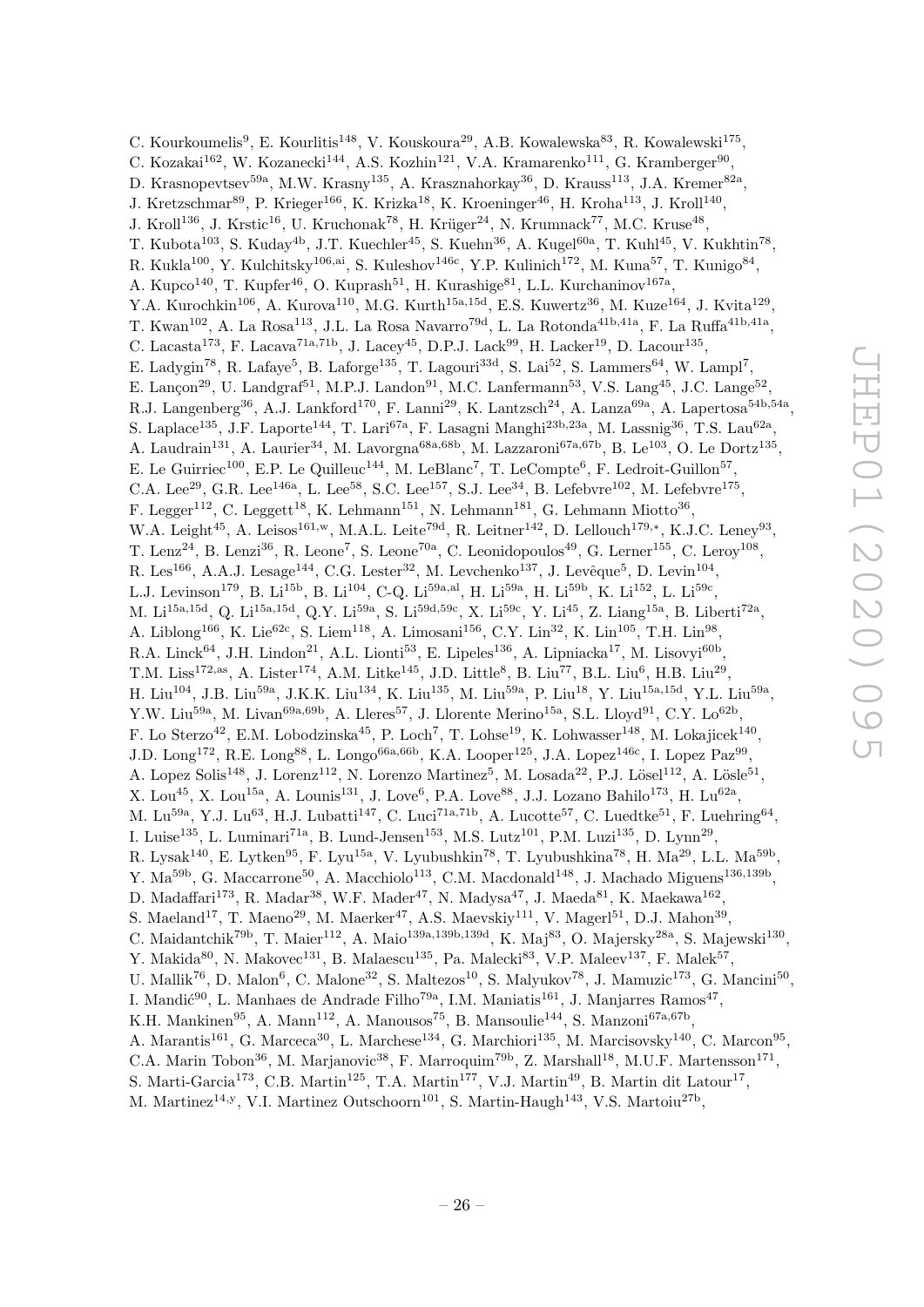C. Kourkoumelis<sup>9</sup>, E. Kourlitis<sup>148</sup>, V. Kouskoura<sup>29</sup>, A.B. Kowalewska<sup>83</sup>, R. Kowalewski<sup>175</sup>, C. Kozakai<sup>162</sup>, W. Kozanecki<sup>144</sup>, A.S. Kozhin<sup>121</sup>, V.A. Kramarenko<sup>111</sup>, G. Kramberger<sup>90</sup>, D. Krasnopevtsev<sup>59a</sup>, M.W. Krasny<sup>135</sup>, A. Krasznahorkay<sup>36</sup>, D. Krauss<sup>113</sup>, J.A. Kremer<sup>82a</sup>, J. Kretzschmar<sup>89</sup>, P. Krieger<sup>166</sup>, K. Krizka<sup>18</sup>, K. Kroeninger<sup>46</sup>, H. Kroha<sup>113</sup>, J. Kroll<sup>140</sup>, J. Kroll<sup>136</sup>, J. Krstic<sup>16</sup>, U. Kruchonak<sup>78</sup>, H. Krüger<sup>24</sup>, N. Krumnack<sup>77</sup>, M.C. Kruse<sup>48</sup>, T. Kubota<sup>103</sup>, S. Kuday<sup>4b</sup>, J.T. Kuechler<sup>45</sup>, S. Kuehn<sup>36</sup>, A. Kugel<sup>60a</sup>, T. Kuhl<sup>45</sup>, V. Kukhtin<sup>78</sup>, R. Kukla<sup>100</sup>, Y. Kulchitsky<sup>106,ai</sup>, S. Kuleshov<sup>146c</sup>, Y.P. Kulinich<sup>172</sup>, M. Kuna<sup>57</sup>, T. Kunigo<sup>84</sup>, A. Kupco<sup>140</sup>, T. Kupfer<sup>46</sup>, O. Kuprash<sup>51</sup>, H. Kurashige<sup>81</sup>, L.L. Kurchaninov<sup>167a</sup>, Y.A. Kurochkin<sup>106</sup>, A. Kurova<sup>110</sup>, M.G. Kurth<sup>15a,15d</sup>, E.S. Kuwertz<sup>36</sup>, M. Kuze<sup>164</sup>, J. Kvita<sup>129</sup>, T. Kwan<sup>102</sup>, A. La Rosa<sup>113</sup>, J.L. La Rosa Navarro<sup>79d</sup>, L. La Rotonda<sup>41b,41a</sup>, F. La Ruffa<sup>41b,41a</sup>, C. Lacasta<sup>173</sup>, F. Lacava<sup>71a,71b</sup>, J. Lacey<sup>45</sup>, D.P.J. Lack<sup>99</sup>, H. Lacker<sup>19</sup>, D. Lacour<sup>135</sup>, E. Ladygin<sup>78</sup>, R. Lafaye<sup>5</sup>, B. Laforge<sup>135</sup>, T. Lagouri<sup>33d</sup>, S. Lai<sup>52</sup>, S. Lammers<sup>64</sup>, W. Lampl<sup>7</sup>, E. Lançon<sup>29</sup>, U. Landgraf<sup>51</sup>, M.P.J. Landon<sup>91</sup>, M.C. Lanfermann<sup>53</sup>, V.S. Lang<sup>45</sup>, J.C. Lange<sup>52</sup>, R.J. Langenberg<sup>36</sup>, A.J. Lankford<sup>170</sup>, F. Lanni<sup>29</sup>, K. Lantzsch<sup>24</sup>, A. Lanza<sup>69a</sup>, A. Lapertosa<sup>54b,54a</sup>, S. Laplace<sup>135</sup>, J.F. Laporte<sup>144</sup>, T. Lari<sup>67a</sup>, F. Lasagni Manghi<sup>23b,23a</sup>, M. Lassnig<sup>36</sup>, T.S. Lau<sup>62a</sup>, A. Laudrain<sup>131</sup>, A. Laurier<sup>34</sup>, M. Lavorgna<sup>68a,68b</sup>, M. Lazzaroni<sup>67a,67b</sup>, B. Le<sup>103</sup>, O. Le Dortz<sup>135</sup>, E. Le Guirriec<sup>100</sup>, E.P. Le Quilleuc<sup>144</sup>, M. LeBlanc<sup>7</sup>, T. LeCompte<sup>6</sup>, F. Ledroit-Guillon<sup>57</sup>, C.A. Lee<sup>29</sup>, G.R. Lee<sup>146a</sup>, L. Lee<sup>58</sup>, S.C. Lee<sup>157</sup>, S.J. Lee<sup>34</sup>, B. Lefebvre<sup>102</sup>, M. Lefebvre<sup>175</sup>, F. Legger<sup>112</sup>, C. Leggett<sup>18</sup>, K. Lehmann<sup>151</sup>, N. Lehmann<sup>181</sup>, G. Lehmann Miotto<sup>36</sup>, W.A. Leight<sup>45</sup>, A. Leisos<sup>161,w</sup>, M.A.L. Leite<sup>79d</sup>, R. Leitner<sup>142</sup>, D. Lellouch<sup>179,\*</sup>, K.J.C. Leney<sup>93</sup>, T. Lenz<sup>24</sup>, B. Lenzi<sup>36</sup>, R. Leone<sup>7</sup>, S. Leone<sup>70a</sup>, C. Leonidopoulos<sup>49</sup>, G. Lerner<sup>155</sup>, C. Leroy<sup>108</sup>, R. Les<sup>166</sup>, A.A.J. Lesage<sup>144</sup>, C.G. Lester<sup>32</sup>, M. Levchenko<sup>137</sup>, J. Levêque<sup>5</sup>, D. Levin<sup>104</sup>, L.J. Levinson<sup>179</sup>, B. Li<sup>15b</sup>, B. Li<sup>104</sup>, C-Q. Li<sup>59a,al</sup>, H. Li<sup>59a</sup>, H. Li<sup>59b</sup>, K. Li<sup>152</sup>, L. Li<sup>59c</sup>, M. Li<sup>15a,15d</sup>, Q. Li<sup>15a,15d</sup>, Q.Y. Li<sup>59a</sup>, S. Li<sup>59d,59c</sup>, X. Li<sup>59c</sup>, Y. Li<sup>45</sup>, Z. Liang<sup>15a</sup>, B. Liberti<sup>72a</sup>, A. Liblong<sup>166</sup>, K. Lie<sup>62c</sup>, S. Liem<sup>118</sup>, A. Limosani<sup>156</sup>, C.Y. Lin<sup>32</sup>, K. Lin<sup>105</sup>, T.H. Lin<sup>98</sup>, R.A. Linck<sup>64</sup>, J.H. Lindon<sup>21</sup>, A.L. Lionti<sup>53</sup>, E. Lipeles<sup>136</sup>, A. Lipniacka<sup>17</sup>, M. Lisovyi<sup>60b</sup>, T.M. Liss<sup>172,as</sup>, A. Lister<sup>174</sup>, A.M. Litke<sup>145</sup>, J.D. Little<sup>8</sup>, B. Liu<sup>77</sup>, B.L. Liu<sup>6</sup>, H.B. Liu<sup>29</sup>, H. Liu<sup>104</sup>, J.B. Liu<sup>59a</sup>, J.K.K. Liu<sup>134</sup>, K. Liu<sup>135</sup>, M. Liu<sup>59a</sup>, P. Liu<sup>18</sup>, Y. Liu<sup>15a,15d</sup>, Y.L. Liu<sup>59a</sup>, Y.W. Liu<sup>59a</sup>, M. Livan<sup>69a,69b</sup>, A. Lleres<sup>57</sup>, J. Llorente Merino<sup>15a</sup>, S.L. Lloyd<sup>91</sup>, C.Y. Lo<sup>62b</sup>, F. Lo Sterzo<sup>42</sup>, E.M. Lobodzinska<sup>45</sup>, P. Loch<sup>7</sup>, T. Lohse<sup>19</sup>, K. Lohwasser<sup>148</sup>, M. Lokajicek<sup>140</sup>, J.D. Long<sup>172</sup>, R.E. Long<sup>88</sup>, L. Longo<sup>66a,66b</sup>, K.A. Looper<sup>125</sup>, J.A. Lopez<sup>146c</sup>, I. Lopez Paz<sup>99</sup>, A. Lopez Solis<sup>148</sup>, J. Lorenz<sup>112</sup>, N. Lorenzo Martinez<sup>5</sup>, M. Losada<sup>22</sup>, P.J. Lösel<sup>112</sup>, A. Lösle<sup>51</sup>, X. Lou<sup>45</sup>, X. Lou<sup>15a</sup>, A. Lounis<sup>131</sup>, J. Love<sup>6</sup>, P.A. Love<sup>88</sup>, J.J. Lozano Bahilo<sup>173</sup>, H. Lu<sup>62a</sup>, M. Lu<sup>59a</sup>, Y.J. Lu<sup>63</sup>, H.J. Lubatti<sup>147</sup>, C. Luci<sup>71a,71b</sup>, A. Lucotte<sup>57</sup>, C. Luedtke<sup>51</sup>, F. Luehring<sup>64</sup>, I. Luise<sup>135</sup>, L. Luminari<sup>71a</sup>, B. Lund-Jensen<sup>153</sup>, M.S. Lutz<sup>101</sup>, P.M. Luzi<sup>135</sup>, D. Lynn<sup>29</sup>, R. Lysak<sup>140</sup>, E. Lytken<sup>95</sup>, F. Lyu<sup>15a</sup>, V. Lyubushkin<sup>78</sup>, T. Lyubushkina<sup>78</sup>, H. Ma<sup>29</sup>, L.L. Ma<sup>59b</sup>, Y. Ma<sup>59b</sup>, G. Maccarrone<sup>50</sup>, A. Macchiolo<sup>113</sup>, C.M. Macdonald<sup>148</sup>, J. Machado Miguens<sup>136,139b</sup>, D. Madaffari<sup>173</sup>, R. Madar<sup>38</sup>, W.F. Mader<sup>47</sup>, N. Madysa<sup>47</sup>, J. Maeda<sup>81</sup>, K. Maekawa<sup>162</sup>, S. Maeland<sup>17</sup>, T. Maeno<sup>29</sup>, M. Maerker<sup>47</sup>, A.S. Maevskiy<sup>111</sup>, V. Magerl<sup>51</sup>, D.J. Mahon<sup>39</sup>, C. Maidantchik<sup>79b</sup>, T. Maier<sup>112</sup>, A. Maio<sup>139a,139b,139d</sup>, K. Maj<sup>83</sup>, O. Majersky<sup>28a</sup>, S. Majewski<sup>130</sup>, Y. Makida<sup>80</sup>, N. Makovec<sup>131</sup>, B. Malaescu<sup>135</sup>, Pa. Malecki<sup>83</sup>, V.P. Maleev<sup>137</sup>, F. Malek<sup>57</sup>, U. Mallik<sup>76</sup>, D. Malon<sup>6</sup>, C. Malone<sup>32</sup>, S. Maltezos<sup>10</sup>, S. Malyukov<sup>78</sup>, J. Mamuzic<sup>173</sup>, G. Mancini<sup>50</sup>, I. Mandić<sup>90</sup>, L. Manhaes de Andrade Filho<sup>79a</sup>, I.M. Maniatis<sup>161</sup>, J. Manjarres Ramos<sup>47</sup>, K.H. Mankinen<sup>95</sup>, A. Mann<sup>112</sup>, A. Manousos<sup>75</sup>, B. Mansoulie<sup>144</sup>, S. Manzoni<sup>67a,67b</sup>, A. Marantis<sup>161</sup>, G. Marceca<sup>30</sup>, L. Marchese<sup>134</sup>, G. Marchiori<sup>135</sup>, M. Marcisovsky<sup>140</sup>, C. Marcon<sup>95</sup>, C.A. Marin Tobon<sup>36</sup>, M. Marjanovic<sup>38</sup>, F. Marroquim<sup>79b</sup>, Z. Marshall<sup>18</sup>, M.U.F. Martensson<sup>171</sup>, S. Marti-Garcia<sup>173</sup>, C.B. Martin<sup>125</sup>, T.A. Martin<sup>177</sup>, V.J. Martin<sup>49</sup>, B. Martin dit Latour<sup>17</sup>,

M. Martinez<sup>14,y</sup>, V.I. Martinez Outschoorn<sup>101</sup>, S. Martin-Haugh<sup>143</sup>, V.S. Martoiu<sup>27b</sup>,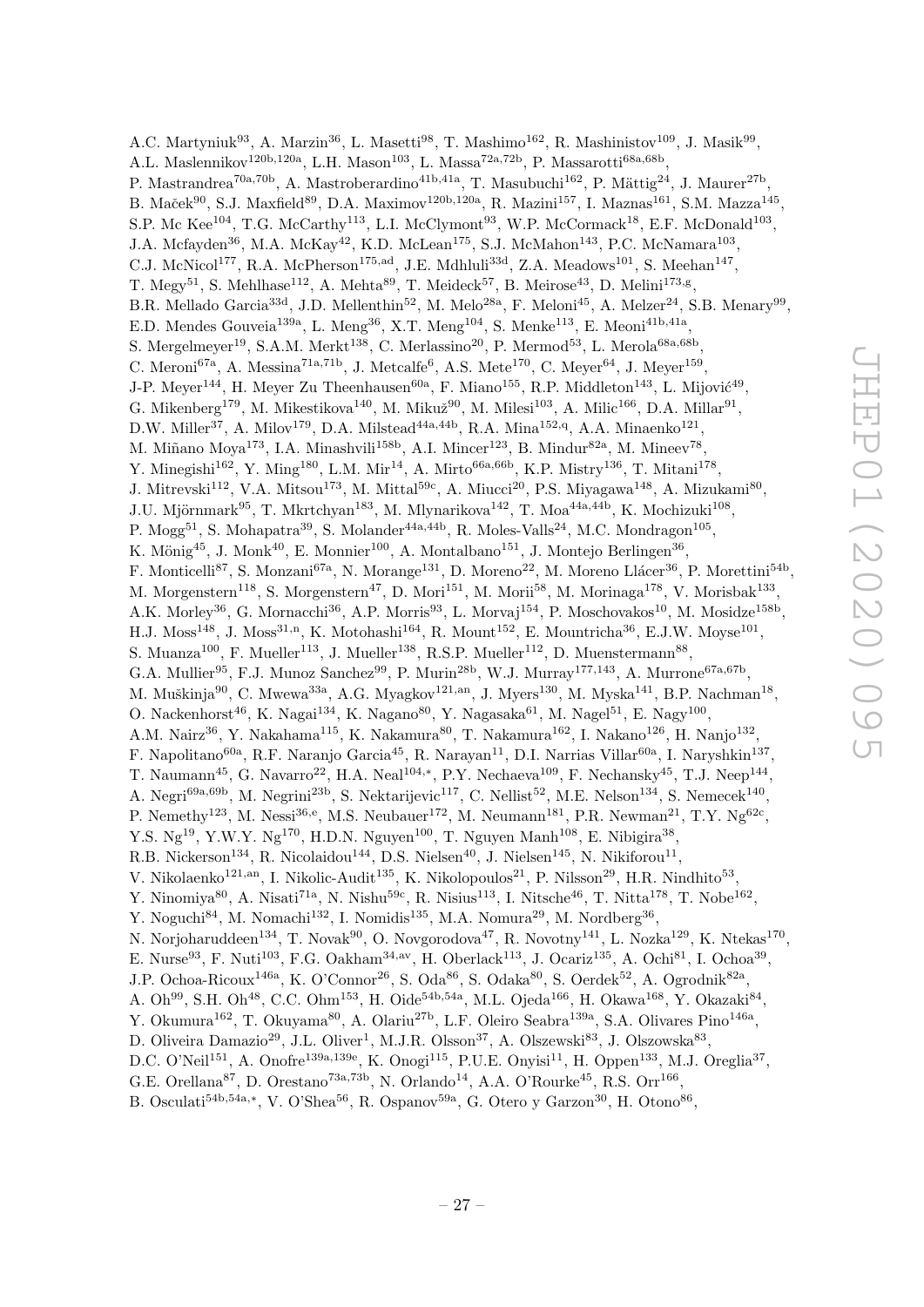A.C. Martyniuk<sup>93</sup>, A. Marzin<sup>36</sup>, L. Masetti<sup>98</sup>, T. Mashimo<sup>162</sup>, R. Mashinistov<sup>109</sup>, J. Masik<sup>99</sup>, A.L. Maslennikov<sup>120b,120a</sup>, L.H. Mason<sup>103</sup>, L. Massa<sup>72a,72b</sup>, P. Massarotti<sup>68a,68b</sup>, P. Mastrandrea<sup>70a,70b</sup>, A. Mastroberardino<sup>41b,41a</sup>, T. Masubuchi<sup>162</sup>, P. Mättig<sup>24</sup>, J. Maurer<sup>27b</sup>, B. Maček $^{90}$ , S.J. Maxfield $^{89}$ , D.A. Maximov $^{120b,120a}$ , R. Mazini $^{157}$ , I. Maznas $^{161}$ , S.M. Mazza $^{145}$ , S.P. Mc Kee<sup>104</sup>, T.G. McCarthy<sup>113</sup>, L.I. McClymont<sup>93</sup>, W.P. McCormack<sup>18</sup>, E.F. McDonald<sup>103</sup>, J.A. Mcfayden<sup>36</sup>, M.A. McKay<sup>42</sup>, K.D. McLean<sup>175</sup>, S.J. McMahon<sup>143</sup>, P.C. McNamara<sup>103</sup>, C.J. McNicol<sup>177</sup>, R.A. McPherson<sup>175,ad</sup>, J.E. Mdhluli<sup>33d</sup>, Z.A. Meadows<sup>101</sup>, S. Meehan<sup>147</sup>, T. Megy<sup>51</sup>, S. Mehlhase<sup>112</sup>, A. Mehta<sup>89</sup>, T. Meideck<sup>57</sup>, B. Meirose<sup>43</sup>, D. Melini<sup>173,g</sup>, B.R. Mellado Garcia<sup>33d</sup>, J.D. Mellenthin<sup>52</sup>, M. Melo<sup>28a</sup>, F. Meloni<sup>45</sup>, A. Melzer<sup>24</sup>, S.B. Menary<sup>99</sup>, E.D. Mendes Gouveia<sup>139a</sup>, L. Meng<sup>36</sup>, X.T. Meng<sup>104</sup>, S. Menke<sup>113</sup>, E. Meoni<sup>41b,41a</sup>, S. Mergelmeyer<sup>19</sup>, S.A.M. Merkt<sup>138</sup>, C. Merlassino<sup>20</sup>, P. Mermod<sup>53</sup>, L. Merola<sup>68a,68b</sup>, C. Meroni<sup>67a</sup>, A. Messina<sup>71a,71b</sup>, J. Metcalfe<sup>6</sup>, A.S. Mete<sup>170</sup>, C. Meyer<sup>64</sup>, J. Meyer<sup>159</sup>, J-P. Meyer<sup>144</sup>, H. Meyer Zu Theenhausen<sup>60a</sup>, F. Miano<sup>155</sup>, R.P. Middleton<sup>143</sup>, L. Mijović<sup>49</sup>, G. Mikenberg<sup>179</sup>, M. Mikestikova<sup>140</sup>, M. Mikuž<sup>90</sup>, M. Milesi<sup>103</sup>, A. Milic<sup>166</sup>, D.A. Millar<sup>91</sup>, D.W. Miller<sup>37</sup>, A. Milov<sup>179</sup>, D.A. Milstead<sup>44a,44b</sup>, R.A. Mina<sup>152,q</sup>, A.A. Minaenko<sup>121</sup>, M. Miñano Moya<sup>173</sup>, I.A. Minashvili<sup>158b</sup>, A.I. Mincer<sup>123</sup>, B. Mindur<sup>82a</sup>, M. Mineev<sup>78</sup>, Y. Minegishi<sup>162</sup>, Y. Ming<sup>180</sup>, L.M. Mir<sup>14</sup>, A. Mirto<sup>66a,66b</sup>, K.P. Mistry<sup>136</sup>, T. Mitani<sup>178</sup>, J. Mitrevski<sup>112</sup>, V.A. Mitsou<sup>173</sup>, M. Mittal<sup>59c</sup>, A. Miucci<sup>20</sup>, P.S. Miyagawa<sup>148</sup>, A. Mizukami<sup>80</sup>, J.U. Mjörnmark $^{95}$ , T. Mkrtchyan<sup>183</sup>, M. Mlynarikova<sup>142</sup>, T. Moa<sup>44a,44b</sup>, K. Mochizuki<sup>108</sup>, P.  $Mogg<sup>51</sup>$ , S. Mohapatra<sup>39</sup>, S. Molander<sup>44a,44b</sup>, R. Moles-Valls<sup>24</sup>, M.C. Mondragon<sup>105</sup>, K. Mönig<sup>45</sup>, J. Monk<sup>40</sup>, E. Monnier<sup>100</sup>, A. Montalbano<sup>151</sup>, J. Montejo Berlingen<sup>36</sup>, F. Monticelli<sup>87</sup>, S. Monzani<sup>67a</sup>, N. Morange<sup>131</sup>, D. Moreno<sup>22</sup>, M. Moreno Llácer<sup>36</sup>, P. Morettini<sup>54b</sup>, M. Morgenstern<sup>118</sup>, S. Morgenstern<sup>47</sup>, D. Mori<sup>151</sup>, M. Morii<sup>58</sup>, M. Morinaga<sup>178</sup>, V. Morisbak<sup>133</sup>, A.K. Morley<sup>36</sup>, G. Mornacchi<sup>36</sup>, A.P. Morris<sup>93</sup>, L. Morvaj<sup>154</sup>, P. Moschovakos<sup>10</sup>, M. Mosidze<sup>158b</sup>, H.J. Moss<sup>148</sup>, J. Moss<sup>31,n</sup>, K. Motohashi<sup>164</sup>, R. Mount<sup>152</sup>, E. Mountricha<sup>36</sup>, E.J.W. Moyse<sup>101</sup>, S. Muanza<sup>100</sup>, F. Mueller<sup>113</sup>, J. Mueller<sup>138</sup>, R.S.P. Mueller<sup>112</sup>, D. Muenstermann<sup>88</sup>, G.A. Mullier<sup>95</sup>, F.J. Munoz Sanchez<sup>99</sup>, P. Murin<sup>28b</sup>, W.J. Murray<sup>177,143</sup>, A. Murrone<sup>67a,67b</sup>, M. Muškinja $^{90}$ , C. Mwewa $^{33a}$ , A.G. Myagkov $^{121,an}$ , J. Myers $^{130}$ , M. Myska $^{141}$ , B.P. Nachman $^{18}$ , O. Nackenhorst<sup>46</sup>, K. Nagai<sup>134</sup>, K. Nagano<sup>80</sup>, Y. Nagasaka<sup>61</sup>, M. Nagel<sup>51</sup>, E. Nagy<sup>100</sup>, A.M. Nairz<sup>36</sup>, Y. Nakahama<sup>115</sup>, K. Nakamura<sup>80</sup>, T. Nakamura<sup>162</sup>, I. Nakano<sup>126</sup>, H. Nanjo<sup>132</sup>, F. Napolitano<sup>60a</sup>, R.F. Naranjo Garcia<sup>45</sup>, R. Narayan<sup>11</sup>, D.I. Narrias Villar<sup>60a</sup>, I. Naryshkin<sup>137</sup>, T. Naumann<sup>45</sup>, G. Navarro<sup>22</sup>, H.A. Neal<sup>104,\*</sup>, P.Y. Nechaeva<sup>109</sup>, F. Nechansky<sup>45</sup>, T.J. Neep<sup>144</sup>, A. Negri<sup>69a,69b</sup>, M. Negrini<sup>23b</sup>, S. Nektarijevic<sup>117</sup>, C. Nellist<sup>52</sup>, M.E. Nelson<sup>134</sup>, S. Nemecek<sup>140</sup>, P. Nemethy<sup>123</sup>, M. Nessi<sup>36,e</sup>, M.S. Neubauer<sup>172</sup>, M. Neumann<sup>181</sup>, P.R. Newman<sup>21</sup>, T.Y. Ng<sup>62c</sup>, Y.S.  $Ng^{19}$ , Y.W.Y.  $Ng^{170}$ , H.D.N.  $Nguyen^{100}$ , T. Nguyen Manh<sup>108</sup>, E. Nibigira<sup>38</sup>, R.B. Nickerson<sup>134</sup>, R. Nicolaidou<sup>144</sup>, D.S. Nielsen<sup>40</sup>, J. Nielsen<sup>145</sup>, N. Nikiforou<sup>11</sup>, V. Nikolaenko<sup>121,an</sup>, I. Nikolic-Audit<sup>135</sup>, K. Nikolopoulos<sup>21</sup>, P. Nilsson<sup>29</sup>, H.R. Nindhito<sup>53</sup>, Y. Ninomiya<sup>80</sup>, A. Nisati<sup>71a</sup>, N. Nishu<sup>59c</sup>, R. Nisius<sup>113</sup>, I. Nitsche<sup>46</sup>, T. Nitta<sup>178</sup>, T. Nobe<sup>162</sup>, Y. Noguchi<sup>84</sup>, M. Nomachi<sup>132</sup>, I. Nomidis<sup>135</sup>, M.A. Nomura<sup>29</sup>, M. Nordberg<sup>36</sup>, N. Norjoharuddeen<sup>134</sup>, T. Novak<sup>90</sup>, O. Novgorodova<sup>47</sup>, R. Novotny<sup>141</sup>, L. Nozka<sup>129</sup>, K. Ntekas<sup>170</sup>, E. Nurse<sup>93</sup>, F. Nuti<sup>103</sup>, F.G. Oakham<sup>34,av</sup>, H. Oberlack<sup>113</sup>, J. Ocariz<sup>135</sup>, A. Ochi<sup>81</sup>, I. Ochoa<sup>39</sup>, J.P. Ochoa-Ricoux<sup>146a</sup>, K. O'Connor<sup>26</sup>, S. Oda<sup>86</sup>, S. Odaka<sup>80</sup>, S. Oerdek<sup>52</sup>, A. Ogrodnik<sup>82a</sup>, A. Oh<sup>99</sup>, S.H. Oh<sup>48</sup>, C.C. Ohm<sup>153</sup>, H. Oide<sup>54b,54a</sup>, M.L. Ojeda<sup>166</sup>, H. Okawa<sup>168</sup>, Y. Okazaki<sup>84</sup>, Y. Okumura<sup>162</sup>, T. Okuyama<sup>80</sup>, A. Olariu<sup>27b</sup>, L.F. Oleiro Seabra<sup>139a</sup>, S.A. Olivares Pino<sup>146a</sup>, D. Oliveira Damazio<sup>29</sup>, J.L. Oliver<sup>1</sup>, M.J.R. Olsson<sup>37</sup>, A. Olszewski<sup>83</sup>, J. Olszowska<sup>83</sup>, D.C. O'Neil<sup>151</sup>, A. Onofre<sup>139a,139e</sup>, K. Onogi<sup>115</sup>, P.U.E. Onyisi<sup>11</sup>, H. Oppen<sup>133</sup>, M.J. Oreglia<sup>37</sup>, G.E. Orellana<sup>87</sup>, D. Orestano<sup>73a,73b</sup>, N. Orlando<sup>14</sup>, A.A. O'Rourke<sup>45</sup>, R.S. Orr<sup>166</sup>,

B. Osculati<sup>54b,54a,\*</sup>, V. O'Shea<sup>56</sup>, R. Ospanov<sup>59a</sup>, G. Otero y Garzon<sup>30</sup>, H. Otono<sup>86</sup>,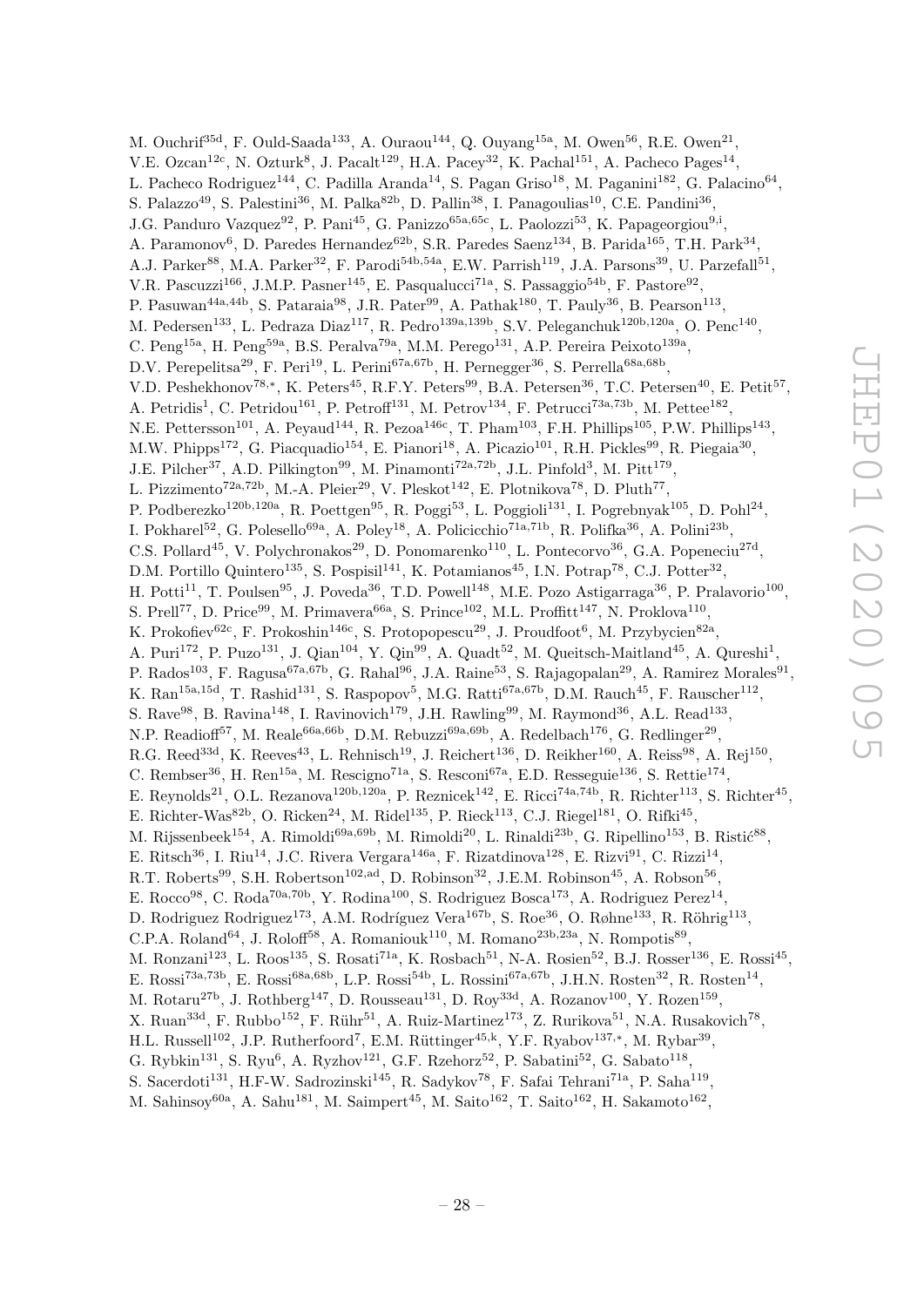M. Ouchrif<sup>35d</sup>, F. Ould-Saada<sup>133</sup>, A. Ouraou<sup>144</sup>, Q. Ouyang<sup>15a</sup>, M. Owen<sup>56</sup>, R.E. Owen<sup>21</sup>, V.E. Ozcan<sup>12c</sup>, N. Ozturk<sup>8</sup>, J. Pacalt<sup>129</sup>, H.A. Pacey<sup>32</sup>, K. Pachal<sup>151</sup>, A. Pacheco Pages<sup>14</sup>, L. Pacheco Rodriguez<sup>144</sup>, C. Padilla Aranda<sup>14</sup>, S. Pagan Griso<sup>18</sup>, M. Paganini<sup>182</sup>, G. Palacino<sup>64</sup>, S. Palazzo<sup>49</sup>, S. Palestini<sup>36</sup>, M. Palka<sup>82b</sup>, D. Pallin<sup>38</sup>, I. Panagoulias<sup>10</sup>, C.E. Pandini<sup>36</sup>, J.G. Panduro Vazquez<sup>92</sup>, P. Pani<sup>45</sup>, G. Panizzo<sup>65a,65c</sup>, L. Paolozzi<sup>53</sup>, K. Papageorgiou<sup>9,i</sup>, A. Paramonov<sup>6</sup>, D. Paredes Hernandez<sup>62b</sup>, S.R. Paredes Saenz<sup>134</sup>, B. Parida<sup>165</sup>, T.H. Park<sup>34</sup>, A.J. Parker<sup>88</sup>, M.A. Parker<sup>32</sup>, F. Parodi<sup>54b,54a</sup>, E.W. Parrish<sup>119</sup>, J.A. Parsons<sup>39</sup>, U. Parzefall<sup>51</sup>, V.R. Pascuzzi<sup>166</sup>, J.M.P. Pasner<sup>145</sup>, E. Pasqualucci<sup>71a</sup>, S. Passaggio<sup>54b</sup>, F. Pastore<sup>92</sup>, P. Pasuwan<sup>44a,44b</sup>, S. Pataraia<sup>98</sup>, J.R. Pater<sup>99</sup>, A. Pathak<sup>180</sup>, T. Pauly<sup>36</sup>, B. Pearson<sup>113</sup>, M. Pedersen<sup>133</sup>, L. Pedraza Diaz<sup>117</sup>, R. Pedro<sup>139a, 139b</sup>, S.V. Peleganchuk<sup>120b, 120a</sup>, O. Penc<sup>140</sup>, C. Peng<sup>15a</sup>, H. Peng<sup>59a</sup>, B.S. Peralva<sup>79a</sup>, M.M. Perego<sup>131</sup>, A.P. Pereira Peixoto<sup>139a</sup>, D.V. Perepelitsa<sup>29</sup>, F. Peri<sup>19</sup>, L. Perini<sup>67a,67b</sup>, H. Pernegger<sup>36</sup>, S. Perrella<sup>68a,68b</sup>, V.D. Peshekhonov<sup>78,∗</sup>, K. Peters<sup>45</sup>, R.F.Y. Peters<sup>99</sup>, B.A. Petersen<sup>36</sup>, T.C. Petersen<sup>40</sup>, E. Petit<sup>57</sup>, A. Petridis<sup>1</sup>, C. Petridou<sup>161</sup>, P. Petroff<sup>131</sup>, M. Petrov<sup>134</sup>, F. Petrucci<sup>73a,73b</sup>, M. Pettee<sup>182</sup>, N.E. Pettersson<sup>101</sup>, A. Peyaud<sup>144</sup>, R. Pezoa<sup>146c</sup>, T. Pham<sup>103</sup>, F.H. Phillips<sup>105</sup>, P.W. Phillips<sup>143</sup>, M.W. Phipps<sup>172</sup>, G. Piacquadio<sup>154</sup>, E. Pianori<sup>18</sup>, A. Picazio<sup>101</sup>, R.H. Pickles<sup>99</sup>, R. Piegaia<sup>30</sup>, J.E. Pilcher<sup>37</sup>, A.D. Pilkington<sup>99</sup>, M. Pinamonti<sup>72a,72b</sup>, J.L. Pinfold<sup>3</sup>, M. Pitt<sup>179</sup>, L. Pizzimento<sup>72a,72b</sup>, M.-A. Pleier<sup>29</sup>, V. Pleskot<sup>142</sup>, E. Plotnikova<sup>78</sup>, D. Pluth<sup>77</sup>, P. Podberezko<sup>120b,120a</sup>, R. Poettgen<sup>95</sup>, R. Poggi<sup>53</sup>, L. Poggioli<sup>131</sup>, I. Pogrebnyak<sup>105</sup>, D. Pohl<sup>24</sup>, I. Pokharel<sup>52</sup>, G. Polesello<sup>69a</sup>, A. Poley<sup>18</sup>, A. Policicchio<sup>71a,71b</sup>, R. Polifka<sup>36</sup>, A. Polini<sup>23b</sup>, C.S. Pollard<sup>45</sup>, V. Polychronakos<sup>29</sup>, D. Ponomarenko<sup>110</sup>, L. Pontecorvo<sup>36</sup>, G.A. Popeneciu<sup>27d</sup>, D.M. Portillo Quintero<sup>135</sup>, S. Pospisil<sup>141</sup>, K. Potamianos<sup>45</sup>, I.N. Potrap<sup>78</sup>, C.J. Potter<sup>32</sup>, H. Potti<sup>11</sup>, T. Poulsen<sup>95</sup>, J. Poveda<sup>36</sup>, T.D. Powell<sup>148</sup>, M.E. Pozo Astigarraga<sup>36</sup>, P. Pralavorio<sup>100</sup>, S. Prell<sup>77</sup>, D. Price<sup>99</sup>, M. Primavera<sup>66a</sup>, S. Prince<sup>102</sup>, M.L. Proffitt<sup>147</sup>, N. Proklova<sup>110</sup>, K. Prokofiev<sup>62c</sup>, F. Prokoshin<sup>146c</sup>, S. Protopopescu<sup>29</sup>, J. Proudfoot<sup>6</sup>, M. Przybycien<sup>82a</sup>, A. Puri<sup>172</sup>, P. Puzo<sup>131</sup>, J. Qian<sup>104</sup>, Y. Qin<sup>99</sup>, A. Quadt<sup>52</sup>, M. Queitsch-Maitland<sup>45</sup>, A. Qureshi<sup>1</sup>, P. Rados<sup>103</sup>, F. Ragusa<sup>67a,67b</sup>, G. Rahal<sup>96</sup>, J.A. Raine<sup>53</sup>, S. Rajagopalan<sup>29</sup>, A. Ramirez Morales<sup>91</sup>, K. Ran<sup>15a,15d</sup>, T. Rashid<sup>131</sup>, S. Raspopov<sup>5</sup>, M.G. Ratti<sup>67a,67b</sup>, D.M. Rauch<sup>45</sup>, F. Rauscher<sup>112</sup>, S. Rave<sup>98</sup>, B. Ravina<sup>148</sup>, I. Ravinovich<sup>179</sup>, J.H. Rawling<sup>99</sup>, M. Raymond<sup>36</sup>, A.L. Read<sup>133</sup>, N.P. Readioff<sup>57</sup>, M. Reale<sup>66a,66b</sup>, D.M. Rebuzzi<sup>69a,69b</sup>, A. Redelbach<sup>176</sup>, G. Redlinger<sup>29</sup>, R.G. Reed<sup>33d</sup>, K. Reeves<sup>43</sup>, L. Rehnisch<sup>19</sup>, J. Reichert<sup>136</sup>, D. Reikher<sup>160</sup>, A. Reiss<sup>98</sup>, A. Rej<sup>150</sup>, C. Rembser<sup>36</sup>, H. Ren<sup>15a</sup>, M. Rescigno<sup>71a</sup>, S. Resconi<sup>67a</sup>, E.D. Resseguie<sup>136</sup>, S. Rettie<sup>174</sup>, E. Reynolds<sup>21</sup>, O.L. Rezanova<sup>120b,120a</sup>, P. Reznicek<sup>142</sup>, E. Ricci<sup>74a,74b</sup>, R. Richter<sup>113</sup>, S. Richter<sup>45</sup>, E. Richter-Was<sup>82b</sup>, O. Ricken<sup>24</sup>, M. Ridel<sup>135</sup>, P. Rieck<sup>113</sup>, C.J. Riegel<sup>181</sup>, O. Rifki<sup>45</sup>, M. Rijssenbeek<sup>154</sup>, A. Rimoldi<sup>69a,69b</sup>, M. Rimoldi<sup>20</sup>, L. Rinaldi<sup>23b</sup>, G. Ripellino<sup>153</sup>, B. Ristić<sup>88</sup>, E. Ritsch<sup>36</sup>, I. Riu<sup>14</sup>, J.C. Rivera Vergara<sup>146a</sup>, F. Rizatdinova<sup>128</sup>, E. Rizvi<sup>91</sup>, C. Rizzi<sup>14</sup>, R.T. Roberts<sup>99</sup>, S.H. Robertson<sup>102,ad</sup>, D. Robinson<sup>32</sup>, J.E.M. Robinson<sup>45</sup>, A. Robson<sup>56</sup>, E. Rocco<sup>98</sup>, C. Roda<sup>70a,70b</sup>, Y. Rodina<sup>100</sup>, S. Rodriguez Bosca<sup>173</sup>, A. Rodriguez Perez<sup>14</sup>, D. Rodriguez Rodriguez<sup>173</sup>, A.M. Rodríguez Vera<sup>167b</sup>, S. Roe<sup>36</sup>, O. Røhne<sup>133</sup>, R. Röhrig<sup>113</sup>, C.P.A. Roland<sup>64</sup>, J. Roloff<sup>58</sup>, A. Romaniouk<sup>110</sup>, M. Romano<sup>23b,23a</sup>, N. Rompotis<sup>89</sup>, M. Ronzani<sup>123</sup>, L. Roos<sup>135</sup>, S. Rosati<sup>71a</sup>, K. Rosbach<sup>51</sup>, N-A. Rosien<sup>52</sup>, B.J. Rosser<sup>136</sup>, E. Rossi<sup>45</sup>, E. Rossi<sup>73a,73b</sup>, E. Rossi<sup>68a,68b</sup>, L.P. Rossi<sup>54b</sup>, L. Rossini<sup>67a,67b</sup>, J.H.N. Rosten<sup>32</sup>, R. Rosten<sup>14</sup>, M. Rotaru<sup>27b</sup>, J. Rothberg<sup>147</sup>, D. Rousseau<sup>131</sup>, D. Roy<sup>33d</sup>, A. Rozanov<sup>100</sup>, Y. Rozen<sup>159</sup>, X. Ruan<sup>33d</sup>, F. Rubbo<sup>152</sup>, F. Rühr<sup>51</sup>, A. Ruiz-Martinez<sup>173</sup>, Z. Rurikova<sup>51</sup>, N.A. Rusakovich<sup>78</sup>, H.L. Russell<sup>102</sup>, J.P. Rutherfoord<sup>7</sup>, E.M. Rüttinger<sup>45,k</sup>, Y.F. Ryabov<sup>137,\*</sup>, M. Rybar<sup>39</sup>, G. Rybkin<sup>131</sup>, S. Ryu<sup>6</sup>, A. Ryzhov<sup>121</sup>, G.F. Rzehorz<sup>52</sup>, P. Sabatini<sup>52</sup>, G. Sabato<sup>118</sup>, S. Sacerdoti<sup>131</sup>, H.F-W. Sadrozinski<sup>145</sup>, R. Sadykov<sup>78</sup>, F. Safai Tehrani<sup>71a</sup>, P. Saha<sup>119</sup>,

M. Sahinsoy<sup>60a</sup>, A. Sahu<sup>181</sup>, M. Saimpert<sup>45</sup>, M. Saito<sup>162</sup>, T. Saito<sup>162</sup>, H. Sakamoto<sup>162</sup>,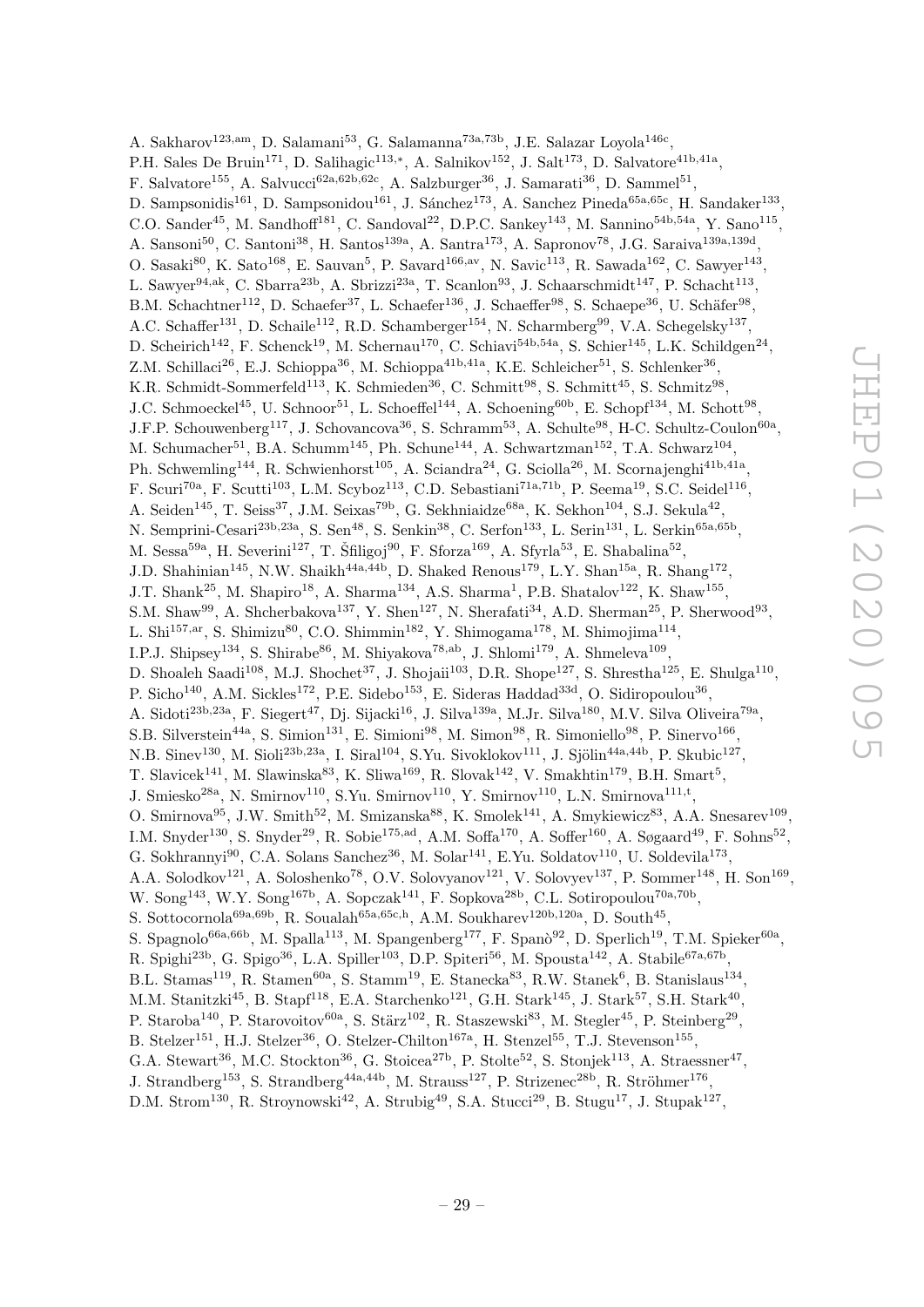A. Sakharov<sup>123,am</sup>, D. Salamani<sup>53</sup>, G. Salamanna<sup>73a,73b</sup>, J.E. Salazar Loyola<sup>146c</sup>, P.H. Sales De Bruin<sup>171</sup>, D. Salihagic<sup>113,\*</sup>, A. Salnikov<sup>152</sup>, J. Salt<sup>173</sup>, D. Salvatore<sup>41b,41a</sup>, F. Salvatore<sup>155</sup>, A. Salvucci<sup>62a,62b,62c</sup>, A. Salzburger<sup>36</sup>, J. Samarati<sup>36</sup>, D. Sammel<sup>51</sup>, D. Sampsonidis<sup>161</sup>, D. Sampsonidou<sup>161</sup>, J. Sánchez<sup>173</sup>, A. Sanchez Pineda<sup>65a,65c</sup>, H. Sandaker<sup>133</sup>, C.O. Sander<sup>45</sup>, M. Sandhoff<sup>181</sup>, C. Sandoval<sup>22</sup>, D.P.C. Sankey<sup>143</sup>, M. Sannino<sup>54b,54a</sup>, Y. Sano<sup>115</sup>, A. Sansoni<sup>50</sup>, C. Santoni<sup>38</sup>, H. Santos<sup>139a</sup>, A. Santra<sup>173</sup>, A. Sapronov<sup>78</sup>, J.G. Saraiva<sup>139a,139d</sup>, O. Sasaki<sup>80</sup>, K. Sato<sup>168</sup>, E. Sauvan<sup>5</sup>, P. Savard<sup>166,av</sup>, N. Savic<sup>113</sup>, R. Sawada<sup>162</sup>, C. Sawyer<sup>143</sup>, L. Sawyer<sup>94,ak</sup>, C. Sbarra<sup>23b</sup>, A. Sbrizzi<sup>23a</sup>, T. Scanlon<sup>93</sup>, J. Schaarschmidt<sup>147</sup>, P. Schacht<sup>113</sup>, B.M. Schachtner<sup>112</sup>, D. Schaefer<sup>37</sup>, L. Schaefer<sup>136</sup>, J. Schaeffer<sup>98</sup>, S. Schaepe<sup>36</sup>, U. Schäfer<sup>98</sup>, A.C. Schaffer<sup>131</sup>, D. Schaile<sup>112</sup>, R.D. Schamberger<sup>154</sup>, N. Scharmberg<sup>99</sup>, V.A. Schegelsky<sup>137</sup>, D. Scheirich<sup>142</sup>, F. Schenck<sup>19</sup>, M. Schernau<sup>170</sup>, C. Schiavi<sup>54b,54a</sup>, S. Schier<sup>145</sup>, L.K. Schildgen<sup>24</sup>, Z.M. Schillaci<sup>26</sup>, E.J. Schioppa<sup>36</sup>, M. Schioppa<sup>41b,41a</sup>, K.E. Schleicher<sup>51</sup>, S. Schlenker<sup>36</sup>, K.R. Schmidt-Sommerfeld<sup>113</sup>, K. Schmieden<sup>36</sup>, C. Schmitt<sup>98</sup>, S. Schmitt<sup>45</sup>, S. Schmitz<sup>98</sup>, J.C. Schmoeckel<sup>45</sup>, U. Schnoor<sup>51</sup>, L. Schoeffel<sup>144</sup>, A. Schoening<sup>60b</sup>, E. Schopf<sup>134</sup>, M. Schott<sup>98</sup>, J.F.P. Schouwenberg<sup>117</sup>, J. Schovancova<sup>36</sup>, S. Schramm<sup>53</sup>, A. Schulte<sup>98</sup>, H-C. Schultz-Coulon<sup>60a</sup>, M. Schumacher<sup>51</sup>, B.A. Schumm<sup>145</sup>, Ph. Schune<sup>144</sup>, A. Schwartzman<sup>152</sup>, T.A. Schwarz<sup>104</sup>, Ph. Schwemling<sup>144</sup>, R. Schwienhorst<sup>105</sup>, A. Sciandra<sup>24</sup>, G. Sciolla<sup>26</sup>, M. Scornajenghi<sup>41b,41a</sup>, F. Scuri<sup>70a</sup>, F. Scutti<sup>103</sup>, L.M. Scyboz<sup>113</sup>, C.D. Sebastiani<sup>71a,71b</sup>, P. Seema<sup>19</sup>, S.C. Seidel<sup>116</sup>, A. Seiden<sup>145</sup>, T. Seiss<sup>37</sup>, J.M. Seixas<sup>79b</sup>, G. Sekhniaidze<sup>68a</sup>, K. Sekhon<sup>104</sup>, S.J. Sekula<sup>42</sup>, N. Semprini-Cesari<sup>23b,23a</sup>, S. Sen<sup>48</sup>, S. Senkin<sup>38</sup>, C. Serfon<sup>133</sup>, L. Serin<sup>131</sup>, L. Serkin<sup>65a,65b</sup>, M. Sessa<sup>59a</sup>, H. Severini<sup>127</sup>, T. Šfiligoj<sup>90</sup>, F. Sforza<sup>169</sup>, A. Sfyrla<sup>53</sup>, E. Shabalina<sup>52</sup>, J.D. Shahinian<sup>145</sup>, N.W. Shaikh<sup>44a,44b</sup>, D. Shaked Renous<sup>179</sup>, L.Y. Shan<sup>15a</sup>, R. Shang<sup>172</sup>, J.T. Shank<sup>25</sup>, M. Shapiro<sup>18</sup>, A. Sharma<sup>134</sup>, A.S. Sharma<sup>1</sup>, P.B. Shatalov<sup>122</sup>, K. Shaw<sup>155</sup>, S.M. Shaw<sup>99</sup>, A. Shcherbakova<sup>137</sup>, Y. Shen<sup>127</sup>, N. Sherafati<sup>34</sup>, A.D. Sherman<sup>25</sup>, P. Sherwood<sup>93</sup>, L. Shi<sup>157,ar</sup>, S. Shimizu<sup>80</sup>, C.O. Shimmin<sup>182</sup>, Y. Shimogama<sup>178</sup>, M. Shimojima<sup>114</sup>, I.P.J. Shipsey<sup>134</sup>, S. Shirabe<sup>86</sup>, M. Shiyakova<sup>78,ab</sup>, J. Shlomi<sup>179</sup>, A. Shmeleva<sup>109</sup>, D. Shoaleh Saadi<sup>108</sup>, M.J. Shochet<sup>37</sup>, J. Shojaii<sup>103</sup>, D.R. Shope<sup>127</sup>, S. Shrestha<sup>125</sup>, E. Shulga<sup>110</sup>, P. Sicho<sup>140</sup>, A.M. Sickles<sup>172</sup>, P.E. Sidebo<sup>153</sup>, E. Sideras Haddad<sup>33d</sup>, O. Sidiropoulou<sup>36</sup>, A. Sidoti<sup>23b,23a</sup>, F. Siegert<sup>47</sup>, Dj. Sijacki<sup>16</sup>, J. Silva<sup>139a</sup>, M.Jr. Silva<sup>180</sup>, M.V. Silva Oliveira<sup>79a</sup>, S.B. Silverstein<sup>44a</sup>, S. Simion<sup>131</sup>, E. Simioni<sup>98</sup>, M. Simon<sup>98</sup>, R. Simoniello<sup>98</sup>, P. Sinervo<sup>166</sup>, N.B. Sinev<sup>130</sup>, M. Sioli<sup>23b,23a</sup>, I. Siral<sup>104</sup>, S.Yu. Sivoklokov<sup>111</sup>, J. Sjölin<sup>44a,44b</sup>, P. Skubic<sup>127</sup>, T. Slavicek<sup>141</sup>, M. Slawinska<sup>83</sup>, K. Sliwa<sup>169</sup>, R. Slovak<sup>142</sup>, V. Smakhtin<sup>179</sup>, B.H. Smart<sup>5</sup>, J. Smiesko<sup>28a</sup>, N. Smirnov<sup>110</sup>, S.Yu. Smirnov<sup>110</sup>, Y. Smirnov<sup>110</sup>, L.N. Smirnova<sup>111,t</sup>, O. Smirnova<sup>95</sup>, J.W. Smith<sup>52</sup>, M. Smizanska<sup>88</sup>, K. Smolek<sup>141</sup>, A. Smykiewicz<sup>83</sup>, A.A. Snesarev<sup>109</sup>, I.M. Snyder<sup>130</sup>, S. Snyder<sup>29</sup>, R. Sobie<sup>175,ad</sup>, A.M. Soffa<sup>170</sup>, A. Soffer<sup>160</sup>, A. Søgaard<sup>49</sup>, F. Sohns<sup>52</sup>, G. Sokhrannyi<sup>90</sup>, C.A. Solans Sanchez<sup>36</sup>, M. Solar<sup>141</sup>, E.Yu. Soldatov<sup>110</sup>, U. Soldevila<sup>173</sup>, A.A. Solodkov<sup>121</sup>, A. Soloshenko<sup>78</sup>, O.V. Solovyanov<sup>121</sup>, V. Solovyev<sup>137</sup>, P. Sommer<sup>148</sup>, H. Son<sup>169</sup>, W. Song<sup>143</sup>, W.Y. Song<sup>167b</sup>, A. Sopczak<sup>141</sup>, F. Sopkova<sup>28b</sup>, C.L. Sotiropoulou<sup>70a,70b</sup>, S. Sottocornola<sup>69a,69b</sup>, R. Soualah<sup>65a,65c,h</sup>, A.M. Soukharev<sup>120b,120a</sup>, D. South<sup>45</sup>, S. Spagnolo<sup>66a,66b</sup>, M. Spalla<sup>113</sup>, M. Spangenberg<sup>177</sup>, F. Spanò<sup>92</sup>, D. Sperlich<sup>19</sup>, T.M. Spieker<sup>60a</sup>, R. Spighi<sup>23b</sup>, G. Spigo<sup>36</sup>, L.A. Spiller<sup>103</sup>, D.P. Spiteri<sup>56</sup>, M. Spousta<sup>142</sup>, A. Stabile<sup>67a,67b</sup>, B.L. Stamas<sup>119</sup>, R. Stamen<sup>60a</sup>, S. Stamm<sup>19</sup>, E. Stanecka<sup>83</sup>, R.W. Stanek<sup>6</sup>, B. Stanislaus<sup>134</sup>, M.M. Stanitzki<sup>45</sup>, B. Stapf<sup>118</sup>, E.A. Starchenko<sup>121</sup>, G.H. Stark<sup>145</sup>, J. Stark<sup>57</sup>, S.H. Stark<sup>40</sup>, P. Staroba<sup>140</sup>, P. Starovoitov<sup>60a</sup>, S. Stärz<sup>102</sup>, R. Staszewski<sup>83</sup>, M. Stegler<sup>45</sup>, P. Steinberg<sup>29</sup>, B. Stelzer<sup>151</sup>, H.J. Stelzer<sup>36</sup>, O. Stelzer-Chilton<sup>167a</sup>, H. Stenzel<sup>55</sup>, T.J. Stevenson<sup>155</sup>, G.A. Stewart<sup>36</sup>, M.C. Stockton<sup>36</sup>, G. Stoicea<sup>27b</sup>, P. Stolte<sup>52</sup>, S. Stonjek<sup>113</sup>, A. Straessner<sup>47</sup>, J. Strandberg<sup>153</sup>, S. Strandberg<sup>44a,44b</sup>, M. Strauss<sup>127</sup>, P. Strizenec<sup>28b</sup>, R. Ströhmer<sup>176</sup>,

D.M. Strom<sup>130</sup>, R. Stroynowski<sup>42</sup>, A. Strubig<sup>49</sup>, S.A. Stucci<sup>29</sup>, B. Stugu<sup>17</sup>, J. Stupak<sup>127</sup>,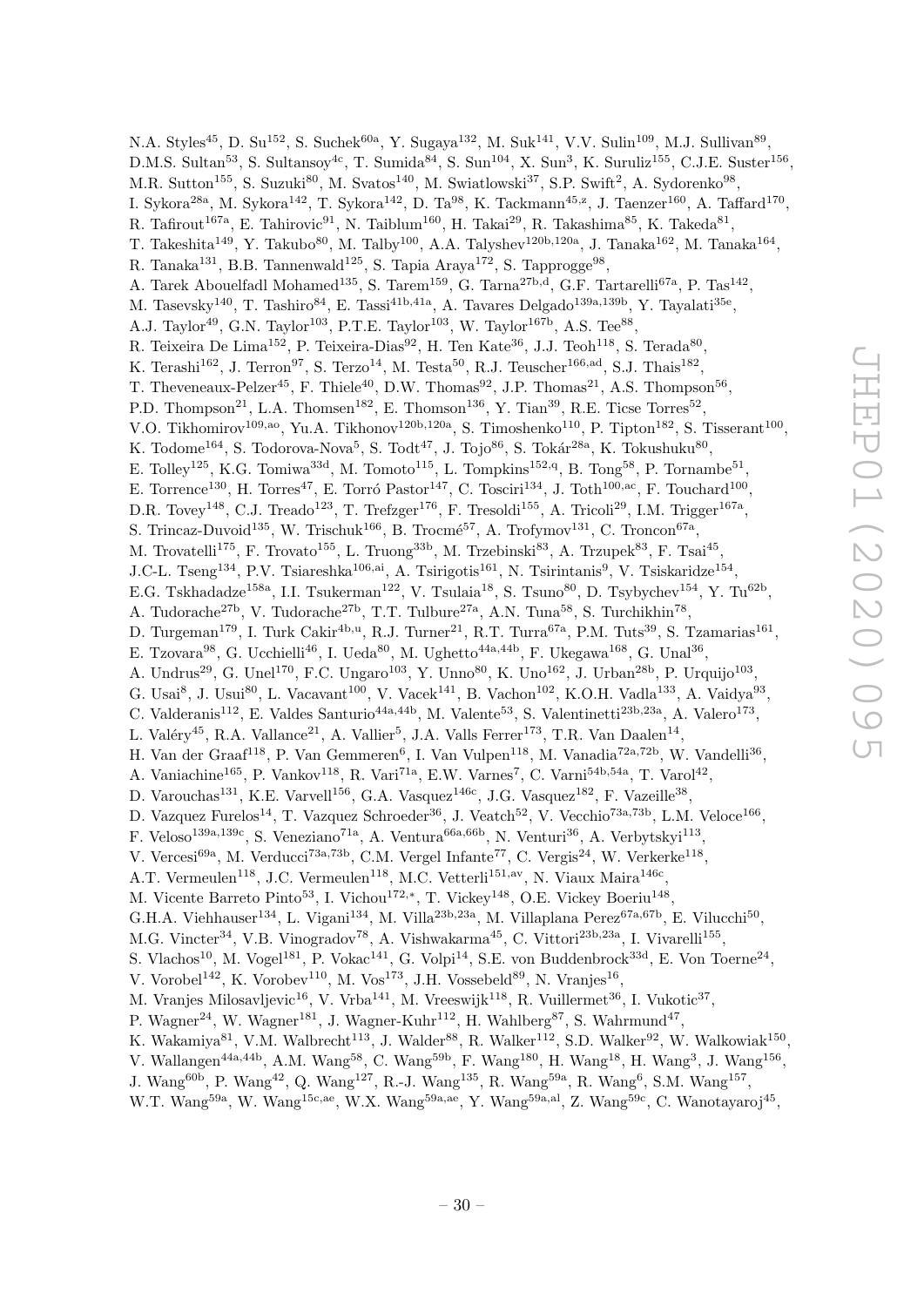N.A. Styles<sup>45</sup>, D. Su<sup>152</sup>, S. Suchek<sup>60a</sup>, Y. Sugaya<sup>132</sup>, M. Suk<sup>141</sup>, V.V. Sulin<sup>109</sup>, M.J. Sullivan<sup>89</sup>, D.M.S. Sultan<sup>53</sup>, S. Sultansoy<sup>4c</sup>, T. Sumida<sup>84</sup>, S. Sun<sup>104</sup>, X. Sun<sup>3</sup>, K. Suruliz<sup>155</sup>, C.J.E. Suster<sup>156</sup>, M.R. Sutton<sup>155</sup>, S. Suzuki<sup>80</sup>, M. Svatos<sup>140</sup>, M. Swiatlowski<sup>37</sup>, S.P. Swift<sup>2</sup>, A. Sydorenko<sup>98</sup>, I. Sykora $^{28a}$ , M. Sykora $^{142}$ , T. Sykora $^{142}$ , D. Ta $^{98}$ , K. Tackmann $^{45,z}$ , J. Taenzer $^{160}$ , A. Taffard $^{170}$ , R. Tafirout<sup>167a</sup>, E. Tahirovic<sup>91</sup>, N. Taiblum<sup>160</sup>, H. Takai<sup>29</sup>, R. Takashima<sup>85</sup>, K. Takeda<sup>81</sup>, T. Takeshita<sup>149</sup>, Y. Takubo<sup>80</sup>, M. Talby<sup>100</sup>, A.A. Talyshev<sup>120b,120a</sup>, J. Tanaka<sup>162</sup>, M. Tanaka<sup>164</sup>, R. Tanaka<sup>131</sup>, B.B. Tannenwald<sup>125</sup>, S. Tapia Araya<sup>172</sup>, S. Tapprogge<sup>98</sup>, A. Tarek Abouelfadl Mohamed<sup>135</sup>, S. Tarem<sup>159</sup>, G. Tarna<sup>27b,d</sup>, G.F. Tartarelli<sup>67a</sup>, P. Tas<sup>142</sup>, M. Tasevsky<sup>140</sup>, T. Tashiro<sup>84</sup>, E. Tassi<sup>41b,41a</sup>, A. Tavares Delgado<sup>139a,139b</sup>, Y. Tayalati<sup>35e</sup>, A.J. Taylor<sup>49</sup>, G.N. Taylor<sup>103</sup>, P.T.E. Taylor<sup>103</sup>, W. Taylor<sup>167b</sup>, A.S. Tee<sup>88</sup>, R. Teixeira De Lima<sup>152</sup>, P. Teixeira-Dias<sup>92</sup>, H. Ten Kate<sup>36</sup>, J.J. Teoh<sup>118</sup>, S. Terada<sup>80</sup>, K. Terashi<sup>162</sup>, J. Terron<sup>97</sup>, S. Terzo<sup>14</sup>, M. Testa<sup>50</sup>, R.J. Teuscher<sup>166,ad</sup>, S.J. Thais<sup>182</sup>, T. Theveneaux-Pelzer<sup>45</sup>, F. Thiele<sup>40</sup>, D.W. Thomas<sup>92</sup>, J.P. Thomas<sup>21</sup>, A.S. Thompson<sup>56</sup>, P.D. Thompson<sup>21</sup>, L.A. Thomsen<sup>182</sup>, E. Thomson<sup>136</sup>, Y. Tian<sup>39</sup>, R.E. Ticse Torres<sup>52</sup>, V.O. Tikhomirov<sup>109,ao</sup>, Yu.A. Tikhonov<sup>120b,120a</sup>, S. Timoshenko<sup>110</sup>, P. Tipton<sup>182</sup>, S. Tisserant<sup>100</sup>, K. Todome $^{164}$ , S. Todorova-Nova $^5$ , S. Tod $t^{47}$ , J. Tojo $^{86}$ , S. Tokár $^{28a}$ , K. Tokushuku $^{80}$ , E. Tolley<sup>125</sup>, K.G. Tomiwa<sup>33d</sup>, M. Tomoto<sup>115</sup>, L. Tompkins<sup>152,q</sup>, B. Tong<sup>58</sup>, P. Tornambe<sup>51</sup>, E. Torrence<sup>130</sup>, H. Torres<sup>47</sup>, E. Torró Pastor<sup>147</sup>, C. Tosciri<sup>134</sup>, J. Toth<sup>100,ac</sup>, F. Touchard<sup>100</sup>, D.R. Tovey<sup>148</sup>, C.J. Treado<sup>123</sup>, T. Trefzger<sup>176</sup>, F. Tresoldi<sup>155</sup>, A. Tricoli<sup>29</sup>, I.M. Trigger<sup>167a</sup>, S. Trincaz-Duvoid<sup>135</sup>, W. Trischuk<sup>166</sup>, B. Trocmé<sup>57</sup>, A. Trofymov<sup>131</sup>, C. Troncon<sup>67a</sup>, M. Trovatelli<sup>175</sup>, F. Trovato<sup>155</sup>, L. Truong<sup>33b</sup>, M. Trzebinski<sup>83</sup>, A. Trzupek<sup>83</sup>, F. Tsai<sup>45</sup>, J.C-L. Tseng<sup>134</sup>, P.V. Tsiareshka<sup>106,ai</sup>, A. Tsirigotis<sup>161</sup>, N. Tsirintanis<sup>9</sup>, V. Tsiskaridze<sup>154</sup>, E.G. Tskhadadze<sup>158a</sup>, I.I. Tsukerman<sup>122</sup>, V. Tsulaia<sup>18</sup>, S. Tsuno<sup>80</sup>, D. Tsybychev<sup>154</sup>, Y. Tu<sup>62b</sup>, A. Tudorache<sup>27b</sup>, V. Tudorache<sup>27b</sup>, T.T. Tulbure<sup>27a</sup>, A.N. Tuna<sup>58</sup>, S. Turchikhin<sup>78</sup>, D. Turgeman<sup>179</sup>, I. Turk Cakir<sup>4b,u</sup>, R.J. Turner<sup>21</sup>, R.T. Turra<sup>67a</sup>, P.M. Tuts<sup>39</sup>, S. Tzamarias<sup>161</sup>, E. Tzovara<sup>98</sup>, G. Ucchielli<sup>46</sup>, I. Ueda<sup>80</sup>, M. Ughetto<sup>44a,44b</sup>, F. Ukegawa<sup>168</sup>, G. Unal<sup>36</sup>, A. Undrus<sup>29</sup>, G. Unel<sup>170</sup>, F.C. Ungaro<sup>103</sup>, Y. Unno<sup>80</sup>, K. Uno<sup>162</sup>, J. Urban<sup>28b</sup>, P. Urquijo<sup>103</sup>, G. Usai<sup>8</sup>, J. Usui<sup>80</sup>, L. Vacavant<sup>100</sup>, V. Vacek<sup>141</sup>, B. Vachon<sup>102</sup>, K.O.H. Vadla<sup>133</sup>, A. Vaidya<sup>93</sup>, C. Valderanis<sup>112</sup>, E. Valdes Santurio<sup>44a,44b</sup>, M. Valente<sup>53</sup>, S. Valentinetti<sup>23b,23a</sup>, A. Valero<sup>173</sup>, L. Valéry<sup>45</sup>, R.A. Vallance<sup>21</sup>, A. Vallier<sup>5</sup>, J.A. Valls Ferrer<sup>173</sup>, T.R. Van Daalen<sup>14</sup>, H. Van der Graaf<sup>118</sup>, P. Van Gemmeren<sup>6</sup>, I. Van Vulpen<sup>118</sup>, M. Vanadia<sup>72a,72b</sup>, W. Vandelli<sup>36</sup>, A. Vaniachine<sup>165</sup>, P. Vankov<sup>118</sup>, R. Vari<sup>71a</sup>, E.W. Varnes<sup>7</sup>, C. Varni<sup>54b,54a</sup>, T. Varol<sup>42</sup>, D. Varouchas<sup>131</sup>, K.E. Varvell<sup>156</sup>, G.A. Vasquez<sup>146c</sup>, J.G. Vasquez<sup>182</sup>, F. Vazeille<sup>38</sup>, D. Vazquez Furelos<sup>14</sup>, T. Vazquez Schroeder<sup>36</sup>, J. Veatch<sup>52</sup>, V. Vecchio<sup>73a,73b</sup>, L.M. Veloce<sup>166</sup>, F. Veloso<sup>139a,139c</sup>, S. Veneziano<sup>71a</sup>, A. Ventura<sup>66a,66b</sup>, N. Venturi<sup>36</sup>, A. Verbytskyi<sup>113</sup>, V. Vercesi<sup>69a</sup>, M. Verducci<sup>73a,73b</sup>, C.M. Vergel Infante<sup>77</sup>, C. Vergis<sup>24</sup>, W. Verkerke<sup>118</sup>, A.T. Vermeulen<sup>118</sup>, J.C. Vermeulen<sup>118</sup>, M.C. Vetterli<sup>151,av</sup>, N. Viaux Maira<sup>146c</sup>, M. Vicente Barreto Pinto<sup>53</sup>, I. Vichou<sup>172,\*</sup>, T. Vickey<sup>148</sup>, O.E. Vickey Boeriu<sup>148</sup>, G.H.A. Viehhauser<sup>134</sup>, L. Vigani<sup>134</sup>, M. Villa<sup>23b,23a</sup>, M. Villaplana Perez<sup>67a,67b</sup>, E. Vilucchi<sup>50</sup>, M.G. Vincter<sup>34</sup>, V.B. Vinogradov<sup>78</sup>, A. Vishwakarma<sup>45</sup>, C. Vittori<sup>23b,23a</sup>, I. Vivarelli<sup>155</sup>, S. Vlachos<sup>10</sup>, M. Vogel<sup>181</sup>, P. Vokac<sup>141</sup>, G. Volpi<sup>14</sup>, S.E. von Buddenbrock<sup>33d</sup>, E. Von Toerne<sup>24</sup>, V. Vorobel<sup>142</sup>, K. Vorobev<sup>110</sup>, M. Vos<sup>173</sup>, J.H. Vossebeld<sup>89</sup>, N. Vranjes<sup>16</sup>, M. Vranjes Milosavljevic<sup>16</sup>, V. Vrba<sup>141</sup>, M. Vreeswijk<sup>118</sup>, R. Vuillermet<sup>36</sup>, I. Vukotic<sup>37</sup>, P. Wagner<sup>24</sup>, W. Wagner<sup>181</sup>, J. Wagner-Kuhr<sup>112</sup>, H. Wahlberg<sup>87</sup>, S. Wahrmund<sup>47</sup>, K. Wakamiya<sup>81</sup>, V.M. Walbrecht<sup>113</sup>, J. Walder<sup>88</sup>, R. Walker<sup>112</sup>, S.D. Walker<sup>92</sup>, W. Walkowiak<sup>150</sup>, V. Wallangen<sup>44a,44b</sup>, A.M. Wang<sup>58</sup>, C. Wang<sup>59b</sup>, F. Wang<sup>180</sup>, H. Wang<sup>18</sup>, H. Wang<sup>3</sup>, J. Wang<sup>156</sup>, J. Wang<sup>60b</sup>, P. Wang<sup>42</sup>, Q. Wang<sup>127</sup>, R.-J. Wang<sup>135</sup>, R. Wang<sup>59a</sup>, R. Wang<sup>6</sup>, S.M. Wang<sup>157</sup>,

W.T. Wang<sup>59a</sup>, W. Wang<sup>15c,ae</sup>, W.X. Wang<sup>59a,ae</sup>, Y. Wang<sup>59a,al</sup>, Z. Wang<sup>59c</sup>, C. Wanotayaroj<sup>45</sup>,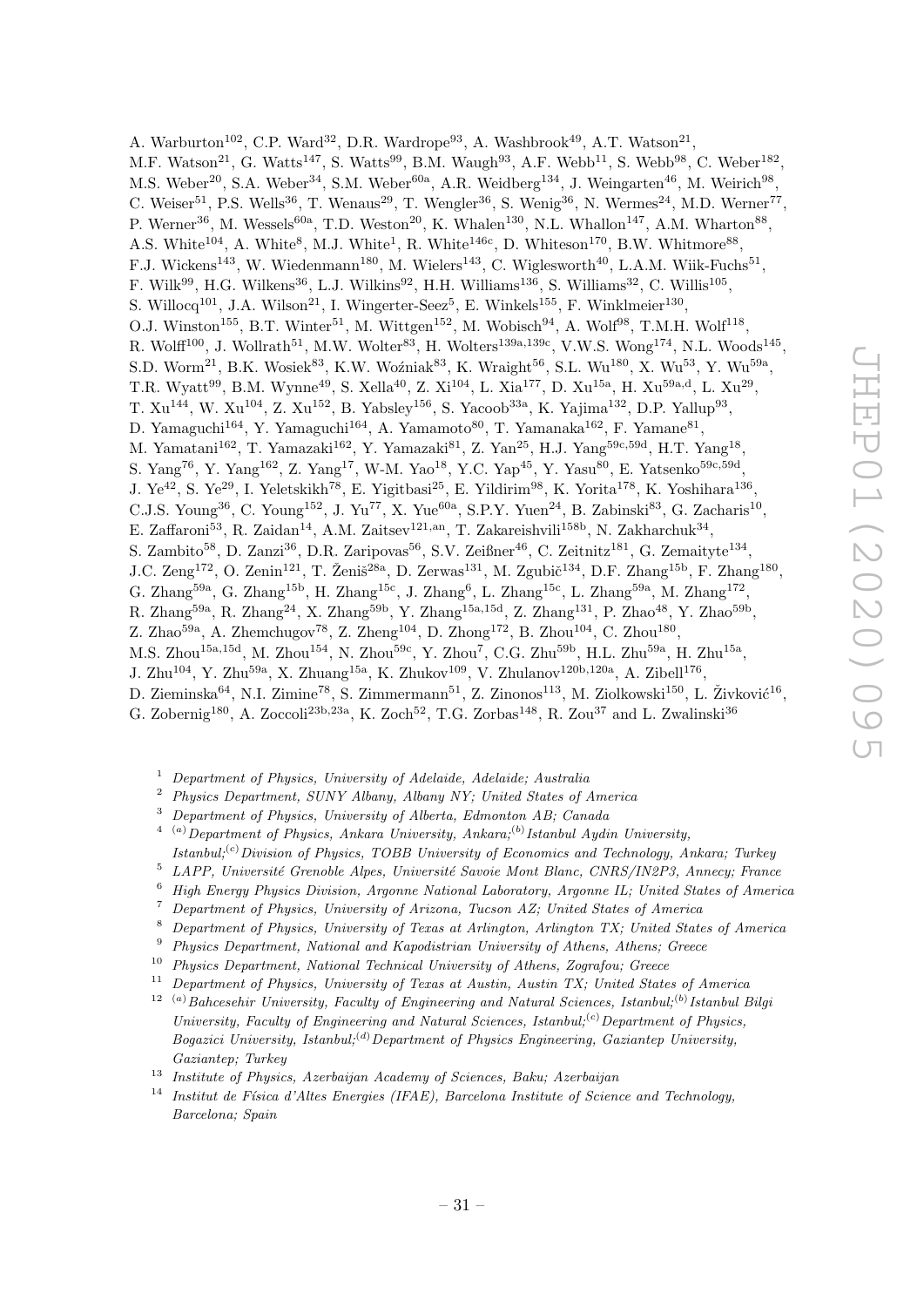A. Warburton<sup>102</sup>, C.P. Ward<sup>32</sup>, D.R. Wardrope<sup>93</sup>, A. Washbrook<sup>49</sup>, A.T. Watson<sup>21</sup>, M.F. Watson<sup>21</sup>, G. Watts<sup>147</sup>, S. Watts<sup>99</sup>, B.M. Waugh<sup>93</sup>, A.F. Webb<sup>11</sup>, S. Webb<sup>98</sup>, C. Weber<sup>182</sup>, M.S. Weber<sup>20</sup>, S.A. Weber<sup>34</sup>, S.M. Weber<sup>60a</sup>, A.R. Weidberg<sup>134</sup>, J. Weingarten<sup>46</sup>, M. Weirich<sup>98</sup>, C. Weiser<sup>51</sup>, P.S. Wells<sup>36</sup>, T. Wenaus<sup>29</sup>, T. Wengler<sup>36</sup>, S. Wenig<sup>36</sup>, N. Wermes<sup>24</sup>, M.D. Werner<sup>77</sup>, P. Werner<sup>36</sup>, M. Wessels<sup>60a</sup>, T.D. Weston<sup>20</sup>, K. Whalen<sup>130</sup>, N.L. Whallon<sup>147</sup>, A.M. Wharton<sup>88</sup>, A.S. White<sup>104</sup>, A. White<sup>8</sup>, M.J. White<sup>1</sup>, R. White<sup>146c</sup>, D. Whiteson<sup>170</sup>, B.W. Whitmore<sup>88</sup>, F.J. Wickens<sup>143</sup>, W. Wiedenmann<sup>180</sup>, M. Wielers<sup>143</sup>, C. Wiglesworth<sup>40</sup>, L.A.M. Wiik-Fuchs<sup>51</sup>, F. Wilk $^{99}$ , H.G. Wilkens<sup>36</sup>, L.J. Wilkins<sup>92</sup>, H.H. Williams<sup>136</sup>, S. Williams<sup>32</sup>, C. Willis<sup>105</sup>, S. Willocq<sup>101</sup>, J.A. Wilson<sup>21</sup>, I. Wingerter-Seez<sup>5</sup>, E. Winkels<sup>155</sup>, F. Winklmeier<sup>130</sup>, O.J. Winston<sup>155</sup>, B.T. Winter<sup>51</sup>, M. Wittgen<sup>152</sup>, M. Wobisch<sup>94</sup>, A. Wolf<sup>98</sup>, T.M.H. Wolf<sup>118</sup>, R. Wolff<sup>100</sup>, J. Wollrath<sup>51</sup>, M.W. Wolter<sup>83</sup>, H. Wolters<sup>139a,139c</sup>, V.W.S. Wong<sup>174</sup>, N.L. Woods<sup>145</sup>, S.D. Worm<sup>21</sup>, B.K. Wosiek<sup>83</sup>, K.W. Woźniak<sup>83</sup>, K. Wraight<sup>56</sup>, S.L. Wu<sup>180</sup>, X. Wu<sup>53</sup>, Y. Wu<sup>59a</sup>, T.R. Wyatt $^{99}$ , B.M. Wynne $^{49}$ , S. Xella $^{40}$ , Z. Xi $^{104}$ , L. Xia $^{177}$ , D. Xu<sup>15a</sup>, H. Xu<sup>59a,d</sup>, L. Xu<sup>29</sup>, T.  $Xu^{144}$ , W.  $Xu^{104}$ , Z.  $Xu^{152}$ , B. Yabsley<sup>156</sup>, S. Yacoob<sup>33a</sup>, K. Yajima<sup>132</sup>, D.P. Yallup<sup>93</sup>, D. Yamaguchi<sup>164</sup>, Y. Yamaguchi<sup>164</sup>, A. Yamamoto<sup>80</sup>, T. Yamanaka<sup>162</sup>, F. Yamane<sup>81</sup>, M. Yamatani<sup>162</sup>, T. Yamazaki<sup>162</sup>, Y. Yamazaki<sup>81</sup>, Z. Yan<sup>25</sup>, H.J. Yang<sup>59c,59d</sup>, H.T. Yang<sup>18</sup>, S. Yang<sup>76</sup>, Y. Yang<sup>162</sup>, Z. Yang<sup>17</sup>, W-M. Yao<sup>18</sup>, Y.C. Yap<sup>45</sup>, Y. Yasu<sup>80</sup>, E. Yatsenko<sup>59c,59d</sup>, J. Ye<sup>42</sup>, S. Ye<sup>29</sup>, I. Yeletskikh<sup>78</sup>, E. Yigitbasi<sup>25</sup>, E. Yildirim<sup>98</sup>, K. Yorita<sup>178</sup>, K. Yoshihara<sup>136</sup>, C.J.S. Young<sup>36</sup>, C. Young<sup>152</sup>, J. Yu<sup>77</sup>, X. Yue<sup>60a</sup>, S.P.Y. Yuen<sup>24</sup>, B. Zabinski<sup>83</sup>, G. Zacharis<sup>10</sup>, E. Zaffaroni<sup>53</sup>, R. Zaidan<sup>14</sup>, A.M. Zaitsev<sup>121,an</sup>, T. Zakareishvili<sup>158b</sup>, N. Zakharchuk<sup>34</sup>, S. Zambito<sup>58</sup>, D. Zanzi<sup>36</sup>, D.R. Zaripovas<sup>56</sup>, S.V. Zeißner<sup>46</sup>, C. Zeitnitz<sup>181</sup>, G. Zemaityte<sup>134</sup>, J.C. Zeng<sup>172</sup>, O. Zenin<sup>121</sup>, T. Ženiš<sup>28a</sup>, D. Zerwas<sup>131</sup>, M. Zgubič<sup>134</sup>, D.F. Zhang<sup>15b</sup>, F. Zhang<sup>180</sup>, G. Zhang<sup>59a</sup>, G. Zhang<sup>15b</sup>, H. Zhang<sup>15c</sup>, J. Zhang<sup>6</sup>, L. Zhang<sup>15c</sup>, L. Zhang<sup>59a</sup>, M. Zhang<sup>172</sup>, R. Zhang<sup>59a</sup>, R. Zhang<sup>24</sup>, X. Zhang<sup>59b</sup>, Y. Zhang<sup>15a,15d</sup>, Z. Zhang<sup>131</sup>, P. Zhao<sup>48</sup>, Y. Zhao<sup>59b</sup>, Z. Zhao<sup>59a</sup>, A. Zhemchugov<sup>78</sup>, Z. Zheng<sup>104</sup>, D. Zhong<sup>172</sup>, B. Zhou<sup>104</sup>, C. Zhou<sup>180</sup>, M.S. Zhou<sup>15a,15d</sup>, M. Zhou<sup>154</sup>, N. Zhou<sup>59c</sup>, Y. Zhou<sup>7</sup>, C.G. Zhu<sup>59b</sup>, H.L. Zhu<sup>59a</sup>, H. Zhu<sup>15a</sup>, J. Zhu<sup>104</sup>, Y. Zhu<sup>59a</sup>, X. Zhuang<sup>15a</sup>, K. Zhukov<sup>109</sup>, V. Zhulanov<sup>120b,120a</sup>, A. Zibell<sup>176</sup>, D. Zieminska $^{64}$ , N.I. Zimine<sup>78</sup>, S. Zimmermann $^{51}$ , Z. Zinonos<sup>113</sup>, M. Ziolkowski<sup>150</sup>, L. Živković<sup>16</sup>, G. Zobernig<sup>180</sup>, A. Zoccoli<sup>23b,23a</sup>, K. Zoch<sup>52</sup>, T.G. Zorbas<sup>148</sup>, R. Zou<sup>37</sup> and L. Zwalinski<sup>36</sup>

- <sup>1</sup> Department of Physics, University of Adelaide, Adelaide; Australia
- <sup>2</sup> Physics Department, SUNY Albany, Albany NY; United States of America
- <sup>3</sup> Department of Physics, University of Alberta, Edmonton AB; Canada
- $^{4-(a)}$ Department of Physics, Ankara University, Ankara;<sup>(b)</sup> Istanbul Aydin University,  $Istantul; ^{(c)}Division$  of Physics, TOBB University of Economics and Technology, Ankara; Turkey
- $5$  LAPP, Université Grenoble Alpes, Université Savoie Mont Blanc, CNRS/IN2P3, Annecy; France
- <sup>6</sup> High Energy Physics Division, Argonne National Laboratory, Argonne IL; United States of America
- <sup>7</sup> Department of Physics, University of Arizona, Tucson AZ; United States of America
- <sup>8</sup> Department of Physics, University of Texas at Arlington, Arlington TX; United States of America
- <sup>9</sup> Physics Department, National and Kapodistrian University of Athens, Athens; Greece
- <sup>10</sup> Physics Department, National Technical University of Athens, Zografou; Greece
- <sup>11</sup> Department of Physics, University of Texas at Austin, Austin TX; United States of America  $12$ <sup>(a)</sup>Bahcesehir University, Faculty of Engineering and Natural Sciences, Istanbul;<sup>(b)</sup> Istanbul Bilgi University, Faculty of Engineering and Natural Sciences, Istanbul; ${}^{(c)}$ Department of Physics, Bogazici University, Istanbul;<sup>(d)</sup>Department of Physics Engineering, Gaziantep University,

Gaziantep; Turkey

- <sup>13</sup> Institute of Physics, Azerbaijan Academy of Sciences, Baku; Azerbaijan
- <sup>14</sup> Institut de Física d'Altes Energies (IFAE), Barcelona Institute of Science and Technology, Barcelona; Spain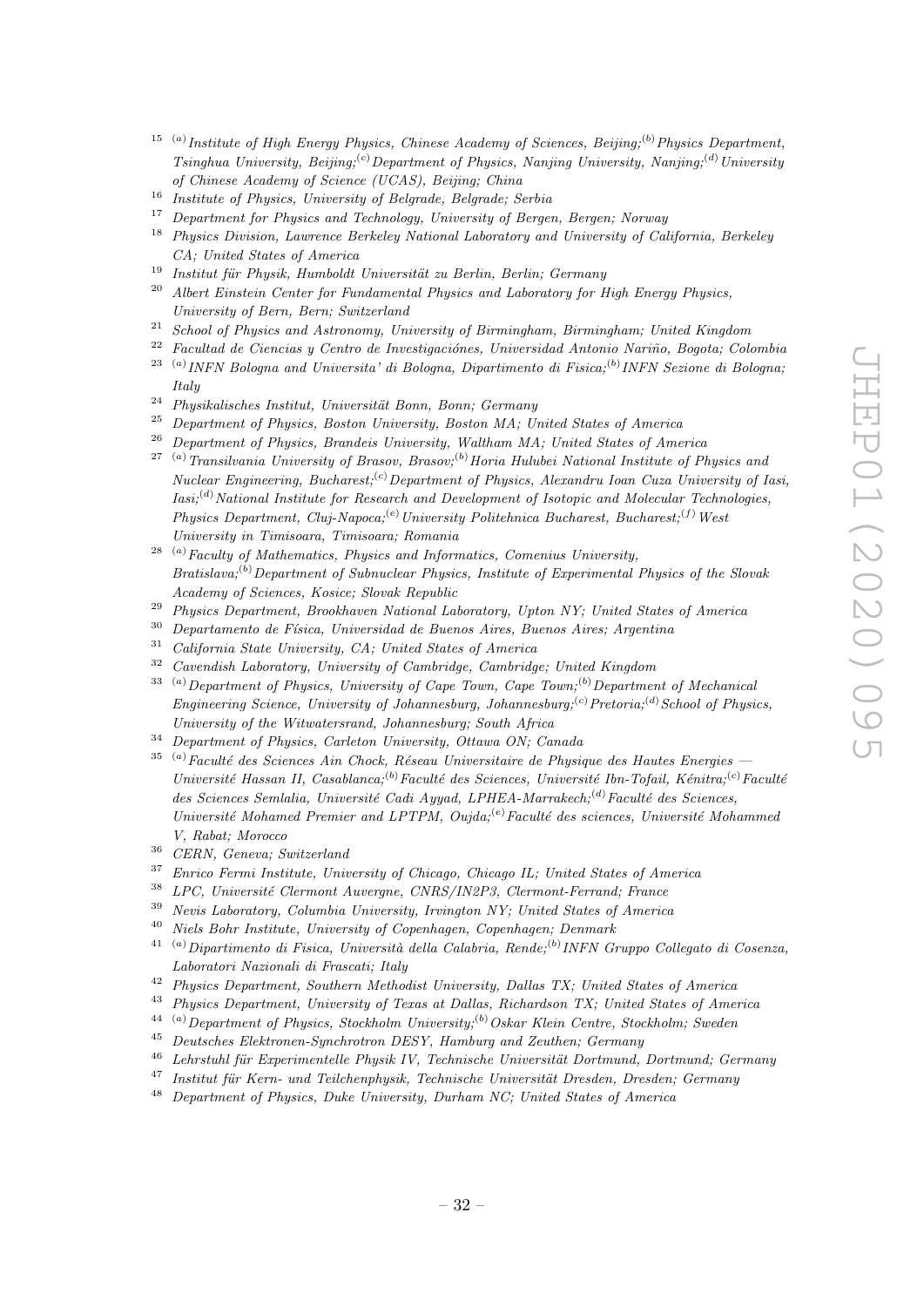- <sup>15</sup> (a) Institute of High Energy Physics, Chinese Academy of Sciences, Beijing;<sup>(b)</sup> Physics Department, Tsinghua University, Beijing;<sup>(c)</sup>Department of Physics, Nanjing University, Nanjing;<sup>(d)</sup>University of Chinese Academy of Science (UCAS), Beijing; China
- <sup>16</sup> Institute of Physics, University of Belgrade, Belgrade; Serbia
- <sup>17</sup> Department for Physics and Technology, University of Bergen, Bergen; Norway
- <sup>18</sup> Physics Division, Lawrence Berkeley National Laboratory and University of California, Berkeley CA; United States of America
- <sup>19</sup> Institut für Physik, Humboldt Universität zu Berlin, Berlin; Germany<br><sup>20</sup> Albert Finstein Gurten für Fundemantal Physics und Lehentem für L
- <sup>20</sup> Albert Einstein Center for Fundamental Physics and Laboratory for High Energy Physics, University of Bern, Bern; Switzerland
- <sup>21</sup> School of Physics and Astronomy, University of Birmingham, Birmingham; United Kingdom
- $22$  Facultad de Ciencias y Centro de Investigaciónes, Universidad Antonio Nariño, Bogota; Colombia  $^{23}$ <sup>(a)</sup> INFN Bologna and Universita' di Bologna, Dipartimento di Fisica;<sup>(b)</sup> INFN Sezione di Bologna;
- Italy
- $24$  Physikalisches Institut, Universität Bonn, Bonn; Germany
- $25$  Department of Physics, Boston University, Boston MA; United States of America
- <sup>26</sup> Department of Physics, Brandeis University, Waltham MA; United States of America
- <sup>27 (a)</sup>Transilvania University of Brasov, Brasov;<sup>(b)</sup>Horia Hulubei National Institute of Physics and Nuclear Engineering, Bucharest;<sup>(c)</sup>Department of Physics, Alexandru Ioan Cuza University of Iasi,  $Iasi;$ <sup>(d)</sup>National Institute for Research and Development of Isotopic and Molecular Technologies, Physics Department, Cluj-Napoca;<sup>(e)</sup> University Politehnica Bucharest, Bucharest;<sup>(f)</sup> West University in Timisoara, Timisoara; Romania
- $28$ <sup>(a)</sup>Faculty of Mathematics, Physics and Informatics, Comenius University,  $Bratislava;$ <sup>(b)</sup> Department of Subnuclear Physics, Institute of Experimental Physics of the Slovak Academy of Sciences, Kosice; Slovak Republic
- <sup>29</sup> Physics Department, Brookhaven National Laboratory, Upton NY; United States of America
- $30$  Departamento de Física, Universidad de Buenos Aires, Buenos Aires; Argentina
- <sup>31</sup> California State University, CA; United States of America
- <sup>32</sup> Cavendish Laboratory, University of Cambridge, Cambridge; United Kingdom
- $33$  (a) Department of Physics, University of Cape Town, Cape Town;<sup>(b)</sup> Department of Mechanical Engineering Science, University of Johannesburg, Johannesburg; ${}^{(c)}$ Pretoria; ${}^{(d)}$ School of Physics, University of the Witwatersrand, Johannesburg; South Africa
- <sup>34</sup> Department of Physics, Carleton University, Ottawa ON; Canada
- $35$ <sup>(a)</sup>Faculté des Sciences Ain Chock, Réseau Universitaire de Physique des Hautes Energies Université Hassan II, Casablanca;<sup>(b)</sup>Faculté des Sciences, Université Ibn-Tofail, Kénitra;<sup>(c)</sup>Faculté des Sciences Semlalia, Université Cadi Ayyad, LPHEA-Marrakech; $^{(d)}$ Faculté des Sciences, Université Mohamed Premier and LPTPM, Oujda;<sup>(e)</sup>Faculté des sciences, Université Mohammed V, Rabat; Morocco
- <sup>36</sup> CERN, Geneva; Switzerland
- <sup>37</sup> Enrico Fermi Institute, University of Chicago, Chicago IL; United States of America
- $138$  LPC, Université Clermont Auvergne, CNRS/IN2P3, Clermont-Ferrand; France
- <sup>39</sup> Nevis Laboratory, Columbia University, Irvington NY; United States of America
- <sup>40</sup> Niels Bohr Institute, University of Copenhagen, Copenhagen; Denmark
- <sup>41 (a)</sup>Dipartimento di Fisica, Università della Calabria, Rende;<sup>(b)</sup> INFN Gruppo Collegato di Cosenza, Laboratori Nazionali di Frascati; Italy
- <sup>42</sup> Physics Department, Southern Methodist University, Dallas TX; United States of America
- <sup>43</sup> Physics Department, University of Texas at Dallas, Richardson TX; United States of America
- $^{44-(a)}$ Department of Physics, Stockholm University;<sup>(b)</sup> Oskar Klein Centre, Stockholm; Sweden
- <sup>45</sup> Deutsches Elektronen-Synchrotron DESY, Hamburg and Zeuthen; Germany
- $46$  Lehrstuhl für Experimentelle Physik IV, Technische Universität Dortmund, Dortmund; Germany
- $^{47}$  Institut für Kern- und Teilchenphysik, Technische Universität Dresden, Dresden; Germany
- <sup>48</sup> Department of Physics, Duke University, Durham NC; United States of America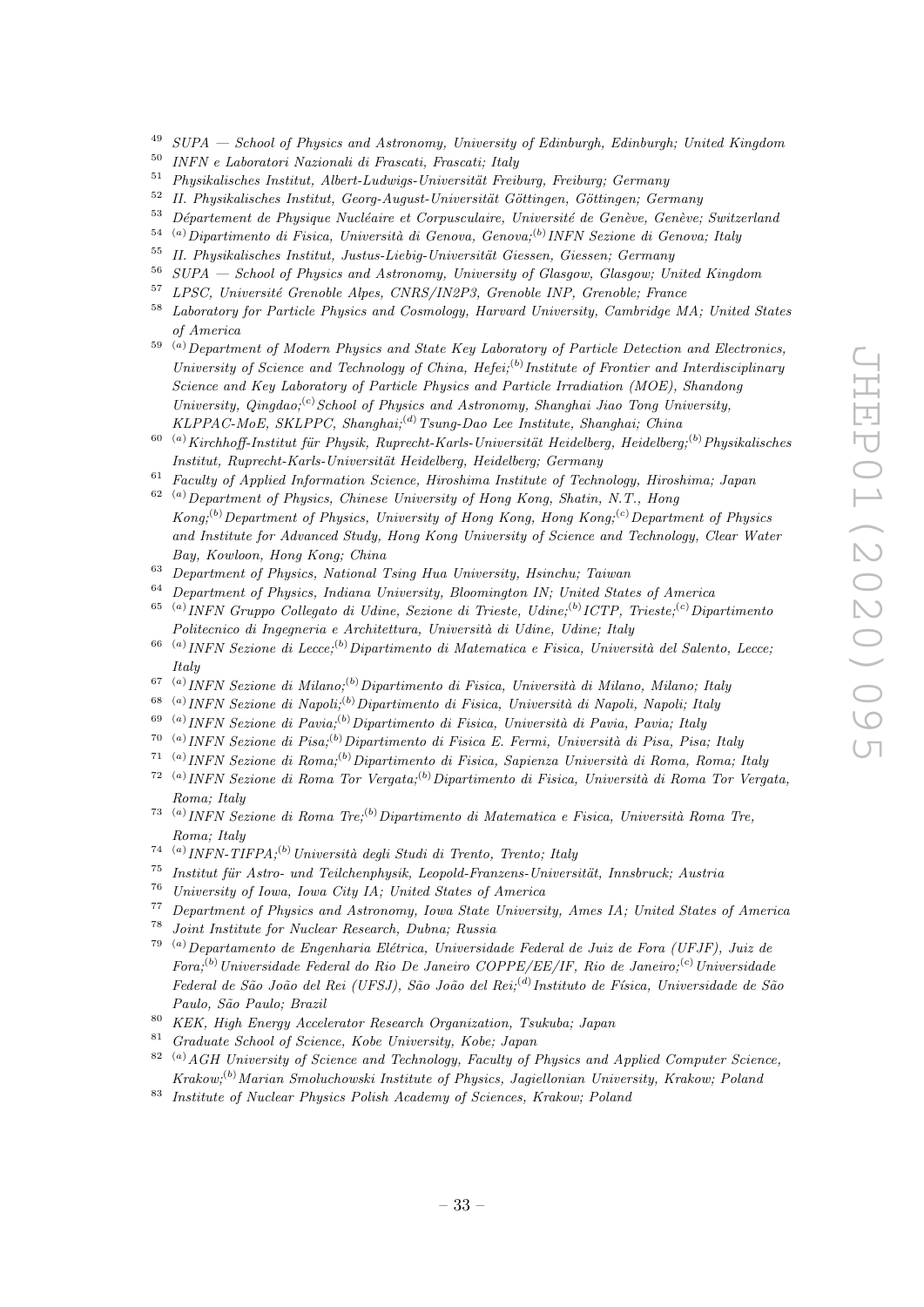- $^{49}$  SUPA School of Physics and Astronomy, University of Edinburgh, Edinburgh; United Kingdom
- <sup>50</sup> INFN e Laboratori Nazionali di Frascati, Frascati; Italy
- $51$  Physikalisches Institut, Albert-Ludwigs-Universität Freiburg, Freiburg; Germany
- $52$  II. Physikalisches Institut, Georg-August-Universität Göttingen, Göttingen; Germany
- $53$  Département de Physique Nucléaire et Corpusculaire, Université de Genève, Genève; Switzerland
- $^{54}$  (a) Dipartimento di Fisica, Università di Genova, Genova;<sup>(b)</sup> INFN Sezione di Genova; Italy
- <sup>55</sup> II. Physikalisches Institut, Justus-Liebig-Universität Giessen, Giessen; Germany
- <sup>56</sup>  $SUPA$  School of Physics and Astronomy, University of Glasgow, Glasgow; United Kingdom<br><sup>57</sup> J PCG, University Canada Alass CNPC (NeP), Canada NP, Canada France
- <sup>57</sup> LPSC, Universit´e Grenoble Alpes, CNRS/IN2P3, Grenoble INP, Grenoble; France
- <sup>58</sup> Laboratory for Particle Physics and Cosmology, Harvard University, Cambridge MA; United States of America
- $59$ <sup>(a)</sup>Department of Modern Physics and State Key Laboratory of Particle Detection and Electronics, University of Science and Technology of China, Hefei;<sup>(b)</sup> Institute of Frontier and Interdisciplinary Science and Key Laboratory of Particle Physics and Particle Irradiation (MOE), Shandong University, Qingdao;<sup>(c)</sup>School of Physics and Astronomy, Shanghai Jiao Tong University, KLPPAC-MoE, SKLPPC, Shanghai;<sup>(d)</sup> Tsung-Dao Lee Institute, Shanghai; China
- $^{60}$  (a) Kirchhoff-Institut für Physik, Ruprecht-Karls-Universität Heidelberg, Heidelberg;<sup>(b)</sup> Physikalisches Institut, Ruprecht-Karls-Universität Heidelberg, Heidelberg; Germany
- $61$  Faculty of Applied Information Science, Hiroshima Institute of Technology, Hiroshima; Japan  $62$  (a) Department of Physics, Chinese University of Hong Kong, Shatin, N.T., Hong
- $Kong; ^{(b)}$ Department of Physics, University of Hong Kong, Hong Kong;<sup>(c)</sup>Department of Physics and Institute for Advanced Study, Hong Kong University of Science and Technology, Clear Water Bay, Kowloon, Hong Kong; China
- <sup>63</sup> Department of Physics, National Tsing Hua University, Hsinchu; Taiwan
- <sup>64</sup> Department of Physics, Indiana University, Bloomington IN; United States of America
- <sup>65 (a)</sup> INFN Gruppo Collegato di Udine, Sezione di Trieste, Udine;<sup>(b)</sup> ICTP, Trieste;<sup>(c)</sup> Dipartimento Politecnico di Ingegneria e Architettura, Università di Udine, Udine; Italy
- <sup>66 (a)</sup> INFN Sezione di Lecce;<sup>(b)</sup> Dipartimento di Matematica e Fisica, Università del Salento, Lecce; Italy
- <sup>67 (a)</sup> INFN Sezione di Milano;<sup>(b)</sup> Dipartimento di Fisica, Università di Milano, Milano; Italy
- <sup>68 (a)</sup> INFN Sezione di Napoli;<sup>(b)</sup> Dipartimento di Fisica, Università di Napoli, Napoli; Italy
- <sup>69 (a)</sup> INFN Sezione di Pavia;<sup>(b)</sup> Dipartimento di Fisica, Università di Pavia, Pavia; Italy
- <sup>70 (a)</sup> INFN Sezione di Pisa;<sup>(b)</sup> Dipartimento di Fisica E. Fermi, Università di Pisa, Pisa; Italy
- <sup>71 (a)</sup> INFN Sezione di Roma;<sup>(b)</sup> Dipartimento di Fisica, Sapienza Università di Roma, Roma; Italy
- <sup>72 (a)</sup> INFN Sezione di Roma Tor Vergata;<sup>(b)</sup> Dipartimento di Fisica, Università di Roma Tor Vergata, Roma; Italy
- <sup>73 (a)</sup> INFN Sezione di Roma Tre;<sup>(b)</sup> Dipartimento di Matematica e Fisica, Università Roma Tre, Roma; Italy
- <sup>74 (a)</sup> INFN-TIFPA;<sup>(b)</sup> Università degli Studi di Trento, Trento; Italy
- $75$  Institut für Astro- und Teilchenphysik, Leopold-Franzens-Universität, Innsbruck; Austria
- <sup>76</sup> University of Iowa, Iowa City IA; United States of America<sup>77</sup> Persentencet of Physics and Actronomy, Iowa State University
- <sup>77</sup> Department of Physics and Astronomy, Iowa State University, Ames IA; United States of America
- <sup>78</sup> Joint Institute for Nuclear Research, Dubna; Russia
- <sup>79 (a)</sup>Departamento de Engenharia Elétrica, Universidade Federal de Juiz de Fora (UFJF), Juiz de  $For a: (b) Universidade Federal do Rio De Janeiro COPPE/EE/IF, Rio de Janeiro: (c) Universidade$ Federal de São João del Rei (UFSJ), São João del Rei;<sup>(d)</sup>Instituto de Física, Universidade de São Paulo, São Paulo; Brazil
- <sup>80</sup> KEK, High Energy Accelerator Research Organization, Tsukuba; Japan
- <sup>81</sup> Graduate School of Science, Kobe University, Kobe; Japan
- $82$ <sup>(a)</sup>AGH University of Science and Technology, Faculty of Physics and Applied Computer Science, Krakow;(b)Marian Smoluchowski Institute of Physics, Jagiellonian University, Krakow; Poland
- <sup>83</sup> Institute of Nuclear Physics Polish Academy of Sciences, Krakow; Poland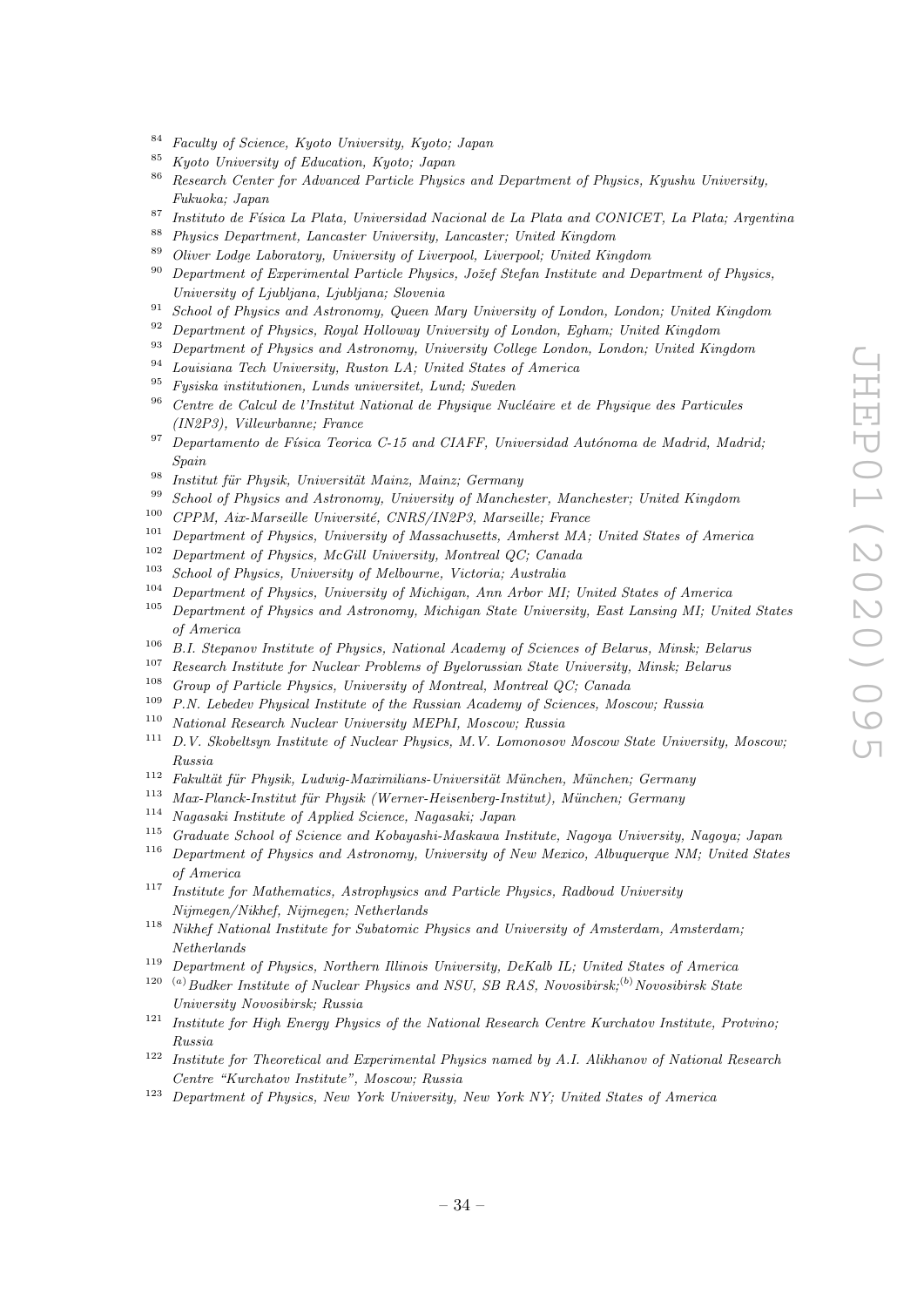- <sup>84</sup> Faculty of Science, Kyoto University, Kyoto; Japan
- <sup>85</sup> Kyoto University of Education, Kyoto; Japan
- 86 Research Center for Advanced Particle Physics and Department of Physics, Kyushu University, Fukuoka; Japan
- <sup>87</sup> Instituto de Física La Plata, Universidad Nacional de La Plata and CONICET, La Plata; Argentina
- <sup>88</sup> Physics Department, Lancaster University, Lancaster; United Kingdom
- <sup>89</sup> Oliver Lodge Laboratory, University of Liverpool, Liverpool; United Kingdom
- $90$  Department of Experimental Particle Physics, Jožef Stefan Institute and Department of Physics, University of Ljubljana, Ljubljana; Slovenia
- $91$  School of Physics and Astronomy, Queen Mary University of London, London; United Kingdom
- <sup>92</sup> Department of Physics, Royal Holloway University of London, Egham; United Kingdom<br><sup>93</sup> Department of Physics and Actronomy, University College Landon, Landon, United Kingdom
- <sup>93</sup> Department of Physics and Astronomy, University College London, London; United Kingdom
- <sup>94</sup> Louisiana Tech University, Ruston LA; United States of America
- <sup>95</sup> Fysiska institutionen, Lunds universitet, Lund; Sweden
- $96$  Centre de Calcul de l'Institut National de Physique Nucléaire et de Physique des Particules (IN2P3), Villeurbanne; France
- $97$  Departamento de Física Teorica C-15 and CIAFF, Universidad Autónoma de Madrid, Madrid; Spain
- $\overline{^{98}}$  Institut für Physik, Universität Mainz, Mainz; Germany
- <sup>99</sup> School of Physics and Astronomy, University of Manchester, Manchester; United Kingdom
- $100$  CPPM, Aix-Marseille Université, CNRS/IN2P3, Marseille; France
- <sup>101</sup> Department of Physics, University of Massachusetts, Amherst MA; United States of America
- <sup>102</sup> Department of Physics, McGill University, Montreal QC; Canada
- <sup>103</sup> School of Physics, University of Melbourne, Victoria; Australia<br><sup>104</sup> Department of Physics, University of Michigan Ann Arben MI
- <sup>104</sup> Department of Physics, University of Michigan, Ann Arbor MI; United States of America
- $105$  Department of Physics and Astronomy, Michigan State University, East Lansing MI; United States of America
- <sup>106</sup> B.I. Stepanov Institute of Physics, National Academy of Sciences of Belarus, Minsk; Belarus
- <sup>107</sup> Research Institute for Nuclear Problems of Byelorussian State University, Minsk; Belarus
- <sup>108</sup> Group of Particle Physics, University of Montreal, Montreal QC; Canada
- <sup>109</sup> P.N. Lebedev Physical Institute of the Russian Academy of Sciences, Moscow; Russia
- <sup>110</sup> National Research Nuclear University MEPhI, Moscow; Russia
- <sup>111</sup> D.V. Skobeltsyn Institute of Nuclear Physics, M.V. Lomonosov Moscow State University, Moscow; Russia
- $112$  Fakultät für Physik, Ludwig-Maximilians-Universität München, München; Germany
- $113$  Max-Planck-Institut für Physik (Werner-Heisenberg-Institut), München; Germany
- <sup>114</sup> Nagasaki Institute of Applied Science, Nagasaki; Japan
- <sup>115</sup> Graduate School of Science and Kobayashi-Maskawa Institute, Nagoya University, Nagoya; Japan
- <sup>116</sup> Department of Physics and Astronomy, University of New Mexico, Albuquerque NM; United States of America
- <sup>117</sup> Institute for Mathematics, Astrophysics and Particle Physics, Radboud University Nijmegen/Nikhef, Nijmegen; Netherlands
- <sup>118</sup> Nikhef National Institute for Subatomic Physics and University of Amsterdam, Amsterdam; Netherlands
- <sup>119</sup> Department of Physics, Northern Illinois University, DeKalb IL; United States of America
- <sup>120</sup> (a) Budker Institute of Nuclear Physics and NSU, SB RAS, Novosibirsk;<sup>(b)</sup> Novosibirsk State University Novosibirsk; Russia
- <sup>121</sup> Institute for High Energy Physics of the National Research Centre Kurchatov Institute, Protvino; Russia
- $122$  Institute for Theoretical and Experimental Physics named by A.I. Alikhanov of National Research Centre "Kurchatov Institute", Moscow; Russia
- <sup>123</sup> Department of Physics, New York University, New York NY; United States of America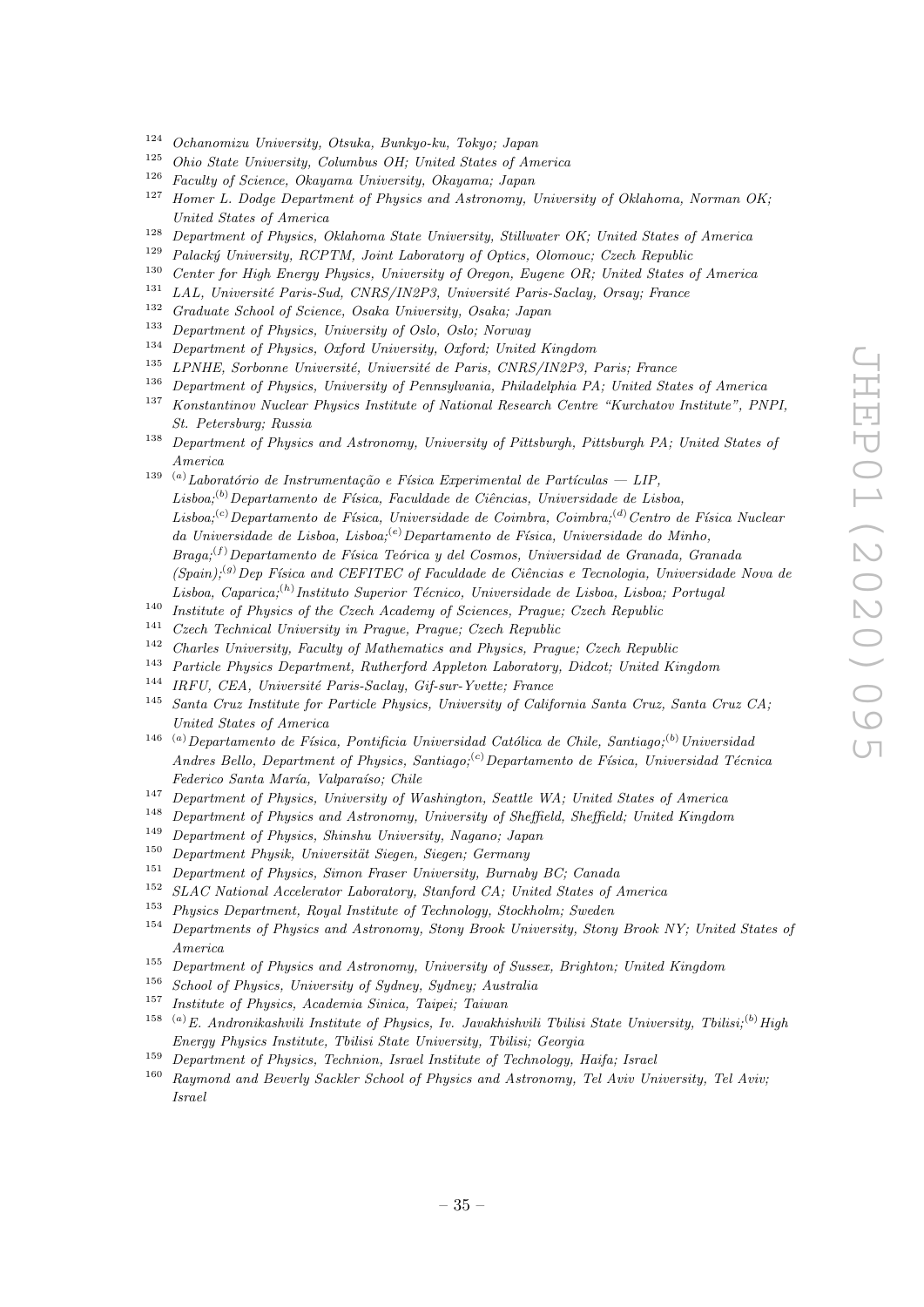- <sup>124</sup> Ochanomizu University, Otsuka, Bunkyo-ku, Tokyo; Japan
- <sup>125</sup> Ohio State University, Columbus OH; United States of America
- <sup>126</sup> Faculty of Science, Okayama University, Okayama; Japan
- $127$  Homer L. Dodge Department of Physics and Astronomy, University of Oklahoma, Norman OK; United States of America
- <sup>128</sup> Department of Physics, Oklahoma State University, Stillwater OK; United States of America<br><sup>129</sup> Belselvi University, DCDTM, Light Lehentery of Optics, Olamous: Creek Banylie
- <sup>129</sup> Palacký University, RCPTM, Joint Laboratory of Optics, Olomouc; Czech Republic<br><sup>130</sup> Curtan for High Franco Physics, University of Operan Franco OB, Heitzl States
- <sup>130</sup> Center for High Energy Physics, University of Oregon, Eugene OR; United States of America<br><sup>131</sup> LAL Hainmith Paris Carl CNDC (NODS, University Paris Carlyn Orang France
- LAL, Université Paris-Sud, CNRS/IN2P3, Université Paris-Saclay, Orsay; France
- <sup>132</sup> Graduate School of Science, Osaka University, Osaka; Japan
- <sup>133</sup> Department of Physics, University of Oslo, Oslo; Norway<br><sup>134</sup> Department of Physics, Orford University, Orford, United
- <sup>134</sup> Department of Physics, Oxford University, Oxford; United Kingdom
- <sup>135</sup> LPNHE, Sorbonne Université, Université de Paris, CNRS/IN2P3, Paris; France
- <sup>136</sup> Department of Physics, University of Pennsylvania, Philadelphia PA; United States of America
- <sup>137</sup> Konstantinov Nuclear Physics Institute of National Research Centre "Kurchatov Institute", PNPI, St. Petersburg; Russia
- <sup>138</sup> Department of Physics and Astronomy, University of Pittsburgh, Pittsburgh PA; United States of America
- <sup>139</sup> <sup>(a)</sup>Laboratório de Instrumentação e Física Experimental de Partículas LIP,  $Lisboa:^{(b)}$ Departamento de Física, Faculdade de Ciências, Universidade de Lisboa, Lisboa;<sup>(c)</sup>Departamento de Física, Universidade de Coimbra, Coimbra;<sup>(d)</sup>Centro de Física Nuclear da Universidade de Lisboa, Lisboa; $^{(e)}$ Departamento de Física, Universidade do Minho,  $Braq_i$ <sup>(f)</sup> Departamento de Física Teórica y del Cosmos, Universidad de Granada, Granada  $(Spain);^{(g)}$ Dep Física and CEFITEC of Faculdade de Ciências e Tecnologia, Universidade Nova de Lisboa, Caparica;<sup>(h)</sup> Instituto Superior Técnico, Universidade de Lisboa, Lisboa; Portugal
- <sup>140</sup> Institute of Physics of the Czech Academy of Sciences, Prague; Czech Republic
- <sup>141</sup> Czech Technical University in Prague, Prague; Czech Republic
- <sup>142</sup> Charles University, Faculty of Mathematics and Physics, Prague; Czech Republic
- <sup>143</sup> Particle Physics Department, Rutherford Appleton Laboratory, Didcot; United Kingdom
- $144$  IRFU, CEA, Université Paris-Saclay, Gif-sur-Yvette; France
- <sup>145</sup> Santa Cruz Institute for Particle Physics, University of California Santa Cruz, Santa Cruz CA; United States of America
- <sup>146</sup> (a) Departamento de Física, Pontificia Universidad Católica de Chile, Santiago;<sup>(b)</sup> Universidad Andres Bello, Department of Physics, Santiago;<sup>(c)</sup> Departamento de Física, Universidad Técnica Federico Santa María, Valparaíso; Chile
- <sup>147</sup> Department of Physics, University of Washington, Seattle WA; United States of America
- <sup>148</sup> Department of Physics and Astronomy, University of Sheffield, Sheffield; United Kingdom
- <sup>149</sup> Department of Physics, Shinshu University, Nagano; Japan
- $150$  Department Physik, Universität Siegen, Siegen; Germany
- <sup>151</sup> Department of Physics, Simon Fraser University, Burnaby BC; Canada
- <sup>152</sup> SLAC National Accelerator Laboratory, Stanford CA; United States of America
- <sup>153</sup> Physics Department, Royal Institute of Technology, Stockholm; Sweden
- <sup>154</sup> Departments of Physics and Astronomy, Stony Brook University, Stony Brook NY; United States of America
- <sup>155</sup> Department of Physics and Astronomy, University of Sussex, Brighton; United Kingdom<br><sup>156</sup> School of Physics University of Sudney Sudney: Australia
- <sup>156</sup> School of Physics, University of Sydney, Sydney; Australia
- <sup>157</sup> Institute of Physics, Academia Sinica, Taipei; Taiwan
- <sup>158</sup> <sup>(a)</sup>E. Andronikashvili Institute of Physics, Iv. Javakhishvili Tbilisi State University, Tbilisi;<sup>(b)</sup> High Energy Physics Institute, Tbilisi State University, Tbilisi; Georgia
- <sup>159</sup> Department of Physics, Technion, Israel Institute of Technology, Haifa; Israel
- <sup>160</sup> Raymond and Beverly Sackler School of Physics and Astronomy, Tel Aviv University, Tel Aviv; Israel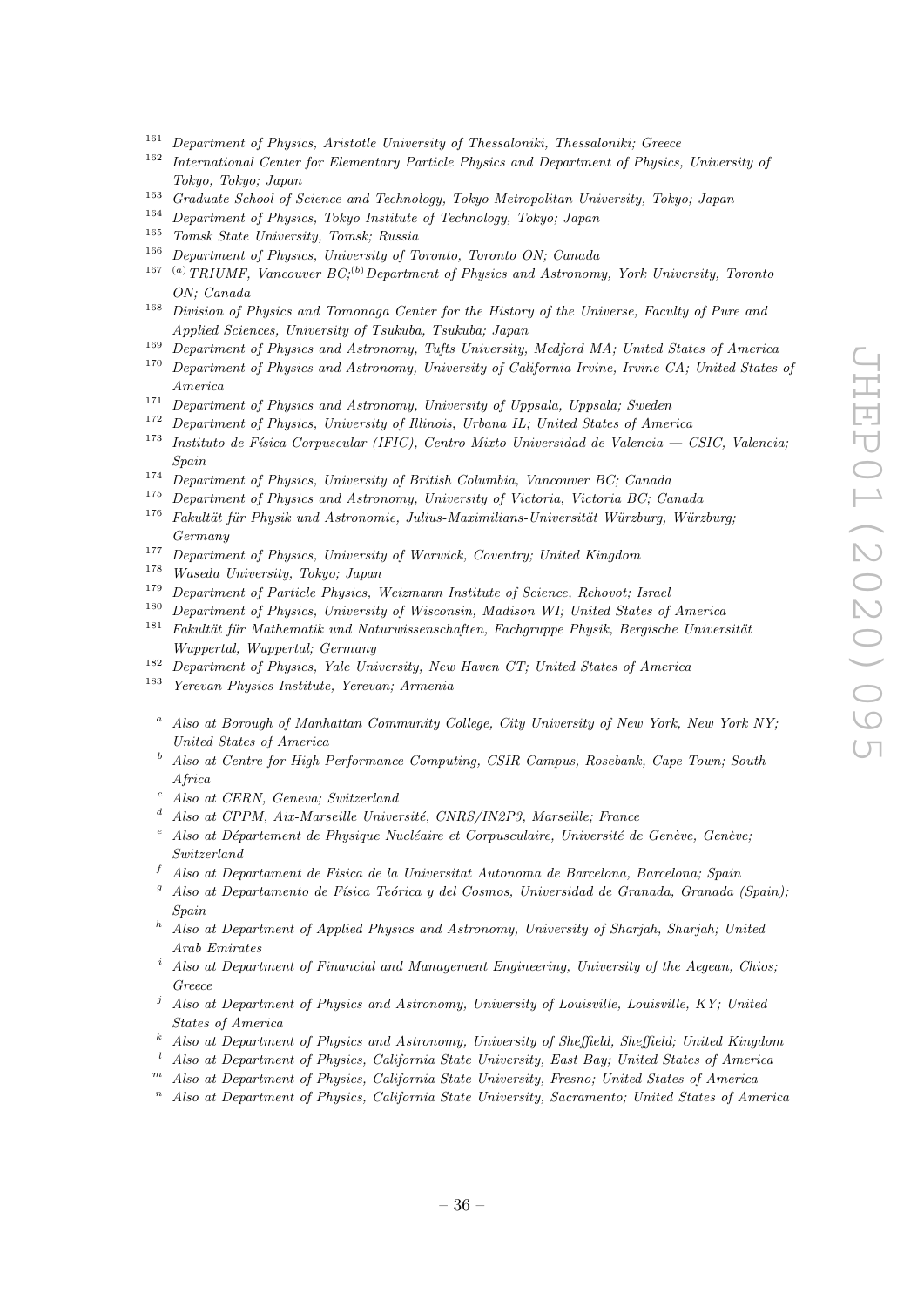- <sup>161</sup> Department of Physics, Aristotle University of Thessaloniki, Thessaloniki; Greece
- <sup>162</sup> International Center for Elementary Particle Physics and Department of Physics, University of Tokyo, Tokyo; Japan
- <sup>163</sup> Graduate School of Science and Technology, Tokyo Metropolitan University, Tokyo; Japan<br><sup>164</sup> Department of Physics, Telus Institute of Technology, Telusy Insec
- <sup>164</sup> Department of Physics, Tokyo Institute of Technology, Tokyo; Japan
- <sup>165</sup> Tomsk State University, Tomsk; Russia<br><sup>166</sup> Department of Physics, University of T
- Department of Physics, University of Toronto, Toronto ON; Canada
- <sup>167</sup> (a) TRIUMF, Vancouver  $BC<sup>{(b)}</sup>$  Department of Physics and Astronomy, York University, Toronto ON; Canada
- <sup>168</sup> Division of Physics and Tomonaga Center for the History of the Universe, Faculty of Pure and Applied Sciences, University of Tsukuba, Tsukuba; Japan
- <sup>169</sup> Department of Physics and Astronomy, Tufts University, Medford MA; United States of America
- <sup>170</sup> Department of Physics and Astronomy, University of California Irvine, Irvine CA; United States of America
- $171$  Department of Physics and Astronomy, University of Uppsala, Uppsala; Sweden
- <sup>172</sup> Department of Physics, University of Illinois, Urbana IL; United States of America
- <sup>173</sup> Instituto de Física Corpuscular (IFIC), Centro Mixto Universidad de Valencia CSIC, Valencia; Spain
- <sup>174</sup> Department of Physics, University of British Columbia, Vancouver BC; Canada<br><sup>175</sup> Department of Physics and Astronomy, University of Victoria, Victoria BC: Ca
- Department of Physics and Astronomy, University of Victoria, Victoria BC; Canada
- $176$  Fakultät für Physik und Astronomie, Julius-Maximilians-Universität Würzburg, Würzburg; Germany
- <sup>177</sup> Department of Physics, University of Warwick, Coventry; United Kingdom
- <sup>178</sup> Waseda University, Tokyo; Japan
- <sup>179</sup> Department of Particle Physics, Weizmann Institute of Science, Rehovot; Israel
- <sup>180</sup> Department of Physics, University of Wisconsin, Madison WI; United States of America
- $181$  Fakultät für Mathematik und Naturwissenschaften, Fachgruppe Physik, Bergische Universität Wuppertal, Wuppertal; Germany
- <sup>182</sup> Department of Physics, Yale University, New Haven CT; United States of America
- <sup>183</sup> Yerevan Physics Institute, Yerevan; Armenia
	- <sup>a</sup> Also at Borough of Manhattan Community College, City University of New York, New York NY; United States of America
	- <sup>b</sup> Also at Centre for High Performance Computing, CSIR Campus, Rosebank, Cape Town; South Africa
	- <sup>c</sup> Also at CERN, Geneva; Switzerland
	- $d$  Also at CPPM, Aix-Marseille Université, CNRS/IN2P3, Marseille; France
	- Also at Département de Physique Nucléaire et Corpusculaire, Université de Genève, Genève; Switzerland
	- <sup>f</sup> Also at Departament de Fisica de la Universitat Autonoma de Barcelona, Barcelona; Spain
	- <sup>9</sup> Also at Departamento de Física Teórica y del Cosmos, Universidad de Granada, Granada (Spain); Spain
	- $h$  Also at Department of Applied Physics and Astronomy, University of Sharjah, Sharjah; United Arab Emirates
	- Also at Department of Financial and Management Engineering, University of the Aegean, Chios: Greece
	- $j$  Also at Department of Physics and Astronomy, University of Louisville, Louisville, KY; United States of America
	- <sup>k</sup> Also at Department of Physics and Astronomy, University of Sheffield, Sheffield; United Kingdom
	- <sup>l</sup> Also at Department of Physics, California State University, East Bay; United States of America
- $<sup>m</sup>$  Also at Department of Physics, California State University, Fresno; United States of America</sup>
- $n$  Also at Department of Physics, California State University, Sacramento; United States of America